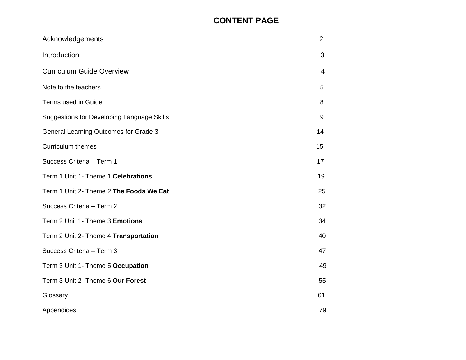# **CONTENT PAGE**

| Acknowledgements                                  | $\overline{2}$ |
|---------------------------------------------------|----------------|
| Introduction                                      | 3              |
| <b>Curriculum Guide Overview</b>                  | $\overline{4}$ |
| Note to the teachers                              | 5              |
| Terms used in Guide                               | 8              |
| <b>Suggestions for Developing Language Skills</b> | 9              |
| <b>General Learning Outcomes for Grade 3</b>      | 14             |
| <b>Curriculum themes</b>                          | 15             |
| Success Criteria - Term 1                         | 17             |
| Term 1 Unit 1- Theme 1 Celebrations               | 19             |
| Term 1 Unit 2- Theme 2 The Foods We Eat           | 25             |
| Success Criteria - Term 2                         | 32             |
| Term 2 Unit 1- Theme 3 Emotions                   | 34             |
| Term 2 Unit 2- Theme 4 Transportation             | 40             |
| Success Criteria - Term 3                         | 47             |
| Term 3 Unit 1- Theme 5 Occupation                 | 49             |
| Term 3 Unit 2- Theme 6 Our Forest                 | 55             |
| Glossary                                          | 61             |
| Appendices                                        | 79             |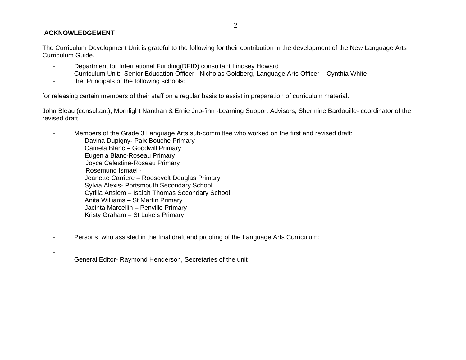## **ACKNOWLEDGEMENT**

The Curriculum Development Unit is grateful to the following for their contribution in the development of the New Language Arts Curriculum Guide.

- Department for International Funding(DFID) consultant Lindsey Howard
- Curriculum Unit: Senior Education Officer –Nicholas Goldberg, Language Arts Officer Cynthia White
- the Principals of the following schools:

for releasing certain members of their staff on a regular basis to assist in preparation of curriculum material.

John Bleau (consultant), Mornlight Nanthan & Ernie Jno-finn -Learning Support Advisors, Shermine Bardouille- coordinator of the revised draft.

- Members of the Grade 3 Language Arts sub-committee who worked on the first and revised draft: Davina Dupigny- Paix Bouche Primary Camela Blanc – Goodwill Primary Eugenia Blanc-Roseau Primary Joyce Celestine-Roseau Primary Rosemund Ismael - Jeanette Carriere – Roosevelt Douglas Primary Sylvia Alexis- Portsmouth Secondary School Cyrilla Anslem – Isaiah Thomas Secondary School Anita Williams – St Martin Primary Jacinta Marcellin – Penville Primary Kristy Graham – St Luke's Primary
- Persons who assisted in the final draft and proofing of the Language Arts Curriculum:

General Editor- Raymond Henderson, Secretaries of the unit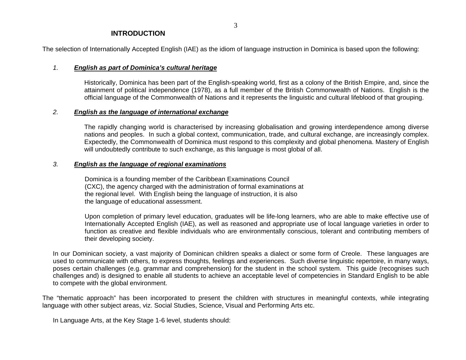### **INTRODUCTION**

The selection of Internationally Accepted English (IAE) as the idiom of language instruction in Dominica is based upon the following:

#### *1. English as part of Dominica's cultural heritage*

 Historically, Dominica has been part of the English-speaking world, first as a colony of the British Empire, and, since the attainment of political independence (1978), as a full member of the British Commonwealth of Nations. English is the official language of the Commonwealth of Nations and it represents the linguistic and cultural lifeblood of that grouping.

## *2. English as the language of international exchange*

The rapidly changing world is characterised by increasing globalisation and growing interdependence among diverse nations and peoples. In such a global context, communication, trade, and cultural exchange, are increasingly complex. Expectedly, the Commonwealth of Dominica must respond to this complexity and global phenomena. Mastery of English will undoubtedly contribute to such exchange, as this language is most global of all.

#### *3. English as the language of regional examinations*

Dominica is a founding member of the Caribbean Examinations Council (CXC), the agency charged with the administration of formal examinations at the regional level. With English being the language of instruction, it is also the language of educational assessment.

Upon completion of primary level education, graduates will be life-long learners, who are able to make effective use of Internationally Accepted English (IAE), as well as reasoned and appropriate use of local language varieties in order to function as creative and flexible individuals who are environmentally conscious, tolerant and contributing members of their developing society.

In our Dominican society, a vast majority of Dominican children speaks a dialect or some form of Creole. These languages are used to communicate with others, to express thoughts, feelings and experiences. Such diverse linguistic repertoire, in many ways, poses certain challenges (e.g. grammar and comprehension) for the student in the school system. This guide (recognises such challenges and) is designed to enable all students to achieve an acceptable level of competencies in Standard English to be able to compete with the global environment.

The "thematic approach" has been incorporated to present the children with structures in meaningful contexts, while integrating language with other subject areas, viz. Social Studies, Science, Visual and Performing Arts etc.

In Language Arts, at the Key Stage 1-6 level, students should: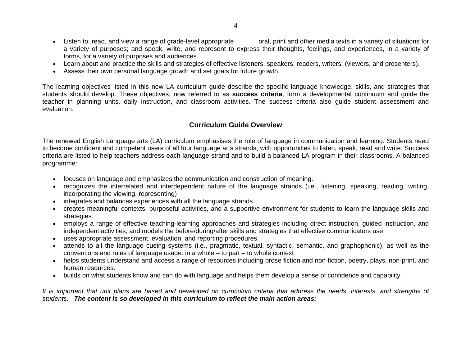- Listen to, read, and view a range of grade-level appropriate oral, print and other media texts in a variety of situations for a variety of purposes; and speak, write, and represent to express their thoughts, feelings, and experiences, in a variety of forms, for a variety of purposes and audiences.
- Learn about and practice the skills and strategies of effective listeners, speakers, readers, writers, (viewers, and presenters).
- Assess their own personal language growth and set goals for future growth.

The learning objectives listed in this new LA curriculum guide describe the specific language knowledge, skills, and strategies that students should develop. These objectives, now referred to as **success criteria**, form a developmental continuum and guide the teacher in planning units, daily instruction, and classroom activities. The success criteria also guide student assessment and evaluation.

# **Curriculum Guide Overview**

The renewed English Language arts (LA) curriculum emphasises the role of language in communication and learning. Students need to become confident and competent users of all four language arts strands, with opportunities to listen, speak, read and write. Success criteria are listed to help teachers address each language strand and to build a balanced LA program in their classrooms. A balanced programme:

- focuses on language and emphasizes the communication and construction of meaning.
- recognizes the interrelated and interdependent nature of the language strands (i.e., listening, speaking, reading, writing, incorporating the viewing, representing)
- integrates and balances experiences with all the language strands.
- creates meaningful contexts, purposeful activities, and a supportive environment for students to learn the language skills and strategies.
- employs a range of effective teaching-learning approaches and strategies including direct instruction, guided instruction, and independent activities, and models the before/during/after skills and strategies that effective communicators use.
- uses appropriate assessment, evaluation, and reporting procedures.
- attends to all the language cueing systems (i.e., pragmatic, textual, syntactic, semantic, and graphophonic), as well as the conventions and rules of language usage: in a whole – to part – to whole context
- helps students understand and access a range of resources including prose fiction and non-fiction, poetry, plays, non-print, and human resources.
- builds on what students know and can do with language and helps them develop a sense of confidence and capability.

*It is important that unit plans are based and developed on curriculum criteria that address the needs, interests, and strengths of students. The content is so developed in this curriculum to reflect the main action areas:*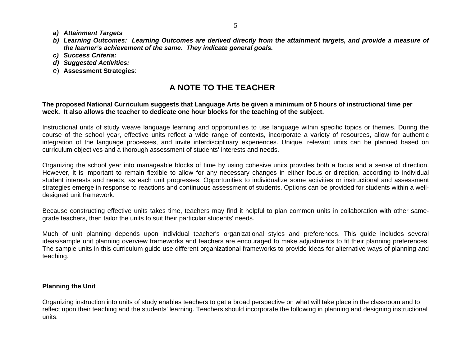- *a) Attainment Targets*
- *b) Learning Outcomes: Learning Outcomes are derived directly from the attainment targets, and provide a measure of the learner's achievement of the same. They indicate general goals.*
- *c) Success Criteria:*
- *d) Suggested Activities:*
- e) **Assessment Strategies**:

# **A NOTE TO THE TEACHER**

### **The proposed National Curriculum suggests that Language Arts be given a minimum of 5 hours of instructional time per week. It also allows the teacher to dedicate one hour blocks for the teaching of the subject.**

Instructional units of study weave language learning and opportunities to use language within specific topics or themes. During the course of the school year, effective units reflect a wide range of contexts, incorporate a variety of resources, allow for authentic integration of the language processes, and invite interdisciplinary experiences. Unique, relevant units can be planned based on curriculum objectives and a thorough assessment of students' interests and needs.

Organizing the school year into manageable blocks of time by using cohesive units provides both a focus and a sense of direction. However, it is important to remain flexible to allow for any necessary changes in either focus or direction, according to individual student interests and needs, as each unit progresses. Opportunities to individualize some activities or instructional and assessment strategies emerge in response to reactions and continuous assessment of students. Options can be provided for students within a welldesigned unit framework.

Because constructing effective units takes time, teachers may find it helpful to plan common units in collaboration with other samegrade teachers, then tailor the units to suit their particular students' needs.

Much of unit planning depends upon individual teacher's organizational styles and preferences. This guide includes several ideas/sample unit planning overview frameworks and teachers are encouraged to make adjustments to fit their planning preferences. The sample units in this curriculum guide use different organizational frameworks to provide ideas for alternative ways of planning and teaching.

# **Planning the Unit**

Organizing instruction into units of study enables teachers to get a broad perspective on what will take place in the classroom and to reflect upon their teaching and the students' learning. Teachers should incorporate the following in planning and designing instructional units.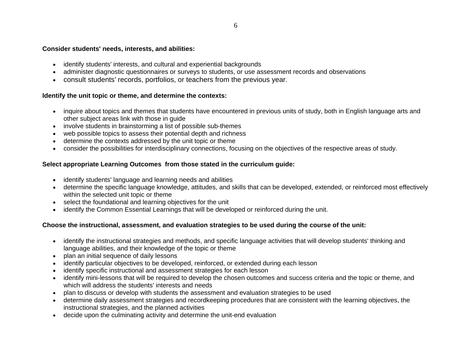#### **Consider students' needs, interests, and abilities:**

- identify students' interests, and cultural and experiential backgrounds
- administer diagnostic questionnaires or surveys to students, or use assessment records and observations
- consult students' records, portfolios, or teachers from the previous year.

## **Identify the unit topic or theme, and determine the contexts:**

- inquire about topics and themes that students have encountered in previous units of study, both in English language arts and other subject areas link with those in guide
- involve students in brainstorming a list of possible sub-themes
- $\bullet$ web possible topics to assess their potential depth and richness
- determine the contexts addressed by the unit topic or theme
- consider the possibilities for interdisciplinary connections, focusing on the objectives of the respective areas of study.

## **Select appropriate Learning Outcomes from those stated in the curriculum guide:**

- identify students' language and learning needs and abilities
- determine the specific language knowledge, attitudes, and skills that can be developed, extended, or reinforced most effectively within the selected unit topic or theme
- select the foundational and learning objectives for the unit
- •identify the Common Essential Learnings that will be developed or reinforced during the unit.

# **Choose the instructional, assessment, and evaluation strategies to be used during the course of the unit:**

- identify the instructional strategies and methods, and specific language activities that will develop students' thinking and language abilities, and their knowledge of the topic or theme
- plan an initial sequence of daily lessons
- identify particular objectives to be developed, reinforced, or extended during each lesson
- $\bullet$ identify specific instructional and assessment strategies for each lesson
- identify mini-lessons that will be required to develop the chosen outcomes and success criteria and the topic or theme, and which will address the students' interests and needs
- plan to discuss or develop with students the assessment and evaluation strategies to be used
- determine daily assessment strategies and recordkeeping procedures that are consistent with the learning objectives, the instructional strategies, and the planned activities
- decide upon the culminating activity and determine the unit-end evaluation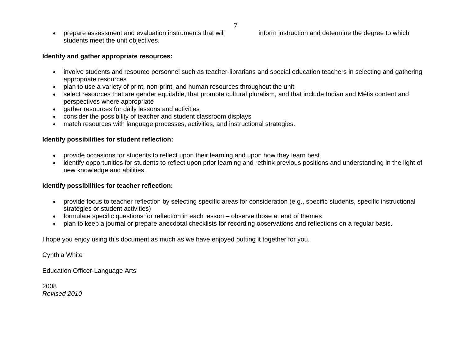• prepare assessment and evaluation instruments that will inform instruction and determine the degree to which students meet the unit objectives.

# **Identify and gather appropriate resources:**

- involve students and resource personnel such as teacher-librarians and special education teachers in selecting and gathering appropriate resources
- plan to use a variety of print, non-print, and human resources throughout the unit
- • select resources that are gender equitable, that promote cultural pluralism, and that include Indian and Métis content and perspectives where appropriate
- gather resources for daily lessons and activities
- •consider the possibility of teacher and student classroom displays
- $\bullet$ match resources with language processes, activities, and instructional strategies.

## **Identify possibilities for student reflection:**

- $\bullet$ provide occasions for students to reflect upon their learning and upon how they learn best
- $\bullet$  identify opportunities for students to reflect upon prior learning and rethink previous positions and understanding in the light of new knowledge and abilities.

# **Identify possibilities for teacher reflection:**

- provide focus to teacher reflection by selecting specific areas for consideration (e.g., specific students, specific instructional strategies or student activities)
- formulate specific questions for reflection in each lesson observe those at end of themes
- •plan to keep a journal or prepare anecdotal checklists for recording observations and reflections on a regular basis.

I hope you enjoy using this document as much as we have enjoyed putting it together for you.

Cynthia White

Education Officer-Language Arts

2008 *Revised 2010*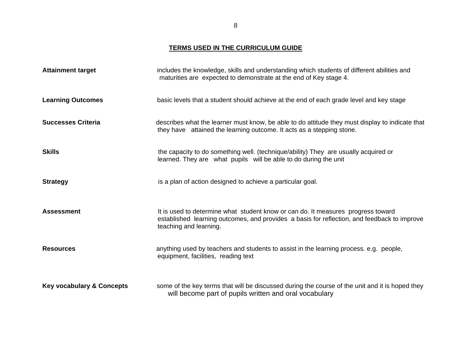**TERMS USED IN THE CURRICULUM GUIDE**

| <b>Attainment target</b>             | includes the knowledge, skills and understanding which students of different abilities and<br>maturities are expected to demonstrate at the end of Key stage 4.                                           |
|--------------------------------------|-----------------------------------------------------------------------------------------------------------------------------------------------------------------------------------------------------------|
| <b>Learning Outcomes</b>             | basic levels that a student should achieve at the end of each grade level and key stage                                                                                                                   |
| <b>Successes Criteria</b>            | describes what the learner must know, be able to do attitude they must display to indicate that<br>they have attained the learning outcome. It acts as a stepping stone.                                  |
| <b>Skills</b>                        | the capacity to do something well. (technique/ability) They are usually acquired or<br>learned. They are what pupils will be able to do during the unit                                                   |
| <b>Strategy</b>                      | is a plan of action designed to achieve a particular goal.                                                                                                                                                |
| <b>Assessment</b>                    | It is used to determine what student know or can do. It measures progress toward<br>established learning outcomes, and provides a basis for reflection, and feedback to improve<br>teaching and learning. |
| <b>Resources</b>                     | anything used by teachers and students to assist in the learning process. e.g. people,<br>equipment, facilities, reading text                                                                             |
| <b>Key vocabulary &amp; Concepts</b> | some of the key terms that will be discussed during the course of the unit and it is hoped they<br>will become part of pupils written and oral vocabulary                                                 |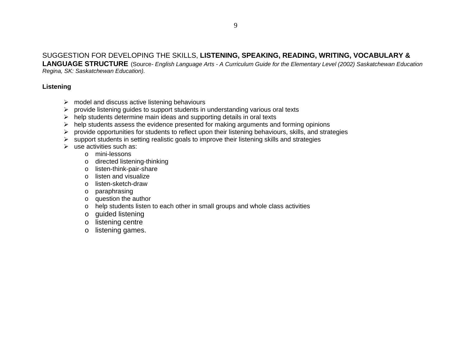# SUGGESTION FOR DEVELOPING THE SKILLS, **LISTENING, SPEAKING, READING, WRITING, VOCABULARY &**

**LANGUAGE STRUCTURE** (Source*- English Language Arts - A Curriculum Guide for the Elementary Level (2002) Saskatchewan Education Regina, SK: Saskatchewan Education).* 

# **Listening**

- $\triangleright$  model and discuss active listening behaviours
- $\triangleright$  provide listening guides to support students in understanding various oral texts
- $\triangleright$  help students determine main ideas and supporting details in oral texts
- $\triangleright$  help students assess the evidence presented for making arguments and forming opinions
- $\triangleright$  provide opportunities for students to reflect upon their listening behaviours, skills, and strategies
- $\triangleright$  support students in setting realistic goals to improve their listening skills and strategies
- $\triangleright$  use activities such as:
	- o mini-lessons
	- <sup>o</sup> directed listening-thinking
	- <sup>o</sup> listen-think-pair-share
	- o listen and visualize
	- o listen-sketch-draw
	- <sup>o</sup> paraphrasing
	- <sup>o</sup> question the author
	- <sup>o</sup> help students listen to each other in small groups and whole class activities
	- <sup>o</sup> guided listening
	- <sup>o</sup> listening centre
	- o listening games.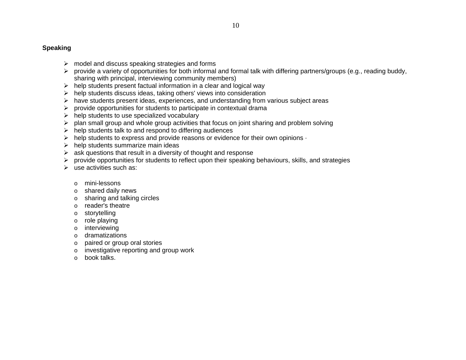# **Speaking**

- $\triangleright$  model and discuss speaking strategies and forms
- ¾ provide a variety of opportunities for both informal and formal talk with differing partners/groups (e.g., reading buddy, sharing with principal, interviewing community members)
- $\triangleright$  help students present factual information in a clear and logical way
- $\triangleright$  help students discuss ideas, taking others' views into consideration
- $\triangleright$  have students present ideas, experiences, and understanding from various subject areas
- $\triangleright$  provide opportunities for students to participate in contextual drama
- $\triangleright$  help students to use specialized vocabulary
- $\triangleright$  plan small group and whole group activities that focus on joint sharing and problem solving
- $\triangleright$  help students talk to and respond to differing audiences
- $\triangleright$  help students to express and provide reasons or evidence for their own opinions  $\cdot$
- $\triangleright$  help students summarize main ideas
- $\triangleright$  ask questions that result in a diversity of thought and response
- $\triangleright$  provide opportunities for students to reflect upon their speaking behaviours, skills, and strategies
- $\triangleright$  use activities such as:
	- o mini-lessons
	- o shared daily news
	- o sharing and talking circles
	- o reader's theatre
	- o storytelling
	- o role playing
	- o interviewing
	- o dramatizations
	- o paired or group oral stories
	- o investigative reporting and group work
	- obook talks.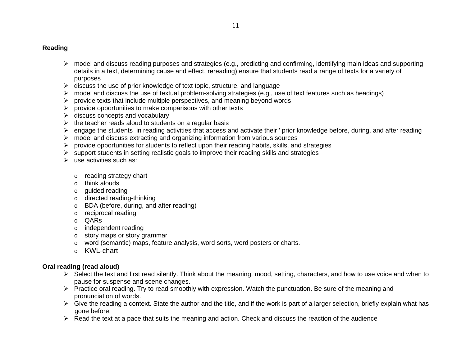## **Reading**

- $\triangleright$  model and discuss reading purposes and strategies (e.g., predicting and confirming, identifying main ideas and supporting details in a text, determining cause and effect, rereading) ensure that students read a range of texts for a variety of purposes
- $\triangleright$  discuss the use of prior knowledge of text topic, structure, and language
- $\triangleright$  model and discuss the use of textual problem-solving strategies (e.g., use of text features such as headings)
- $\triangleright$  provide texts that include multiple perspectives, and meaning beyond words
- $\triangleright$  provide opportunities to make comparisons with other texts
- $\triangleright$  discuss concepts and vocabulary
- $\triangleright$  the teacher reads aloud to students on a regular basis
- ¾ engage the students in reading activities that access and activate their ' prior knowledge before, during, and after reading
- $\triangleright$  model and discuss extracting and organizing information from various sources
- $\triangleright$  provide opportunities for students to reflect upon their reading habits, skills, and strategies
- $\triangleright$  support students in setting realistic goals to improve their reading skills and strategies
- $\triangleright$  use activities such as:
	- o reading strategy chart
	- o think alouds
	- o guided reading
	- o directed reading-thinking
	- o BDA (before, during, and after reading)
	- o reciprocal reading
	- o QARs
	- o independent reading
	- o story maps or story grammar
	- $\circ$  word (semantic) maps, feature analysis, word sorts, word posters or charts.
	- o KWL-chart

# **Oral reading (read aloud)**

- ¾ Select the text and first read silently. Think about the meaning, mood, setting, characters, and how to use voice and when to pause for suspense and scene changes.
- $\triangleright$  Practice oral reading. Try to read smoothly with expression. Watch the punctuation. Be sure of the meaning and pronunciation of words.
- $\triangleright$  Give the reading a context. State the author and the title, and if the work is part of a larger selection, briefly explain what has gone before.
- $\triangleright$  Read the text at a pace that suits the meaning and action. Check and discuss the reaction of the audience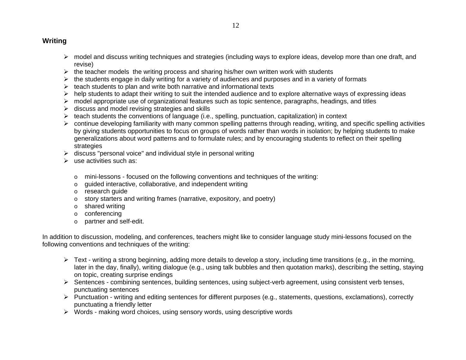# **Writing**

- $\triangleright$  model and discuss writing techniques and strategies (including ways to explore ideas, develop more than one draft, and revise)
- $\triangleright$  the teacher models the writing process and sharing his/her own written work with students
- $\triangleright$  the students engage in daily writing for a variety of audiences and purposes and in a variety of formats
- $\triangleright$  teach students to plan and write both narrative and informational texts
- $\triangleright$  help students to adapt their writing to suit the intended audience and to explore alternative ways of expressing ideas
- $\triangleright$  model appropriate use of organizational features such as topic sentence, paragraphs, headings, and titles
- $\triangleright$  discuss and model revising strategies and skills
- $\triangleright$  teach students the conventions of language (i.e., spelling, punctuation, capitalization) in context
- $\triangleright$  continue developing familiarity with many common spelling patterns through reading, writing, and specific spelling activities by giving students opportunities to focus on groups of words rather than words in isolation; by helping students to make generalizations about word patterns and to formulate rules; and by encouraging students to reflect on their spelling strategies
- $\triangleright$  discuss "personal voice" and individual style in personal writing
- $\triangleright$  use activities such as:
	- $\circ$  mini-lessons focused on the following conventions and techniques of the writing:
	- oguided interactive, collaborative, and independent writing
	- o research guide
	- $\circ$  story starters and writing frames (narrative, expository, and poetry)
	- o shared writing
	- o conferencing
	- o partner and self-edit.

In addition to discussion, modeling, and conferences, teachers might like to consider language study mini-lessons focused on the following conventions and techniques of the writing:

- ¾ Text writing a strong beginning, adding more details to develop a story, including time transitions (e.g., in the morning, later in the day, finally), writing dialogue (e.g., using talk bubbles and then quotation marks), describing the setting, staying on topic, creating surprise endings
- ¾ Sentences combining sentences, building sentences, using subject-verb agreement, using consistent verb tenses, punctuating sentences
- ¾ Punctuation writing and editing sentences for different purposes (e.g., statements, questions, exclamations), correctly punctuating a friendly letter
- $\triangleright$  Words making word choices, using sensory words, using descriptive words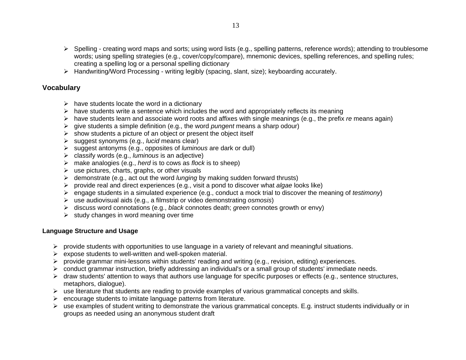- ¾ Spelling creating word maps and sorts; using word lists (e.g., spelling patterns, reference words); attending to troublesome words; using spelling strategies (e.g., cover/copy/compare), mnemonic devices, spelling references, and spelling rules; creating a spelling log or a personal spelling dictionary
- ¾ Handwriting/Word Processing writing legibly (spacing, slant, size); keyboarding accurately.

# **Vocabulary**

- $\triangleright$  have students locate the word in a dictionary
- $\triangleright$  have students write a sentence which includes the word and appropriately reflects its meaning
- ¾ have students learn and associate word roots and affixes with single meanings (e.g., the prefix *re* means again)
- ¾ give students a simple definition (e.g., the word *pungent* means a sharp odour)
- $\triangleright$  show students a picture of an object or present the object itself
- ¾ suggest synonyms (e.g., *lucid* means clear)
- ¾ suggest antonyms (e.g., opposites of *luminous* are dark or dull)
- ¾ classify words (e.g., *luminous* is an adjective)
- ¾ make analogies (e.g., *herd* is to cows as *flock* is to sheep)
- $\triangleright$  use pictures, charts, graphs, or other visuals
- ¾ demonstrate (e.g., act out the word *lunging* by making sudden forward thrusts)
- ¾ provide real and direct experiences (e.g., visit a pond to discover what *algae* looks like)
- ¾ engage students in a simulated experience (e.g., conduct a mock trial to discover the meaning of *testimony*)
- ¾ use audiovisual aids (e.g., a filmstrip or video demonstrating *osmosis*)
- ¾ discuss word connotations (e.g., *black* connotes death; *green* connotes growth or envy)
- $\triangleright$  study changes in word meaning over time

# **Language Structure and Usage**

- $\triangleright$  provide students with opportunities to use language in a variety of relevant and meaningful situations.
- $\triangleright$  expose students to well-written and well-spoken material.
- $\triangleright$  provide grammar mini-lessons within students' reading and writing (e.g., revision, editing) experiences.
- $\triangleright$  conduct grammar instruction, briefly addressing an individual's or a small group of students' immediate needs.
- $\triangleright$  draw students' attention to ways that authors use language for specific purposes or effects (e.g., sentence structures, metaphors, dialogue).
- $\triangleright$  use literature that students are reading to provide examples of various grammatical concepts and skills.
- $\triangleright$  encourage students to imitate language patterns from literature.
- ¾ use examples of student writing to demonstrate the various grammatical concepts. E.g. instruct students individually or in groups as needed using an anonymous student draft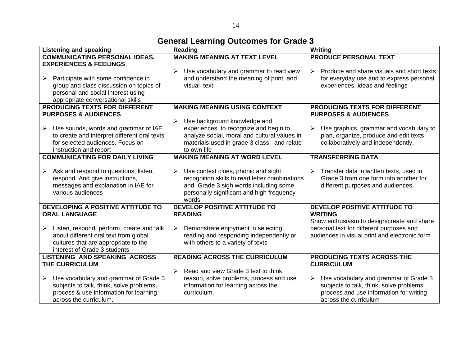| <b>Listening and speaking</b>                                                                                                                                                       | Reading                                                                                                                                                                              | Writing                                                                                                                                               |
|-------------------------------------------------------------------------------------------------------------------------------------------------------------------------------------|--------------------------------------------------------------------------------------------------------------------------------------------------------------------------------------|-------------------------------------------------------------------------------------------------------------------------------------------------------|
| <b>COMMUNICATING PERSONAL IDEAS,</b>                                                                                                                                                | <b>MAKING MEANING AT TEXT LEVEL</b>                                                                                                                                                  | <b>PRODUCE PERSONAL TEXT</b>                                                                                                                          |
| <b>EXPERIENCES &amp; FEELINGS</b><br>Participate with some confidence in<br>$\blacktriangleright$<br>group and class discussion on topics of<br>personal and social interest using  | Use vocabulary and grammar to read view<br>and understand the meaning of print and<br>visual text.                                                                                   | Produce and share visuals and short texts<br>➤<br>for everyday use and to express personal<br>experiences, ideas and feelings                         |
| appropriate conversational skills                                                                                                                                                   |                                                                                                                                                                                      |                                                                                                                                                       |
| PRODUCING TEXTS FOR DIFFERENT<br><b>PURPOSES &amp; AUDIENCES</b>                                                                                                                    | <b>MAKING MEANING USING CONTEXT</b><br>Use background knowledge and<br>≻                                                                                                             | PRODUCING TEXTS FOR DIFFERENT<br><b>PURPOSES &amp; AUDIENCES</b>                                                                                      |
| Use sounds, words and grammar of IAE<br>≻<br>to create and interpret different oral texts<br>for selected audiences. Focus on<br>instruction and report                             | experiences to recognize and begin to<br>analyze social, moral and cultural values in<br>materials used in grade 3 class, and relate<br>to own life                                  | Use graphics, grammar and vocabulary to<br>➤<br>plan, organize, produce and edit texts<br>collaboratively and independently.                          |
| <b>COMMUNICATING FOR DAILY LIVING</b>                                                                                                                                               | <b>MAKING MEANING AT WORD LEVEL</b>                                                                                                                                                  | <b>TRANSFERRING DATA</b>                                                                                                                              |
| Ask and respond to questions, listen,<br>$\blacktriangleright$<br>respond. And give instructions,<br>messages and explanation in IAE for<br>various audiences                       | Use context clues, phonic and sight<br>recognition skills to read letter combinations<br>and Grade 3 sigh words including some<br>personally significant and high frequency<br>words | Transfer data in written texts, used in<br>$\triangleright$<br>Grade 3 from one form into another for<br>different purposes and audiences             |
| DEVELOPING A POSITIVE ATTITUDE TO<br><b>ORAL LANGUAGE</b>                                                                                                                           | <b>DEVELOP POSITIVE ATTITUDE TO</b><br><b>READING</b>                                                                                                                                | DEVELOP POSITIVE ATTITUDE TO<br><b>WRITING</b>                                                                                                        |
| Listen, respond, perform, create and talk<br>$\blacktriangleright$<br>about different oral text from global<br>cultures that are appropriate to the<br>interest of Grade 3 students | Demonstrate enjoyment in selecting,<br>$\triangleright$<br>reading and responding independently or<br>with others to a variety of texts                                              | Show enthusiasm to design/create and share<br>personal text for different purposes and<br>audiences in visual print and electronic form               |
| <b>LISTENING AND SPEAKING ACROSS</b><br>THE CURRICULUM                                                                                                                              | <b>READING ACROSS THE CURRICULUM</b>                                                                                                                                                 | PRODUCING TEXTS ACROSS THE<br><b>CURRICULUM</b>                                                                                                       |
| Use vocabulary and grammar of Grade 3<br>$\blacktriangleright$<br>subjects to talk, think, solve problems,<br>process & use information for learning<br>across the curriculum.      | Read and view Grade 3 text to think,<br>$\blacktriangleright$<br>reason, solve problems, process and use<br>information for learning across the<br>curriculum.                       | Use vocabulary and grammar of Grade 3<br>subjects to talk, think, solve problems,<br>process and use information for writing<br>across the curriculum |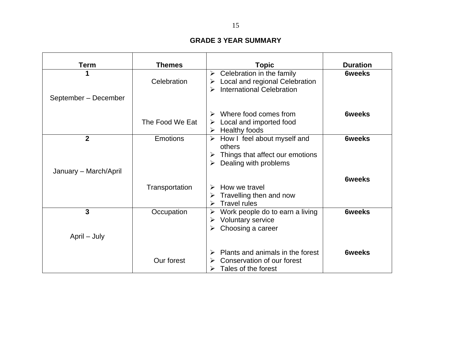#### **GRADE 3 YEAR SUMMARY**

| <b>Term</b>           | <b>Themes</b>   | <b>Topic</b>                                                                                                     | <b>Duration</b> |
|-----------------------|-----------------|------------------------------------------------------------------------------------------------------------------|-----------------|
|                       | Celebration     | Celebration in the family<br>➤<br>Local and regional Celebration<br>➤<br><b>International Celebration</b><br>➤   | <b>6weeks</b>   |
| September - December  |                 |                                                                                                                  |                 |
|                       | The Food We Eat | Where food comes from<br>Local and imported food<br>➤<br>Healthy foods<br>➤                                      | <b>6weeks</b>   |
| $\overline{2}$        | <b>Emotions</b> | How I feel about myself and<br>➤<br>others<br>Things that affect our emotions<br>➤<br>Dealing with problems<br>➤ | <b>6weeks</b>   |
| January - March/April |                 |                                                                                                                  | <b>6weeks</b>   |
|                       | Transportation  | How we travel<br>➤<br>Travelling then and now<br>➤<br><b>Travel rules</b><br>≻                                   |                 |
| $\mathbf{3}$          | Occupation      | Work people do to earn a living<br>➤<br>Voluntary service<br>➤<br>Choosing a career<br>➤                         | <b>6weeks</b>   |
| April – July          |                 |                                                                                                                  |                 |
|                       | Our forest      | Plants and animals in the forest<br>Conservation of our forest<br>≻<br>Tales of the forest                       | <b>6weeks</b>   |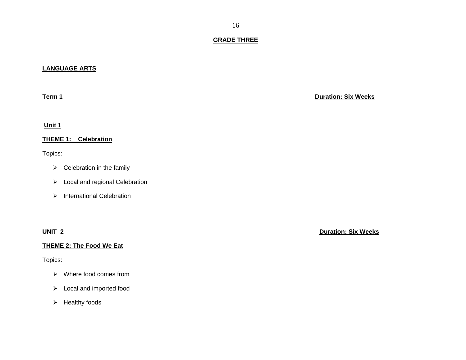#### **GRADE THREE**

#### **LANGUAGE ARTS**

**Term 1**

**Unit 1** 

**THEME 1: Celebration** 

Topics:

- $\triangleright$  Celebration in the family
- ¾ Local and regional Celebration
- ¾ International Celebration

#### **THEME 2: The Food We Eat**

Topics:

- ¾ Where food comes from
- $\triangleright$  Local and imported food
- $\triangleright$  Healthy foods

**Duration: Six Weeks**

**UNIT 2 Duration: Six Weeks**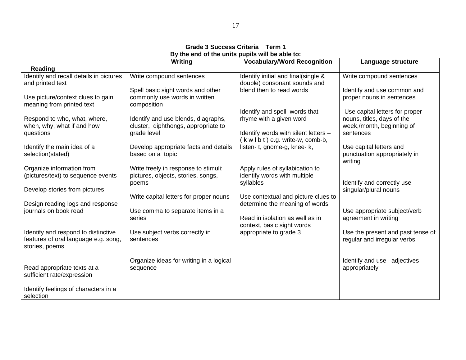#### **Grade 3 Success Criteria Term 1 By the end of the units pupils will be able to:**

|                                                                | <b>Writing</b>                                                             | <b>Vocabulary/Word Recognition</b>                                    | Language structure                                      |
|----------------------------------------------------------------|----------------------------------------------------------------------------|-----------------------------------------------------------------------|---------------------------------------------------------|
| Reading                                                        |                                                                            |                                                                       |                                                         |
| Identify and recall details in pictures                        | Write compound sentences                                                   | Identify initial and final(single &                                   | Write compound sentences                                |
| and printed text                                               |                                                                            | double) consonant sounds and                                          |                                                         |
|                                                                | Spell basic sight words and other                                          | blend then to read words                                              | Identify and use common and                             |
| Use picture/context clues to gain<br>meaning from printed text | commonly use words in written<br>composition                               |                                                                       | proper nouns in sentences                               |
|                                                                |                                                                            | Identify and spell words that                                         | Use capital letters for proper                          |
| Respond to who, what, where,<br>when, why, what if and how     | Identify and use blends, diagraphs,<br>cluster, diphthongs, appropriate to | rhyme with a given word                                               | nouns, titles, days of the<br>week,/month, beginning of |
| questions                                                      | grade level                                                                | Identify words with silent letters -                                  | sentences                                               |
|                                                                |                                                                            | $(kw1b1)$ e.g. write-w, comb-b,                                       |                                                         |
| Identify the main idea of a                                    | Develop appropriate facts and details                                      | listen-t, gnome-g, knee-k,                                            | Use capital letters and                                 |
| selection(stated)                                              | based on a topic                                                           |                                                                       | punctuation appropriately in                            |
|                                                                |                                                                            |                                                                       | writing                                                 |
| Organize information from                                      | Write freely in response to stimuli:                                       | Apply rules of syllabication to                                       |                                                         |
| (pictures/text) to sequence events                             | pictures, objects, stories, songs,                                         | identify words with multiple                                          |                                                         |
|                                                                | poems                                                                      | syllables                                                             | Identify and correctly use                              |
| Develop stories from pictures                                  |                                                                            |                                                                       | singular/plural nouns                                   |
| Design reading logs and response                               | Write capital letters for proper nouns                                     | Use contextual and picture clues to<br>determine the meaning of words |                                                         |
| journals on book read                                          | Use comma to separate items in a                                           |                                                                       | Use appropriate subject/verb                            |
|                                                                | series                                                                     | Read in isolation as well as in                                       | agreement in writing                                    |
|                                                                |                                                                            | context, basic sight words                                            |                                                         |
| Identify and respond to distinctive                            | Use subject verbs correctly in                                             | appropriate to grade 3                                                | Use the present and past tense of                       |
| features of oral language e.g. song,                           | sentences                                                                  |                                                                       | regular and irregular verbs                             |
| stories, poems                                                 |                                                                            |                                                                       |                                                         |
|                                                                |                                                                            |                                                                       |                                                         |
|                                                                | Organize ideas for writing in a logical                                    |                                                                       | Identify and use adjectives                             |
| Read appropriate texts at a                                    | sequence                                                                   |                                                                       | appropriately                                           |
| sufficient rate/expression                                     |                                                                            |                                                                       |                                                         |
| Identify feelings of characters in a                           |                                                                            |                                                                       |                                                         |
| selection                                                      |                                                                            |                                                                       |                                                         |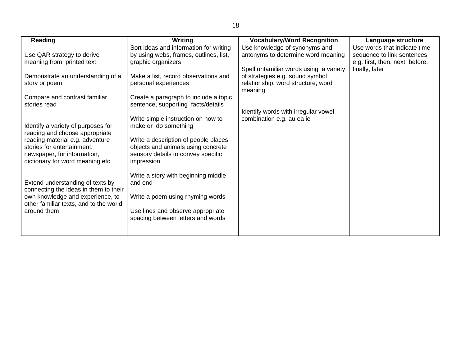| Reading                                                                                                                                                            | Writing                                                                                                                        | <b>Vocabulary/Word Recognition</b>                                                                                         | Language structure              |
|--------------------------------------------------------------------------------------------------------------------------------------------------------------------|--------------------------------------------------------------------------------------------------------------------------------|----------------------------------------------------------------------------------------------------------------------------|---------------------------------|
|                                                                                                                                                                    | Sort ideas and information for writing                                                                                         | Use knowledge of synonyms and                                                                                              | Use words that indicate time    |
| Use QAR strategy to derive                                                                                                                                         | by using webs, frames, outlines, list,                                                                                         | antonyms to determine word meaning                                                                                         | sequence to link sentences      |
| meaning from printed text                                                                                                                                          | graphic organizers                                                                                                             |                                                                                                                            | e.g. first, then, next, before, |
| Demonstrate an understanding of a<br>story or poem                                                                                                                 | Make a list, record observations and<br>personal experiences                                                                   | Spell unfamiliar words using a variety<br>of strategies e.g. sound symbol<br>relationship, word structure, word<br>meaning | finally, later                  |
| Compare and contrast familiar                                                                                                                                      | Create a paragraph to include a topic                                                                                          |                                                                                                                            |                                 |
| stories read<br>Identify a variety of purposes for                                                                                                                 | sentence, supporting facts/details<br>Write simple instruction on how to<br>make or do something                               | Identify words with irregular vowel<br>combination e.g. au ea ie                                                           |                                 |
| reading and choose appropriate<br>reading material e.g. adventure<br>stories for entertainment,<br>newspaper, for information,<br>dictionary for word meaning etc. | Write a description of people places<br>objects and animals using concrete<br>sensory details to convey specific<br>impression |                                                                                                                            |                                 |
| Extend understanding of texts by<br>connecting the ideas in them to their<br>own knowledge and experience, to<br>other familiar texts, and to the world            | Write a story with beginning middle<br>and end<br>Write a poem using rhyming words                                             |                                                                                                                            |                                 |
| around them                                                                                                                                                        | Use lines and observe appropriate<br>spacing between letters and words                                                         |                                                                                                                            |                                 |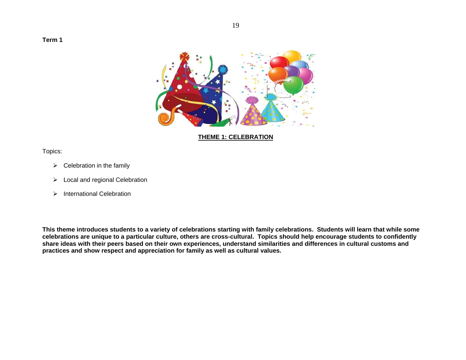**Term 1** 



**THEME 1: CELEBRATION**

Topics:

- $\triangleright$  Celebration in the family
- $\triangleright$  Local and regional Celebration
- ¾ International Celebration

**This theme introduces students to a variety of celebrations starting with family celebrations. Students will learn that while some celebrations are unique to a particular culture, others are cross-cultural. Topics should help encourage students to confidently share ideas with their peers based on their own experiences, understand similarities and differences in cultural customs and practices and show respect and appreciation for family as well as cultural values.**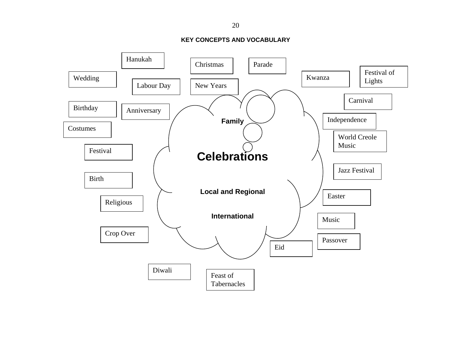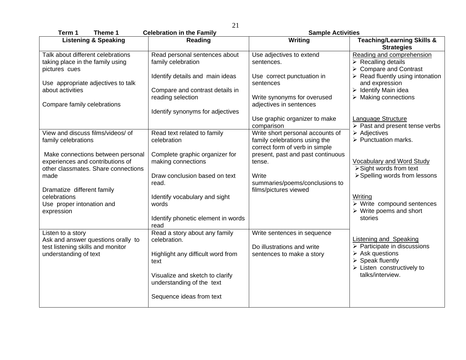| Term 1<br>Theme 1                                                       | <b>Celebration in the Family</b>                             | <b>Sample Activities</b>                                                                            |                                                                                                                  |
|-------------------------------------------------------------------------|--------------------------------------------------------------|-----------------------------------------------------------------------------------------------------|------------------------------------------------------------------------------------------------------------------|
| <b>Listening &amp; Speaking</b>                                         | Reading                                                      | Writing                                                                                             | <b>Teaching/Learning Skills &amp;</b><br><b>Strategies</b>                                                       |
| Talk about different celebrations<br>taking place in the family using   | Read personal sentences about<br>family celebration          | Use adjectives to extend<br>sentences.                                                              | Reading and comprehension<br>$\triangleright$ Recalling details                                                  |
| pictures cues<br>Use appropriate adjectives to talk                     | Identify details and main ideas                              | Use correct punctuation in<br>sentences                                                             | > Compare and Contrast<br>$\triangleright$ Read fluently using intonation<br>and expression                      |
| about activities                                                        | Compare and contrast details in<br>reading selection         | Write synonyms for overused<br>adjectives in sentences                                              | $\triangleright$ Identify Main idea<br>$\triangleright$ Making connections                                       |
| Compare family celebrations                                             | Identify synonyms for adjectives                             | Use graphic organizer to make                                                                       | Language Structure                                                                                               |
|                                                                         |                                                              | comparison                                                                                          | $\overline{\triangleright}$ Past and present tense verbs                                                         |
| View and discuss films/videos/ of<br>family celebrations                | Read text related to family<br>celebration                   | Write short personal accounts of<br>family celebrations using the<br>correct form of verb in simple | $\triangleright$ Adjectives<br>$\triangleright$ Punctuation marks.                                               |
| Make connections between personal                                       | Complete graphic organizer for                               | present, past and past continuous                                                                   |                                                                                                                  |
| experiences and contributions of<br>other classmates. Share connections | making connections                                           | tense.                                                                                              | <b>Vocabulary and Word Study</b><br>$\triangleright$ Sight words from text                                       |
| made                                                                    | Draw conclusion based on text                                | Write                                                                                               | > Spelling words from lessons                                                                                    |
|                                                                         | read.                                                        | summaries/poems/conclusions to                                                                      |                                                                                                                  |
| Dramatize different family                                              |                                                              | films/pictures viewed                                                                               |                                                                                                                  |
| celebrations                                                            | Identify vocabulary and sight<br>words                       |                                                                                                     | Writing<br>$\triangleright$ Write compound sentences                                                             |
| Use proper intonation and<br>expression                                 |                                                              |                                                                                                     | $\triangleright$ Write poems and short                                                                           |
|                                                                         | Identify phonetic element in words<br>read                   |                                                                                                     | stories                                                                                                          |
| Listen to a story<br>Ask and answer questions orally to                 | Read a story about any family<br>celebration.                | Write sentences in sequence                                                                         | <b>Listening and Speaking</b>                                                                                    |
| test listening skills and monitor<br>understanding of text              | Highlight any difficult word from<br>text                    | Do illustrations and write<br>sentences to make a story                                             | $\triangleright$ Participate in discussions<br>$\triangleright$ Ask questions<br>$\triangleright$ Speak fluently |
|                                                                         | Visualize and sketch to clarify<br>understanding of the text |                                                                                                     | $\triangleright$ Listen constructively to<br>talks/interview.                                                    |
|                                                                         | Sequence ideas from text                                     |                                                                                                     |                                                                                                                  |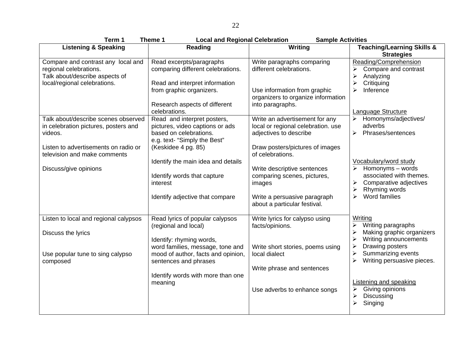| Term 1<br>Theme 1<br><b>Local and Regional Celebration</b><br><b>Sample Activities</b>                                                                         |                                                                                                                                                                                       |                                                                                                                                                       |                                                                                                                                                                                                                                       |
|----------------------------------------------------------------------------------------------------------------------------------------------------------------|---------------------------------------------------------------------------------------------------------------------------------------------------------------------------------------|-------------------------------------------------------------------------------------------------------------------------------------------------------|---------------------------------------------------------------------------------------------------------------------------------------------------------------------------------------------------------------------------------------|
| <b>Listening &amp; Speaking</b>                                                                                                                                | Reading                                                                                                                                                                               | Writing                                                                                                                                               | <b>Teaching/Learning Skills &amp;</b><br><b>Strategies</b>                                                                                                                                                                            |
| Compare and contrast any local and<br>regional celebrations.<br>Talk about/describe aspects of<br>local/regional celebrations.                                 | Read excerpts/paragraphs<br>comparing different celebrations.<br>Read and interpret information<br>from graphic organizers.<br>Research aspects of different<br>celebrations.         | Write paragraphs comparing<br>different celebrations.<br>Use information from graphic<br>organizers to organize information<br>into paragraphs.       | Reading/Comprehension<br>Compare and contrast<br>≻<br>$\blacktriangleright$<br>Analyzing<br>$\blacktriangleright$<br>Critiquing<br>Inference<br>≻<br>Language Structure                                                               |
| Talk about/describe scenes observed<br>in celebration pictures, posters and<br>videos.<br>Listen to advertisements on radio or<br>television and make comments | Read and interpret posters,<br>pictures, video captions or ads<br>based on celebrations.<br>e.g. text- "Simply the Best"<br>(Keskidee 4 pg. 85)<br>Identify the main idea and details | Write an advertisement for any<br>local or regional celebration. use<br>adjectives to describe<br>Draw posters/pictures of images<br>of celebrations. | Homonyms/adjectives/<br>adverbs<br>$\blacktriangleright$<br>Phrases/sentences<br>Vocabulary/word study                                                                                                                                |
| Discuss/give opinions                                                                                                                                          | Identify words that capture<br>interest<br>Identify adjective that compare                                                                                                            | Write descriptive sentences<br>comparing scenes, pictures,<br>images<br>Write a persuasive paragraph<br>about a particular festival.                  | Homonyms - words<br>$\blacktriangleright$<br>associated with themes.<br>➤<br>Comparative adjectives<br>Rhyming words<br>≻<br>Word families<br>$\blacktriangleright$                                                                   |
| Listen to local and regional calypsos<br>Discuss the lyrics<br>Use popular tune to sing calypso                                                                | Read lyrics of popular calypsos<br>(regional and local)<br>Identify: rhyming words,<br>word families, message, tone and<br>mood of author, facts and opinion,                         | Write lyrics for calypso using<br>facts/opinions.<br>Write short stories, poems using<br>local dialect                                                | Writing<br>Writing paragraphs<br>⋗<br>$\blacktriangleright$<br>Making graphic organizers<br>$\blacktriangleright$<br>Writing announcements<br>$\blacktriangleright$<br>Drawing posters<br>$\blacktriangleright$<br>Summarizing events |
| composed                                                                                                                                                       | sentences and phrases<br>Identify words with more than one<br>meaning                                                                                                                 | Write phrase and sentences<br>Use adverbs to enhance songs                                                                                            | $\blacktriangleright$<br>Writing persuasive pieces.<br><b>Listening and speaking</b><br>Giving opinions<br>➤<br>Discussing<br>≻<br>$\blacktriangleright$<br>Singing                                                                   |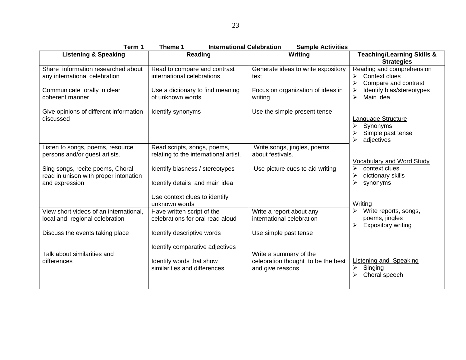| Term 1                                                                                      | <b>International Celebration</b><br>Theme 1                                                 | <b>Sample Activities</b>                                                         |                                                                                                                 |
|---------------------------------------------------------------------------------------------|---------------------------------------------------------------------------------------------|----------------------------------------------------------------------------------|-----------------------------------------------------------------------------------------------------------------|
| <b>Listening &amp; Speaking</b>                                                             | Reading                                                                                     | Writing                                                                          | <b>Teaching/Learning Skills &amp;</b><br><b>Strategies</b>                                                      |
| Share information researched about<br>any international celebration                         | Read to compare and contrast<br>international celebrations                                  | Generate ideas to write expository<br>text                                       | Reading and comprehension<br>Context clues<br>$\triangleright$<br>Compare and contrast<br>$\blacktriangleright$ |
| Communicate orally in clear<br>coherent manner                                              | Use a dictionary to find meaning<br>of unknown words                                        | Focus on organization of ideas in<br>writing                                     | Identify bias/stereotypes<br>Main idea<br>$\blacktriangleright$                                                 |
| Give opinions of different information<br>discussed                                         | Identify synonyms                                                                           | Use the simple present tense                                                     | Language Structure<br>➤<br>Synonyms<br>Simple past tense<br>adjectives                                          |
| Listen to songs, poems, resource<br>persons and/or guest artists.                           | Read scripts, songs, poems,<br>relating to the international artist.                        | Write songs, jingles, poems<br>about festivals.                                  |                                                                                                                 |
| Sing songs, recite poems, Choral<br>read in unison with proper intonation<br>and expression | Identify biasness / stereotypes<br>Identify details and main idea                           | Use picture cues to aid writing                                                  | Vocabulary and Word Study<br>context clues<br>≻<br>dictionary skills<br>≻<br>≻<br>synonyms                      |
|                                                                                             | Use context clues to identify<br>unknown words                                              |                                                                                  | Writing                                                                                                         |
| View short videos of an international,<br>local and regional celebration                    | Have written script of the<br>celebrations for oral read aloud                              | Write a report about any<br>international celebration                            | Write reports, songs,<br>poems, jingles<br><b>Expository writing</b><br>≻                                       |
| Discuss the events taking place                                                             | Identify descriptive words                                                                  | Use simple past tense                                                            |                                                                                                                 |
| Talk about similarities and<br>differences                                                  | Identify comparative adjectives<br>Identify words that show<br>similarities and differences | Write a summary of the<br>celebration thought to be the best<br>and give reasons | <b>Listening and Speaking</b><br>Singing<br>≻<br>Choral speech<br>≻                                             |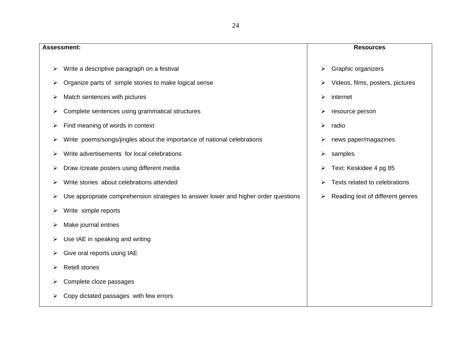|   | <b>Assessment:</b>                                                                  |   | <b>Resources</b>                 |
|---|-------------------------------------------------------------------------------------|---|----------------------------------|
| ➤ | Write a descriptive paragraph on a festival                                         | ⋗ | Graphic organizers               |
| ➤ | Organize parts of simple stories to make logical sense                              | ⋗ | Videos, films, posters, pictures |
| ➤ | Match sentences with pictures                                                       | ≻ | internet                         |
| ≻ | Complete sentences using grammatical structures                                     | ⋗ | resource person                  |
| ➤ | Find meaning of words in context                                                    | ≻ | radio                            |
| ➤ | Write poems/songs/jingles about the importance of national celebrations             | ⋗ | news paper/magazines             |
| ➤ | Write advertisements for local celebrations                                         | ➤ | samples                          |
| ➤ | Draw /create posters using different media                                          | ⋗ | Text: Keskidee 4 pg 85           |
| ➤ | Write stories about celebrations attended                                           | ⋗ | Texts related to celebrations    |
| ➤ | Use appropriate comprehension strategies to answer lower and higher order questions | ≻ | Reading text of different genres |
| ➤ | Write simple reports                                                                |   |                                  |
| ➤ | Make journal entries                                                                |   |                                  |
| ➤ | Use IAE in speaking and writing                                                     |   |                                  |
| ➤ | Give oral reports using IAE                                                         |   |                                  |
| ⋗ | <b>Retell stories</b>                                                               |   |                                  |
|   | Complete cloze passages                                                             |   |                                  |
| ≻ | Copy dictated passages with few errors                                              |   |                                  |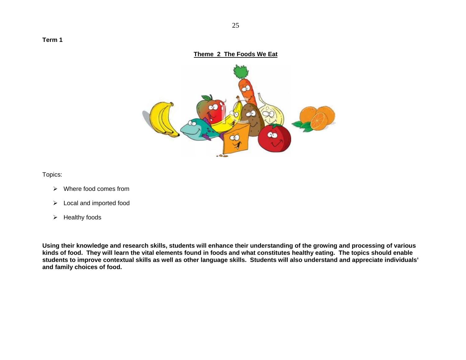#### **Theme 2 The Foods We Eat**



Topics:

- ¾ Where food comes from
- $\triangleright$  Local and imported food
- $\triangleright$  Healthy foods

**Using their knowledge and research skills, students will enhance their understanding of the growing and processing of various kinds of food. They will learn the vital elements found in foods and what constitutes healthy eating. The topics should enable students to improve contextual skills as well as other language skills. Students will also understand and appreciate individuals' and family choices of food.**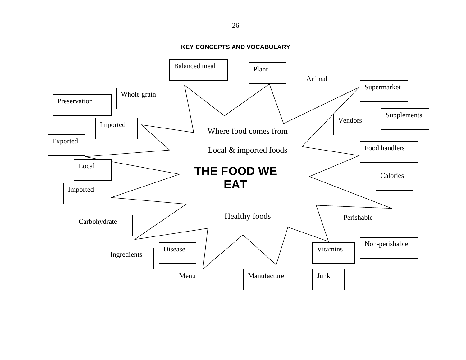**KEY CONCEPTS AND VOCABULARY** 

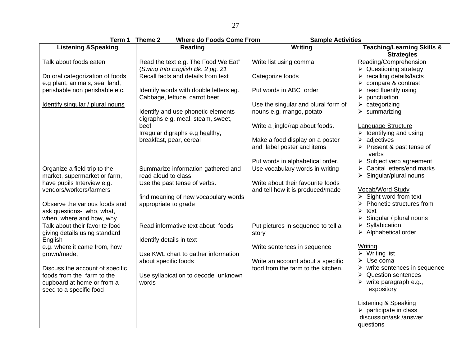|                                                                                                                                                                                                                                                     | <b>Where do Foods Come From</b><br>Term 1 Theme 2                                                                                                                                        | <b>Sample Activities</b>                                                                                                                                                                                |                                                                                                                                                                                                                                                                                                                                                                                                                  |
|-----------------------------------------------------------------------------------------------------------------------------------------------------------------------------------------------------------------------------------------------------|------------------------------------------------------------------------------------------------------------------------------------------------------------------------------------------|---------------------------------------------------------------------------------------------------------------------------------------------------------------------------------------------------------|------------------------------------------------------------------------------------------------------------------------------------------------------------------------------------------------------------------------------------------------------------------------------------------------------------------------------------------------------------------------------------------------------------------|
| <b>Listening &amp;Speaking</b>                                                                                                                                                                                                                      | Reading                                                                                                                                                                                  | Writing                                                                                                                                                                                                 | <b>Teaching/Learning Skills &amp;</b><br><b>Strategies</b>                                                                                                                                                                                                                                                                                                                                                       |
| Talk about foods eaten<br>Do oral categorization of foods<br>e.g plant, animals, sea, land,<br>perishable non perishable etc.                                                                                                                       | Read the text e.g. The Food We Eat"<br>(Swing Into English Bk. 2 pg. 21<br>Recall facts and details from text<br>Identify words with double letters eg.<br>Cabbage, lettuce, carrot beet | Write list using comma<br>Categorize foods<br>Put words in ABC order                                                                                                                                    | Reading/Comprehension<br>$\triangleright$ Questioning strategy<br>$\triangleright$ recalling details/facts<br>$\triangleright$ compare & contrast<br>$\triangleright$ read fluently using<br>$\triangleright$ punctuation                                                                                                                                                                                        |
| Identify singular / plural nouns                                                                                                                                                                                                                    | Identify and use phonetic elements -<br>digraphs e.g. meal, steam, sweet,<br>beef<br>Irregular digraphs e.g healthy,<br>breakfast, pear, cereal                                          | Use the singular and plural form of<br>nouns e.g. mango, potato<br>Write a jingle/rap about foods.<br>Make a food display on a poster<br>and label poster and items<br>Put words in alphabetical order. | $\triangleright$ categorizing<br>$\triangleright$ summarizing<br>Language Structure<br>$\triangleright$ Identifying and using<br>$\triangleright$ adjectives<br>$\triangleright$ Present & past tense of<br>verbs<br>$\triangleright$ Subject verb agreement                                                                                                                                                     |
| Organize a field trip to the<br>market, supermarket or farm,<br>have pupils Interview e.g.<br>vendors/workers/farmers<br>Observe the various foods and<br>ask questions- who, what,<br>when, where and how, why                                     | Summarize information gathered and<br>read aloud to class<br>Use the past tense of verbs.<br>find meaning of new vocabulary words<br>appropriate to grade                                | Use vocabulary words in writing<br>Write about their favourite foods<br>and tell how it is produced/made                                                                                                | $\triangleright$ Capital letters/end marks<br>$\triangleright$ Singular/plural nouns<br>Vocab/Word Study<br>$\triangleright$ Sight word from text<br>$\triangleright$ Phonetic structures from<br>$\triangleright$ text<br>$\triangleright$ Singular / plural nouns                                                                                                                                              |
| Talk about their favorite food<br>giving details using standard<br>English<br>e.g. where it came from, how<br>grown/made,<br>Discuss the account of specific<br>foods from the farm to the<br>cupboard at home or from a<br>seed to a specific food | Read informative text about foods<br>Identify details in text<br>Use KWL chart to gather information<br>about specific foods<br>Use syllabication to decode unknown<br>words             | Put pictures in sequence to tell a<br>story<br>Write sentences in sequence<br>Write an account about a specific<br>food from the farm to the kitchen.                                                   | $\triangleright$ Syllabication<br>$\triangleright$ Alphabetical order<br>Writing<br>$\triangleright$ Writing list<br>$\triangleright$ Use coma<br>$\triangleright$ write sentences in sequence<br>$\triangleright$ Question sentences<br>$\triangleright$ write paragraph e.g.,<br>expository<br><b>Listening &amp; Speaking</b><br>$\triangleright$ participate in class<br>discussion/ask /answer<br>questions |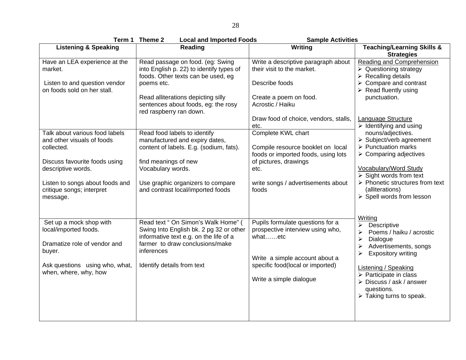| Term 1                                                                                                                                                | Theme 2<br><b>Local and Imported Foods</b>                                                                                                                                                                                               | <b>Sample Activities</b>                                                                                                                                                         |                                                                                                                                                                                                                                                                 |
|-------------------------------------------------------------------------------------------------------------------------------------------------------|------------------------------------------------------------------------------------------------------------------------------------------------------------------------------------------------------------------------------------------|----------------------------------------------------------------------------------------------------------------------------------------------------------------------------------|-----------------------------------------------------------------------------------------------------------------------------------------------------------------------------------------------------------------------------------------------------------------|
| <b>Listening &amp; Speaking</b>                                                                                                                       | <b>Reading</b>                                                                                                                                                                                                                           | Writing                                                                                                                                                                          | <b>Teaching/Learning Skills &amp;</b><br><b>Strategies</b>                                                                                                                                                                                                      |
| Have an LEA experience at the<br>market.<br>Listen to and question vendor<br>on foods sold on her stall.                                              | Read passage on food. (eg: Swing<br>into English p. 22) to identify types of<br>foods. Other texts can be used, eg<br>poems etc.<br>Read alliterations depicting silly<br>sentences about foods, eg: the rosy<br>red raspberry ran down. | Write a descriptive paragraph about<br>their visit to the market.<br>Describe foods<br>Create a poem on food.<br>Acrostic / Haiku                                                | Reading and Comprehension<br>$\triangleright$ Questioning strategy<br>$\triangleright$ Recalling details<br>$\triangleright$ Compare and contrast<br>$\triangleright$ Read fluently using<br>punctuation.                                                       |
| Talk about various food labels                                                                                                                        | Read food labels to identify                                                                                                                                                                                                             | Draw food of choice, vendors, stalls,<br>etc.<br>Complete KWL chart                                                                                                              | Language Structure<br>$\triangleright$ Identifying and using<br>nouns/adjectives.                                                                                                                                                                               |
| and other visuals of foods<br>collected.                                                                                                              | manufactured and expiry dates,<br>content of labels. E.g. (sodium, fats).                                                                                                                                                                | Compile resource booklet on local<br>foods or imported foods, using lots                                                                                                         | $\triangleright$ Subject/verb agreement<br>$\triangleright$ Punctuation marks<br>$\triangleright$ Comparing adjectives                                                                                                                                          |
| Discuss favourite foods using<br>descriptive words.                                                                                                   | find meanings of new<br>Vocabulary words.                                                                                                                                                                                                | of pictures, drawings<br>etc.                                                                                                                                                    | <b>Vocabulary/Word Study</b><br>$\triangleright$ Sight words from text                                                                                                                                                                                          |
| Listen to songs about foods and<br>critique songs; interpret<br>message.                                                                              | Use graphic organizers to compare<br>and contrast local/imported foods                                                                                                                                                                   | write songs / advertisements about<br>foods                                                                                                                                      | $\triangleright$ Phonetic structures from text<br>(alliterations)<br>> Spell words from lesson                                                                                                                                                                  |
| Set up a mock shop with<br>local/imported foods.<br>Dramatize role of vendor and<br>buyer.<br>Ask questions using who, what,<br>when, where, why, how | Read text " On Simon's Walk Home" (<br>Swing Into English bk. 2 pg 32 or other<br>informative text e.g. on the life of a<br>farmer to draw conclusions/make<br>inferences<br>Identify details from text                                  | Pupils formulate questions for a<br>prospective interview using who,<br>whatetc<br>Write a simple account about a<br>specific food(local or imported)<br>Write a simple dialogue | Writing<br>Descriptive<br>➤<br>Poems / haiku / acrostic<br>≻<br>Dialogue<br>➤<br>Advertisements, songs<br>➤<br><b>Expository writing</b><br>➤<br><b>Listening / Speaking</b><br>$\triangleright$ Participate in class<br>> Discuss / ask / answer<br>questions. |
|                                                                                                                                                       |                                                                                                                                                                                                                                          |                                                                                                                                                                                  | $\triangleright$ Taking turns to speak.                                                                                                                                                                                                                         |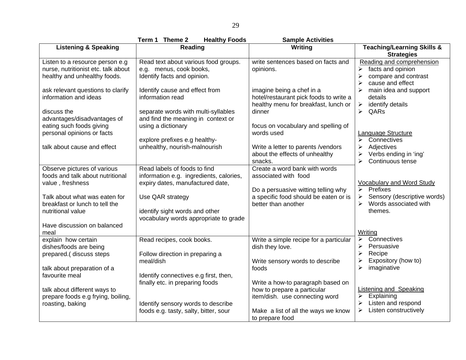|                                                                                                        | Term 1 Theme 2<br><b>Healthy Foods</b>                                                                      | <b>Sample Activities</b>                                                                                    |                                                                                                                |
|--------------------------------------------------------------------------------------------------------|-------------------------------------------------------------------------------------------------------------|-------------------------------------------------------------------------------------------------------------|----------------------------------------------------------------------------------------------------------------|
| <b>Listening &amp; Speaking</b>                                                                        | Reading                                                                                                     | Writing                                                                                                     | <b>Teaching/Learning Skills &amp;</b><br><b>Strategies</b>                                                     |
| Listen to a resource person e.g<br>nurse, nutritionist etc. talk about<br>healthy and unhealthy foods. | Read text about various food groups.<br>e.g. menus, cook books,<br>Identify facts and opinion.              | write sentences based on facts and<br>opinions.                                                             | Reading and comprehension<br>facts and opinion<br>➤<br>compare and contrast<br>≻<br>cause and effect           |
| ask relevant questions to clarify<br>information and ideas                                             | Identify cause and effect from<br>information read                                                          | imagine being a chef in a<br>hotel/restaurant pick foods to write a<br>healthy menu for breakfast, lunch or | main idea and support<br>details<br>identify details<br>$\blacktriangleright$                                  |
| discuss the<br>advantages/disadvantages of                                                             | separate words with multi-syllables<br>and find the meaning in context or                                   | dinner                                                                                                      | QARs<br>$\blacktriangleright$                                                                                  |
| eating such foods giving<br>personal opinions or facts                                                 | using a dictionary                                                                                          | focus on vocabulary and spelling of<br>words used                                                           | Language Structure<br>Connectives<br>➤                                                                         |
| talk about cause and effect                                                                            | explore prefixes e.g healthy-<br>unhealthy, nourish-malnourish                                              | Write a letter to parents /vendors<br>about the effects of unhealthy<br>snacks.                             | Adjectives<br>➤<br>$\blacktriangleright$<br>Verbs ending in 'ing'<br>$\blacktriangleright$<br>Continuous tense |
| Observe pictures of various<br>foods and talk about nutritional<br>value, freshness                    | Read labels of foods to find<br>information e.g. ingredients, calories,<br>expiry dates, manufactured date, | Create a word bank with words<br>associated with food<br>Do a persuasive witting telling why                | <b>Vocabulary and Word Study</b><br>Prefixes<br>$\triangleright$                                               |
| Talk about what was eaten for<br>breakfast or lunch to tell the<br>nutritional value                   | Use QAR strategy<br>identify sight words and other<br>vocabulary words appropriate to grade                 | a specific food should be eaten or is<br>better than another                                                | Sensory (descriptive words)<br>➤<br>$\blacktriangleright$<br>Words associated with<br>themes.                  |
| Have discussion on balanced<br>meal                                                                    |                                                                                                             |                                                                                                             | Writing                                                                                                        |
| explain how certain<br>dishes/foods are being                                                          | Read recipes, cook books.                                                                                   | Write a simple recipe for a particular<br>dish they love.                                                   | Connectives<br>≻<br>Persuasive<br>≻<br>Recipe                                                                  |
| prepared.( discuss steps<br>talk about preparation of a                                                | Follow direction in preparing a<br>meal/dish                                                                | Write sensory words to describe<br>foods                                                                    | ➤<br>Expository (how to)<br>≻<br>$\blacktriangleright$<br>imaginative                                          |
| favourite meal                                                                                         | Identify connectives e.g first, then,<br>finally etc. in preparing foods                                    | Write a how-to paragraph based on                                                                           |                                                                                                                |
| talk about different ways to<br>prepare foods e.g frying, boiling,                                     |                                                                                                             | how to prepare a particular<br>item/dish. use connecting word                                               | <b>Listening and Speaking</b><br>Explaining<br>➤                                                               |
| roasting, baking                                                                                       | Identify sensory words to describe<br>foods e.g. tasty, salty, bitter, sour                                 | Make a list of all the ways we know<br>to prepare food                                                      | Listen and respond<br>➤<br>Listen constructively<br>➤                                                          |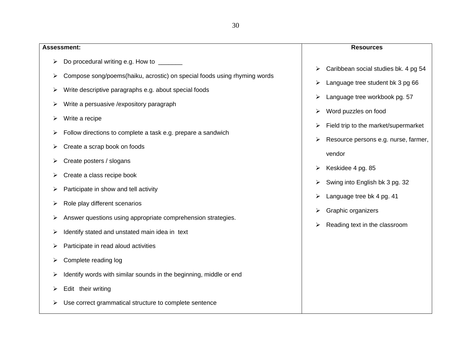| <b>Assessment:</b>                                                                                                                                                                                                                                                                                                                                         | <b>Resources</b>                                                                                                                                                                                                                            |
|------------------------------------------------------------------------------------------------------------------------------------------------------------------------------------------------------------------------------------------------------------------------------------------------------------------------------------------------------------|---------------------------------------------------------------------------------------------------------------------------------------------------------------------------------------------------------------------------------------------|
| Do procedural writing e.g. How to ______<br>≻                                                                                                                                                                                                                                                                                                              | Caribbean social studies bk. 4 pg 54                                                                                                                                                                                                        |
| Compose song/poems(haiku, acrostic) on special foods using rhyming words<br>➤<br>Write descriptive paragraphs e.g. about special foods<br>➤<br>Write a persuasive / expository paragraph<br>➤<br>Write a recipe<br>⋗<br>Follow directions to complete a task e.g. prepare a sandwich<br>Create a scrap book on foods<br>➤<br>Create posters / slogans<br>⋗ | ➤<br>Language tree student bk 3 pg 66<br>⋗<br>Language tree workbook pg. 57<br>⋗<br>Word puzzles on food<br>➤<br>Field trip to the market/supermarket<br>➤<br>Resource persons e.g. nurse, farmer,<br>➤<br>vendor<br>Keskidee 4 pg. 85<br>➤ |
| Create a class recipe book<br>➤<br>Participate in show and tell activity<br>➤<br>Role play different scenarios<br>➤<br>Answer questions using appropriate comprehension strategies.<br>➤<br>Identify stated and unstated main idea in text<br>⋗<br>Participate in read aloud activities<br>⋗<br>Complete reading log<br>➤                                  | Swing into English bk 3 pg. 32<br>➤<br>Language tree bk 4 pg. 41<br>➤<br>Graphic organizers<br>➤<br>Reading text in the classroom<br>➤                                                                                                      |
| Identify words with similar sounds in the beginning, middle or end<br>➤<br>Edit their writing<br>➤<br>Use correct grammatical structure to complete sentence                                                                                                                                                                                               |                                                                                                                                                                                                                                             |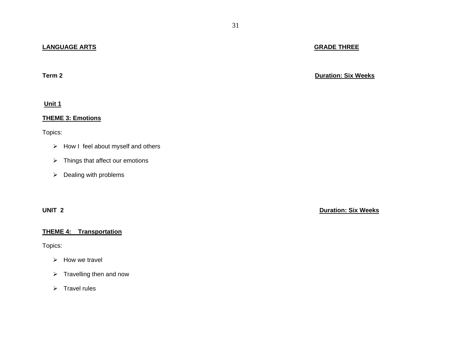## **LANGUAGE ARTS**

**Term 2**

**Unit 1** 

#### **THEME 3: Emotions**

Topics:

- $\triangleright$  How I feel about myself and others
- $\triangleright$  Things that affect our emotions
- $\triangleright$  Dealing with problems

## **THEME 4: Transportation**

Topics:

- ¾ How we travel
- $\triangleright$  Travelling then and now
- $\triangleright$  Travel rules

**Duration: Six Weeks**

**UNIT 2 Duration: Six Weeks**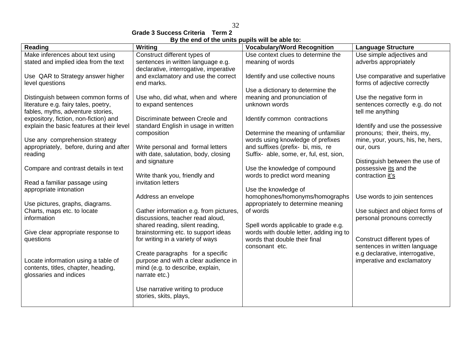## 32

**Grade 3 Success Criteria Term 2** 

|--|

| Reading                                   | by the charge the annual pupils will be able to<br><b>Writing</b> | <b>Vocabulary/Word Recognition</b>      | <b>Language Structure</b>         |
|-------------------------------------------|-------------------------------------------------------------------|-----------------------------------------|-----------------------------------|
| Make inferences about text using          | Construct different types of                                      | Use context clues to determine the      | Use simple adjectives and         |
| stated and implied idea from the text     | sentences in written language e.g.                                | meaning of words                        | adverbs appropriately             |
|                                           | declarative, interrogative, imperative                            |                                         |                                   |
| Use QAR to Strategy answer higher         | and exclamatory and use the correct                               | Identify and use collective nouns       | Use comparative and superlative   |
| level questions                           | end marks.                                                        |                                         | forms of adjective correctly      |
|                                           |                                                                   | Use a dictionary to determine the       |                                   |
| Distinguish between common forms of       | Use who, did what, when and where                                 | meaning and pronunciation of            | Use the negative form in          |
| literature e.g. fairy tales, poetry,      | to expand sentences                                               | unknown words                           | sentences correctly e.g. do not   |
| fables, myths, adventure stories,         |                                                                   |                                         |                                   |
|                                           | Discriminate between Creole and                                   | Identify common contractions            | tell me anything                  |
| expository, fiction, non-fiction) and     |                                                                   |                                         |                                   |
| explain the basic features at their level | standard English in usage in written                              |                                         | Identify and use the possessive   |
|                                           | composition                                                       | Determine the meaning of unfamiliar     | pronouns; their, theirs, my,      |
| Use any comprehension strategy            |                                                                   | words using knowledge of prefixes       | mine, your, yours, his, he, hers, |
| appropriately, before, during and after   | Write personal and formal letters                                 | and suffixes (prefix- bi, mis, re       | our, ours                         |
| reading                                   | with date, salutation, body, closing                              | Suffix- able, some, er, ful, est, sion, |                                   |
|                                           | and signature                                                     |                                         | Distinguish between the use of    |
| Compare and contrast details in text      |                                                                   | Use the knowledge of compound           | possessive its and the            |
|                                           | Write thank you, friendly and                                     | words to predict word meaning           | contraction it's                  |
| Read a familiar passage using             | invitation letters                                                |                                         |                                   |
| appropriate intonation                    |                                                                   | Use the knowledge of                    |                                   |
|                                           | Address an envelope                                               | homophones/homonyms/homographs          | Use words to join sentences       |
| Use pictures, graphs, diagrams.           |                                                                   | appropriately to determine meaning      |                                   |
| Charts, maps etc. to locate               | Gather information e.g. from pictures,                            | of words                                | Use subject and object forms of   |
| information                               | discussions, teacher read aloud,                                  |                                         | personal pronouns correctly       |
|                                           | shared reading, silent reading,                                   | Spell words applicable to grade e.g.    |                                   |
| Give clear appropriate response to        | brainstorming etc. to support ideas                               | words with double letter, adding ing to |                                   |
| questions                                 | for writing in a variety of ways                                  | words that double their final           | Construct different types of      |
|                                           |                                                                   | consonant etc.                          | sentences in written language     |
|                                           | Create paragraphs for a specific                                  |                                         | e.g declarative, interrogative,   |
| Locate information using a table of       | purpose and with a clear audience in                              |                                         | imperative and exclamatory        |
| contents, titles, chapter, heading,       | mind (e.g. to describe, explain,                                  |                                         |                                   |
| glossaries and indices                    | narrate etc.)                                                     |                                         |                                   |
|                                           |                                                                   |                                         |                                   |
|                                           | Use narrative writing to produce                                  |                                         |                                   |
|                                           | stories, skits, plays,                                            |                                         |                                   |
|                                           |                                                                   |                                         |                                   |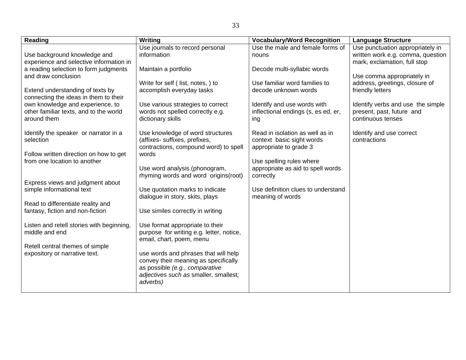| <b>Reading</b>                                                                            | Writing                                                                                                                                                             | <b>Vocabulary/Word Recognition</b>                                                     | <b>Language Structure</b>                                                                             |
|-------------------------------------------------------------------------------------------|---------------------------------------------------------------------------------------------------------------------------------------------------------------------|----------------------------------------------------------------------------------------|-------------------------------------------------------------------------------------------------------|
| Use background knowledge and<br>experience and selective information in                   | Use journals to record personal<br>information                                                                                                                      | Use the male and female forms of<br>nouns                                              | Use punctuation appropriately in<br>written work e.g. comma, question<br>mark, exclamation, full stop |
| a reading selection to form judgments<br>and draw conclusion                              | Maintain a portfolio                                                                                                                                                | Decode multi-syllabic words                                                            | Use comma appropriately in                                                                            |
| Extend understanding of texts by<br>connecting the ideas in them to their                 | Write for self (list, notes, ) to<br>accomplish everyday tasks                                                                                                      | Use familiar word families to<br>decode unknown words                                  | address, greetings, closure of<br>friendly letters                                                    |
| own knowledge and experience, to<br>other familiar texts, and to the world<br>around them | Use various strategies to correct<br>words not spelled correctly e.g.<br>dictionary skills                                                                          | Identify and use words with<br>inflectional endings (s, es ed, er,<br>ing              | Identify verbs and use the simple<br>present, past, future and<br>continuous tenses                   |
| Identify the speaker or narrator in a<br>selection                                        | Use knowledge of word structures<br>(affixes- suffixes, prefixes,<br>contractions, compound word) to spell                                                          | Read in isolation as well as in<br>context basic sight words<br>appropriate to grade 3 | Identify and use correct<br>contractions                                                              |
| Follow written direction on how to get<br>from one location to another                    | words<br>Use word analysis (phonogram,<br>rhyming words and word origins(root)                                                                                      | Use spelling rules where<br>appropriate as aid to spell words<br>correctly             |                                                                                                       |
| Express views and judgment about<br>simple informational text                             | Use quotation marks to indicate<br>dialogue in story, skits, plays                                                                                                  | Use definition clues to understand<br>meaning of words                                 |                                                                                                       |
| Read to differentiate reality and<br>fantasy, fiction and non-fiction                     | Use similes correctly in writing                                                                                                                                    |                                                                                        |                                                                                                       |
| Listen and retell stories with beginning,<br>middle and end                               | Use format appropriate to their<br>purpose for writing e.g. letter, notice,<br>email, chart, poem, menu                                                             |                                                                                        |                                                                                                       |
| Retell central themes of simple<br>expository or narrative text.                          | use words and phrases that will help<br>convey their meaning as specifically<br>as possible (e.g., comparative<br>adjectives such as smaller, smallest;<br>adverbs) |                                                                                        |                                                                                                       |
|                                                                                           |                                                                                                                                                                     |                                                                                        |                                                                                                       |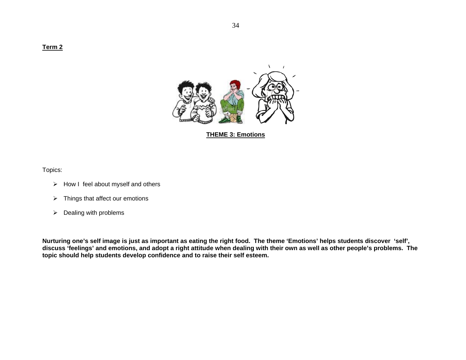**Term 2** 



**THEME 3: Emotions**

Topics:

- $\triangleright$  How I feel about myself and others
- $\triangleright$  Things that affect our emotions
- $\triangleright$  Dealing with problems

**Nurturing one's self image is just as important as eating the right food. The theme 'Emotions' helps students discover 'self', discuss 'feelings' and emotions, and adopt a right attitude when dealing with their own as well as other people's problems. The topic should help students develop confidence and to raise their self esteem.**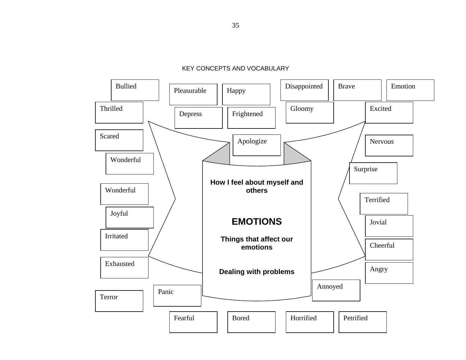

KEY CONCEPTS AND VOCABULARY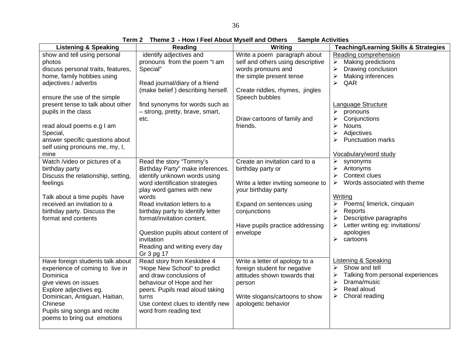**Term 2 Theme 3 - How I Feel About Myself and Others Sample Activities** 

| show and tell using personal<br>identify adjectives and<br>Reading comprehension<br>Write a poem paragraph about<br>pronouns from the poem "I am<br>self and others using descriptive<br><b>Making predictions</b><br>photos<br>➤<br>discuss personal traits, features,<br>Drawing conclusion<br>Special"<br>words pronouns and<br>⋗<br>home, family hobbies using<br>the simple present tense<br>$\blacktriangleright$<br>Making inferences<br>Read journal/diary of a friend<br>$\blacktriangleright$<br>QAR<br>adjectives / adverbs |
|----------------------------------------------------------------------------------------------------------------------------------------------------------------------------------------------------------------------------------------------------------------------------------------------------------------------------------------------------------------------------------------------------------------------------------------------------------------------------------------------------------------------------------------|
|                                                                                                                                                                                                                                                                                                                                                                                                                                                                                                                                        |
|                                                                                                                                                                                                                                                                                                                                                                                                                                                                                                                                        |
|                                                                                                                                                                                                                                                                                                                                                                                                                                                                                                                                        |
|                                                                                                                                                                                                                                                                                                                                                                                                                                                                                                                                        |
|                                                                                                                                                                                                                                                                                                                                                                                                                                                                                                                                        |
| (make belief) describing herself.<br>Create riddles, rhymes, jingles<br>ensure the use of the simple<br>Speech bubbles                                                                                                                                                                                                                                                                                                                                                                                                                 |
| find synonyms for words such as<br><b>Language Structure</b><br>present tense to talk about other                                                                                                                                                                                                                                                                                                                                                                                                                                      |
| pupils in the class<br>- strong, pretty, brave, smart,<br>➤<br>pronouns                                                                                                                                                                                                                                                                                                                                                                                                                                                                |
| Draw cartoons of family and<br>$\blacktriangleright$<br>Conjunctions<br>etc.                                                                                                                                                                                                                                                                                                                                                                                                                                                           |
| $\blacktriangleright$<br>read aloud poems e.g I am<br>friends.<br><b>Nouns</b>                                                                                                                                                                                                                                                                                                                                                                                                                                                         |
| $\blacktriangleright$<br>Adjectives<br>Special,                                                                                                                                                                                                                                                                                                                                                                                                                                                                                        |
| answer specific questions about<br><b>Punctuation marks</b><br>≻                                                                                                                                                                                                                                                                                                                                                                                                                                                                       |
| self using pronouns me, my, I,                                                                                                                                                                                                                                                                                                                                                                                                                                                                                                         |
| mine<br>Vocabulary/word study                                                                                                                                                                                                                                                                                                                                                                                                                                                                                                          |
| synonyms<br>Watch /video or pictures of a<br>Read the story "Tommy's<br>Create an invitation card to a<br>➤                                                                                                                                                                                                                                                                                                                                                                                                                            |
| Birthday Party" make inferences.<br>$\blacktriangleright$<br>Antonyms<br>birthday party<br>birthday party or                                                                                                                                                                                                                                                                                                                                                                                                                           |
| identify unknown words using<br>⋗<br>Context clues<br>Discuss the relationship, setting,                                                                                                                                                                                                                                                                                                                                                                                                                                               |
| Words associated with theme<br>word identification strategies<br>≻<br>feelings<br>Write a letter inviting someone to                                                                                                                                                                                                                                                                                                                                                                                                                   |
| play word games with new<br>your birthday party                                                                                                                                                                                                                                                                                                                                                                                                                                                                                        |
| Writing<br>words<br>Talk about a time pupils have                                                                                                                                                                                                                                                                                                                                                                                                                                                                                      |
| Poems(limerick, cinquain<br>≻<br>received an invitation to a<br>Read invitation letters to a<br>Expand on sentences using                                                                                                                                                                                                                                                                                                                                                                                                              |
| ➤<br>Reports<br>birthday party. Discuss the<br>birthday party to identify letter<br>conjunctions                                                                                                                                                                                                                                                                                                                                                                                                                                       |
| Descriptive paragraphs<br>format and contents<br>format/invitation content.<br>≻                                                                                                                                                                                                                                                                                                                                                                                                                                                       |
| Letter writing eg: invitations/<br>Have pupils practice addressing<br>➤                                                                                                                                                                                                                                                                                                                                                                                                                                                                |
| apologies<br>Question pupils about content of<br>envelope                                                                                                                                                                                                                                                                                                                                                                                                                                                                              |
| $\blacktriangleright$<br>cartoons<br>invitation                                                                                                                                                                                                                                                                                                                                                                                                                                                                                        |
| Reading and writing every day                                                                                                                                                                                                                                                                                                                                                                                                                                                                                                          |
| Gr 3 pg 17                                                                                                                                                                                                                                                                                                                                                                                                                                                                                                                             |
| Listening & Speaking<br>Have foreign students talk about<br>Read story from Keskidee 4<br>Write a letter of apology to a                                                                                                                                                                                                                                                                                                                                                                                                               |
| Show and tell<br>⋗<br>"Hope New School" to predict<br>foreign student for negative<br>experience of coming to live in                                                                                                                                                                                                                                                                                                                                                                                                                  |
| Talking from personal experiences<br>attitudes shown towards that<br>≻<br>Dominica<br>and draw conclusions of                                                                                                                                                                                                                                                                                                                                                                                                                          |
| $\blacktriangleright$<br>Drama/music<br>behaviour of Hope and her<br>give views on issues<br>person                                                                                                                                                                                                                                                                                                                                                                                                                                    |
| $\blacktriangleright$<br>Read aloud<br>peers. Pupils read aloud taking<br>Explore adjectives eg.                                                                                                                                                                                                                                                                                                                                                                                                                                       |
| $\blacktriangleright$<br>Choral reading<br>Dominican, Antiguan, Haitian,<br>Write slogans/cartoons to show<br>turns                                                                                                                                                                                                                                                                                                                                                                                                                    |
| apologetic behavior<br>Chinese<br>Use context clues to identify new                                                                                                                                                                                                                                                                                                                                                                                                                                                                    |
| Pupils sing songs and recite<br>word from reading text                                                                                                                                                                                                                                                                                                                                                                                                                                                                                 |
| poems to bring out emotions                                                                                                                                                                                                                                                                                                                                                                                                                                                                                                            |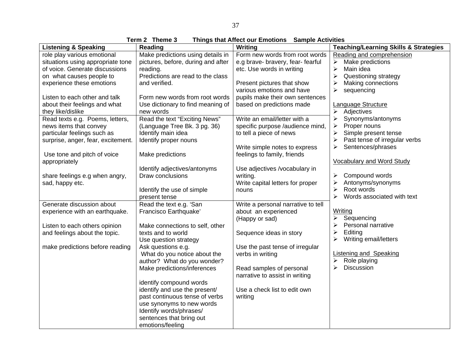**Term 2 Theme 3 Things that Affect our Emotions Sample Activities** 

| <b>Listening &amp; Speaking</b>    | Reading                            | Writing                            | <b>Teaching/Learning Skills &amp; Strategies</b> |
|------------------------------------|------------------------------------|------------------------------------|--------------------------------------------------|
| role play various emotional        | Make predictions using details in  | Form new words from root words     | Reading and comprehension                        |
| situations using appropriate tone  | pictures, before, during and after | e.g brave-bravery, fear-fearful    | Make predictions<br>≻                            |
| of voice. Generate discussions     | reading.                           | etc. Use words in writing          | $\blacktriangleright$<br>Main idea               |
| on what causes people to           | Predictions are read to the class  |                                    | Questioning strategy<br>$\blacktriangleright$    |
| experience these emotions          | and verified.                      | Present pictures that show         | Making connections<br>≻                          |
|                                    |                                    | various emotions and have          | ≻<br>sequencing                                  |
| Listen to each other and talk      | Form new words from root words     | pupils make their own sentences    |                                                  |
| about their feelings and what      | Use dictionary to find meaning of  | based on predictions made          | <b>Language Structure</b>                        |
| they like/dislike                  | new words                          |                                    | $\blacktriangleright$<br>Adjectives              |
| Read texts e.g. Poems, letters,    | Read the text "Exciting News"      | Write an email/letter with a       | $\blacktriangleright$<br>Synonyms/antonyms       |
| news items that convey             | (Language Tree Bk. 3 pg. 36)       | specific purpose /audience mind,   | Proper nouns<br>➤                                |
| particular feelings such as        | Identify main idea                 | to tell a piece of news            | Simple present tense<br>➤                        |
| surprise, anger, fear, excitement. | Identify proper nouns              |                                    | Past tense of irregular verbs<br>≻               |
|                                    |                                    | Write simple notes to express      | Sentences/phrases<br>➤                           |
| Use tone and pitch of voice        | Make predictions                   | feelings to family, friends        |                                                  |
| appropriately                      |                                    |                                    | <b>Vocabulary and Word Study</b>                 |
|                                    | Identify adjectives/antonyms       | Use adjectives /vocabulary in      |                                                  |
| share feelings e.g when angry,     | Draw conclusions                   | writing.                           | Compound words<br>≻                              |
| sad, happy etc.                    |                                    | Write capital letters for proper   | Antonyms/synonyms<br>$\blacktriangleright$       |
|                                    | Identify the use of simple         | nouns                              | Root words<br>$\blacktriangleright$              |
|                                    | present tense                      |                                    | Words associated with text<br>≻                  |
| Generate discussion about          | Read the text e.g. 'San            | Write a personal narrative to tell |                                                  |
| experience with an earthquake.     | Francisco Earthquake'              | about an experienced               | Writing                                          |
|                                    |                                    | (Happy or sad)                     | Sequencing<br>➤                                  |
| Listen to each others opinion      | Make connections to self, other    |                                    | ≻<br>Personal narrative                          |
| and feelings about the topic.      | texts and to world                 | Sequence ideas in story            | $\blacktriangleright$<br>Editing                 |
|                                    | Use question strategy              |                                    | Writing email/letters<br>➤                       |
| make predictions before reading    | Ask questions e.g.                 | Use the past tense of irregular    |                                                  |
|                                    | What do you notice about the       | verbs in writing                   | <b>Listening and Speaking</b>                    |
|                                    | author? What do you wonder?        |                                    | Role playing<br>➤                                |
|                                    | Make predictions/inferences        | Read samples of personal           | ⋗<br><b>Discussion</b>                           |
|                                    |                                    | narrative to assist in writing     |                                                  |
|                                    | identify compound words            |                                    |                                                  |
|                                    | identify and use the present/      | Use a check list to edit own       |                                                  |
|                                    | past continuous tense of verbs     | writing                            |                                                  |
|                                    | use synonyms to new words          |                                    |                                                  |
|                                    | Identify words/phrases/            |                                    |                                                  |
|                                    | sentences that bring out           |                                    |                                                  |
|                                    | emotions/feeling                   |                                    |                                                  |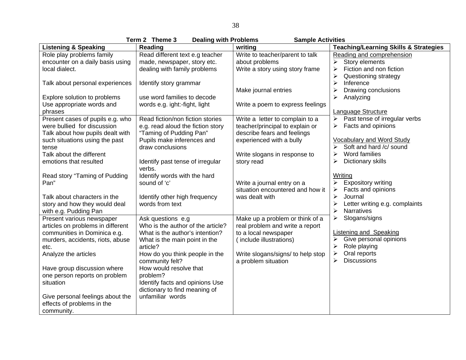**Term 2 Theme 3 Dealing with Problems Sample Activities** 

|                                   | 1500 L<br><b>PRILE A</b><br><b>Dealing With Fropieries</b> | <b>DAILING ACTIVILIES</b>         |                                                  |
|-----------------------------------|------------------------------------------------------------|-----------------------------------|--------------------------------------------------|
| <b>Listening &amp; Speaking</b>   | Reading                                                    | writing                           | <b>Teaching/Learning Skills &amp; Strategies</b> |
| Role play problems family         | Read different text e.g teacher                            | Write to teacher/parent to talk   | Reading and comprehension                        |
| encounter on a daily basis using  | made, newspaper, story etc.                                | about problems                    | Story elements<br>≻                              |
| local dialect.                    | dealing with family problems                               | Write a story using story frame   | Fiction and non fiction<br>$\blacktriangleright$ |
|                                   |                                                            |                                   | ≻<br>Questioning strategy                        |
| Talk about personal experiences   | Identify story grammar                                     |                                   | $\blacktriangleright$<br>Inference               |
|                                   |                                                            | Make journal entries              | Drawing conclusions                              |
| Explore solution to problems      | use word families to decode                                |                                   | Analyzing                                        |
| Use appropriate words and         | words e.g. ight:-fight, light                              | Write a poem to express feelings  |                                                  |
| phrases                           |                                                            |                                   | Language Structure                               |
| Present cases of pupils e.g. who  | Read fiction/non fiction stories                           | Write a letter to complain to a   | $\triangleright$ Past tense of irregular verbs   |
| were bullied for discussion       | e.g. read aloud the fiction story                          | teacher/principal to explain or   | Facts and opinions                               |
| Talk about how pupils dealt with  | "Taming of Pudding Pan"                                    | describe fears and feelings       |                                                  |
| such situations using the past    | Pupils make inferences and                                 | experienced with a bully          | <b>Vocabulary and Word Study</b>                 |
| tense                             | draw conclusions                                           |                                   | Soft and hard /c/ sound                          |
| Talk about the different          |                                                            | Write slogans in response to      | Word families                                    |
| emotions that resulted            | Identify past tense of irregular                           | story read                        | ≻<br>Dictionary skills                           |
|                                   | verbs.                                                     |                                   |                                                  |
| Read story "Taming of Pudding     | Identify words with the hard                               |                                   | Writing                                          |
| Pan"                              | sound of 'c'                                               | Write a journal entry on a        | <b>Expository writing</b><br>➤                   |
|                                   |                                                            | situation encountered and how it  | Facts and opinions<br>≻                          |
| Talk about characters in the      | Identify other high frequency                              | was dealt with                    | $\blacktriangleright$<br>Journal                 |
| story and how they would deal     | words from text                                            |                                   | Letter writing e.g. complaints                   |
| with e.g. Pudding Pan             |                                                            |                                   | <b>Narratives</b>                                |
| Present various newspaper         | Ask questions e.g                                          | Make up a problem or think of a   | Slogans/signs                                    |
| articles on problems in different | Who is the author of the article?                          | real problem and write a report   |                                                  |
| communities in Dominica e.g.      | What is the author's intention?                            | to a local newspaper              | <b>Listening and Speaking</b>                    |
| murders, accidents, riots, abuse  | What is the main point in the                              | (include illustrations)           | Give personal opinions                           |
| etc.                              | article?                                                   |                                   | Role playing                                     |
| Analyze the articles              | How do you think people in the                             | Write slogans/signs/ to help stop | Oral reports<br>➤                                |
|                                   | community felt?                                            | a problem situation               | <b>Discussions</b><br>≻                          |
| Have group discussion where       | How would resolve that                                     |                                   |                                                  |
| one person reports on problem     | problem?                                                   |                                   |                                                  |
| situation                         | Identify facts and opinions Use                            |                                   |                                                  |
|                                   | dictionary to find meaning of                              |                                   |                                                  |
| Give personal feelings about the  | unfamiliar words                                           |                                   |                                                  |
| effects of problems in the        |                                                            |                                   |                                                  |
| community.                        |                                                            |                                   |                                                  |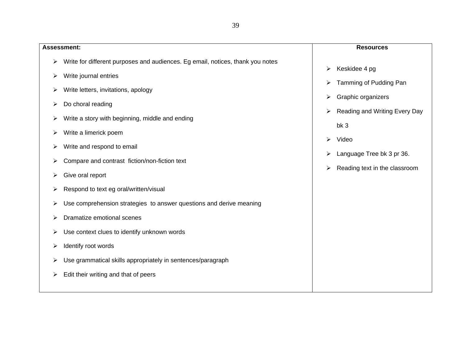**Assessment:** ¾ Write for different purposes and audiences. Eg email, notices, thank you notes  $\triangleright$  Write journal entries  $\triangleright$  Write letters, invitations, apology  $\triangleright$  Do choral reading  $\triangleright$  Write a story with beginning, middle and ending  $\triangleright$  Write a limerick poem  $\triangleright$  Write and respond to email  $\triangleright$  Compare and contrast fiction/non-fiction text  $\triangleright$  Give oral report  $\triangleright$  Respond to text eg oral/written/visual ¾ Use comprehension strategies to answer questions and derive meaning  $\triangleright$  Dramatize emotional scenes  $\triangleright$  Use context clues to identify unknown words  $\blacktriangleright$  Identify root words  $\triangleright$  Use grammatical skills appropriately in sentences/paragraph  $\triangleright$  Edit their writing and that of peers **Resources**  $\triangleright$  Keskidee 4 pg  $\triangleright$  Tamming of Pudding Pan  $\triangleright$  Graphic organizers  $\triangleright$  Reading and Writing Every Day bk 3 ¾ Video Language Tree bk 3 pr 36.  $\triangleright$  Reading text in the classroom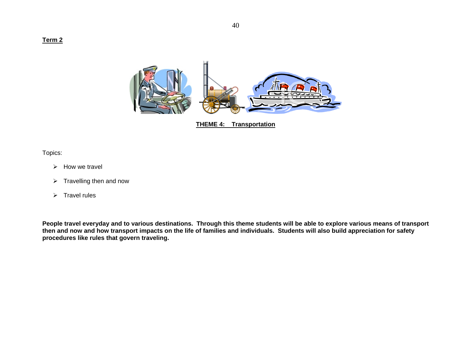#### **Term 2**



**THEME 4: Transportation**

Topics:

- $\triangleright$  How we travel
- $\triangleright$  Travelling then and now
- ¾ Travel rules

**People travel everyday and to various destinations. Through this theme students will be able to explore various means of transport then and now and how transport impacts on the life of families and individuals. Students will also build appreciation for safety procedures like rules that govern traveling.**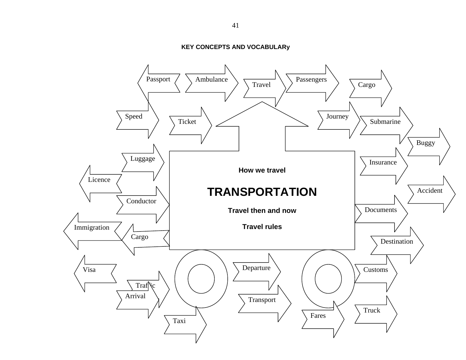**KEY CONCEPTS AND VOCABULARy** 

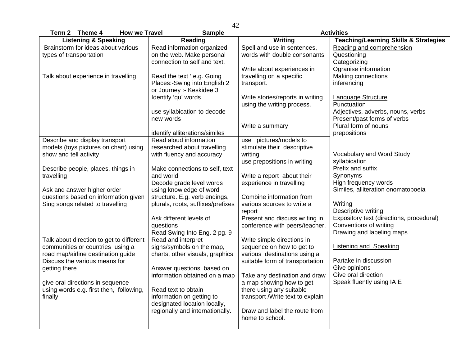| Term 2 Theme 4<br><b>How we Travel</b>   | <b>Sample</b>                     | <b>Activities</b>                                |                                                  |
|------------------------------------------|-----------------------------------|--------------------------------------------------|--------------------------------------------------|
| <b>Listening &amp; Speaking</b>          | Reading                           | Writing                                          | <b>Teaching/Learning Skills &amp; Strategies</b> |
| Brainstorm for ideas about various       | Read information organized        | Spell and use in sentences,                      | Reading and comprehension                        |
| types of transportation                  | on the web. Make personal         | words with double consonants                     | Questioning                                      |
|                                          | connection to self and text.      |                                                  | Categorizing                                     |
|                                          |                                   | Write about experiences in                       | Ogranise information                             |
| Talk about experience in travelling      | Read the text 'e.g. Going         | travelling on a specific                         | Making connections                               |
|                                          | Places:-Swing into English 2      | transport.                                       | inferencing                                      |
|                                          | or Journey :- Keskidee 3          |                                                  |                                                  |
|                                          | Identify 'qu' words               | Write stories/reports in writing                 | <b>Language Structure</b>                        |
|                                          |                                   | using the writing process.                       | Punctuation                                      |
|                                          | use syllabication to decode       |                                                  | Adjectives, adverbs, nouns, verbs                |
|                                          | new words                         |                                                  | Present/past forms of verbs                      |
|                                          |                                   | Write a summary                                  | Plural form of nouns                             |
|                                          | identify alliterations/similes    |                                                  | prepositions                                     |
| Describe and display transport           | Read aloud information            | use pictures/models to                           |                                                  |
| models (toys pictures on chart) using    | researched about travelling       | stimulate their descriptive                      |                                                  |
| show and tell activity                   | with fluency and accuracy         | writing                                          | <b>Vocabulary and Word Study</b>                 |
|                                          |                                   | use prepositions in writing                      | syllabication                                    |
| Describe people, places, things in       | Make connections to self, text    |                                                  | Prefix and suffix                                |
| travelling                               | and world                         | Write a report about their                       | Synonyms                                         |
|                                          | Decode grade level words          | experience in travelling                         | High frequency words                             |
| Ask and answer higher order              | using knowledge of word           |                                                  | Similes, alliteration onomatopoeia               |
| questions based on information given     | structure. E.g. verb endings,     | Combine information from                         |                                                  |
| Sing songs related to travelling         | plurals, roots, suffixes/prefixes | various sources to write a                       | Writing                                          |
|                                          |                                   | report                                           | Descriptive writing                              |
|                                          | Ask different levels of           | Present and discuss writing in                   | Expository text (directions, procedural)         |
|                                          | questions                         | conference with peers/teacher.                   | Conventions of writing                           |
|                                          | Read Swing Into Eng. 2 pg. 9      |                                                  | Drawing and labeling maps                        |
| Talk about direction to get to different | Read and interpret                | Write simple directions in                       |                                                  |
| communities or countries using a         | signs/symbols on the map,         | sequence on how to get to                        | <b>Listening and Speaking</b>                    |
| road map/airline destination guide       | charts, other visuals, graphics   | various destinations using a                     |                                                  |
| Discuss the various means for            |                                   | suitable form of transportation                  | Partake in discussion                            |
| getting there                            | Answer questions based on         |                                                  | Give opinions<br>Give oral direction             |
|                                          | information obtained on a map     | Take any destination and draw                    |                                                  |
| give oral directions in sequence         |                                   | a map showing how to get                         | Speak fluently using IA E                        |
| using words e.g. first then, following,  | Read text to obtain               | there using any suitable                         |                                                  |
| finally                                  | information on getting to         | transport /Write text to explain                 |                                                  |
|                                          | designated location locally,      |                                                  |                                                  |
|                                          | regionally and internationally.   | Draw and label the route from<br>home to school. |                                                  |
|                                          |                                   |                                                  |                                                  |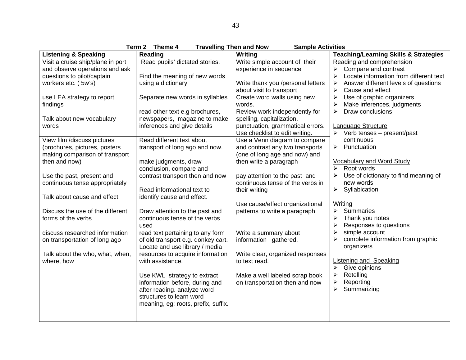|                                   | Term 2<br>Theme 4<br><b>Travelling Then and Now</b> | <b>Sample Activities</b>          |                                                                 |
|-----------------------------------|-----------------------------------------------------|-----------------------------------|-----------------------------------------------------------------|
| <b>Listening &amp; Speaking</b>   | Reading                                             | Writing                           | <b>Teaching/Learning Skills &amp; Strategies</b>                |
| Visit a cruise ship/plane in port | Read pupils' dictated stories.                      | Write simple account of their     | Reading and comprehension                                       |
| and observe operations and ask    |                                                     | experience in sequence            | Compare and contrast<br>⋗                                       |
| questions to pilot/captain        | Find the meaning of new words                       |                                   | Locate information from different text<br>$\blacktriangleright$ |
| workers etc. (5w's)               | using a dictionary                                  | Write thank you /personal letters | Answer different levels of questions                            |
|                                   |                                                     | about visit to transport          | Cause and effect<br>≻                                           |
| use LEA strategy to report        | Separate new words in syllables                     | Create word walls using new       | Use of graphic organizers<br>⋗                                  |
| findings                          |                                                     | words.                            | Make inferences, judgments                                      |
|                                   | read other text e.g brochures,                      | Review work independently for     | Draw conclusions<br>≻                                           |
| Talk about new vocabulary         | newspapers, magazine to make                        | spelling, capitalization,         |                                                                 |
| words                             | inferences and give details                         | punctuation, grammatical errors.  | Language Structure                                              |
|                                   |                                                     | Use checklist to edit writing.    | $\triangleright$ Verb tenses – present/past                     |
| View film /discuss pictures       | Read different text about                           | Use a Venn diagram to compare     | continuous                                                      |
| (brochures, pictures, posters     | transport of long ago and now.                      | and contrast any two transports   | $\triangleright$ Punctuation                                    |
| making comparison of transport    |                                                     | (one of long age and now) and     |                                                                 |
| then and now)                     | make judgments, draw                                | then write a paragraph            | <b>Vocabulary and Word Study</b>                                |
|                                   | conclusion, compare and                             |                                   | Root words<br>↘                                                 |
| Use the past, present and         | contrast transport then and now                     | pay attention to the past and     | Use of dictionary to find meaning of                            |
| continuous tense appropriately    |                                                     | continuous tense of the verbs in  | new words                                                       |
|                                   | Read informational text to                          | their writing                     | Syllabication<br>➤                                              |
| Talk about cause and effect       | identify cause and effect.                          |                                   |                                                                 |
|                                   |                                                     | Use cause/effect organizational   | Writing                                                         |
| Discuss the use of the different  | Draw attention to the past and                      | patterns to write a paragraph     | Summaries<br>≻                                                  |
| forms of the verbs                | continuous tense of the verbs                       |                                   | Thank you notes                                                 |
|                                   | used                                                |                                   | Responses to questions                                          |
| discuss researched information    | read text pertaining to any form                    | Write a summary about             | $\blacktriangleright$<br>simple account                         |
| on transportation of long ago     | of old transport e.g. donkey cart.                  | information gathered.             | complete information from graphic                               |
|                                   | Locate and use library / media                      |                                   | organizers                                                      |
| Talk about the who, what, when,   | resources to acquire information                    | Write clear, organized responses  |                                                                 |
| where, how                        | with assistance.                                    | to text read.                     | <b>Listening and Speaking</b>                                   |
|                                   |                                                     |                                   | Give opinions                                                   |
|                                   | Use KWL strategy to extract                         | Make a well labeled scrap book    | Retelling<br>⋗                                                  |
|                                   | information before, during and                      | on transportation then and now    | Reporting<br>⋗                                                  |
|                                   | after reading. analyze word                         |                                   | Summarizing<br>≻                                                |
|                                   | structures to learn word                            |                                   |                                                                 |
|                                   | meaning, eg: roots, prefix, suffix.                 |                                   |                                                                 |
|                                   |                                                     |                                   |                                                                 |
|                                   |                                                     |                                   |                                                                 |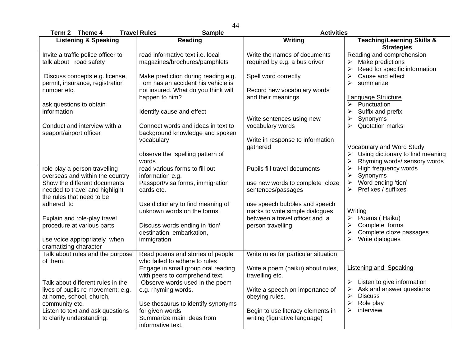| Term 2 Theme 4                                                                                     | <b>Travel Rules</b><br><b>Sample</b>                                                                                                      | <b>Activities</b>                                                                                  |                                                                                                                                                     |
|----------------------------------------------------------------------------------------------------|-------------------------------------------------------------------------------------------------------------------------------------------|----------------------------------------------------------------------------------------------------|-----------------------------------------------------------------------------------------------------------------------------------------------------|
| <b>Listening &amp; Speaking</b>                                                                    | <b>Reading</b>                                                                                                                            | Writing                                                                                            | <b>Teaching/Learning Skills &amp;</b><br><b>Strategies</b>                                                                                          |
| Invite a traffic police officer to<br>talk about road safety                                       | read informative text i.e. local<br>magazines/brochures/pamphlets                                                                         | Write the names of documents<br>required by e.g. a bus driver                                      | Reading and comprehension<br>Make predictions<br>$\blacktriangleright$<br>Read for specific information<br>≻                                        |
| Discuss concepts e.g. license,<br>permit, insurance, registration<br>number etc.                   | Make prediction during reading e.g.<br>Tom has an accident his vehicle is<br>not insured. What do you think will                          | Spell word correctly<br>Record new vocabulary words                                                | $\blacktriangleright$<br>Cause and effect<br>$\blacktriangleright$<br>summarize                                                                     |
| ask questions to obtain                                                                            | happen to him?                                                                                                                            | and their meanings                                                                                 | Language Structure<br>Punctuation<br>$\blacktriangleright$                                                                                          |
| information<br>Conduct and interview with a                                                        | Identify cause and effect<br>Connect words and ideas in text to                                                                           | Write sentences using new<br>vocabulary words                                                      | $\blacktriangleright$<br>Suffix and prefix<br>Synonyms<br>$\blacktriangleright$<br><b>Quotation marks</b><br>≻                                      |
| seaport/airport officer                                                                            | background knowledge and spoken<br>vocabulary                                                                                             | Write in response to information<br>gathered                                                       | <b>Vocabulary and Word Study</b>                                                                                                                    |
|                                                                                                    | observe the spelling pattern of<br>words                                                                                                  |                                                                                                    | Using dictionary to find meaning<br>➤<br>Rhyming words/ sensory words<br>➤                                                                          |
| role play a person travelling<br>overseas and within the country<br>Show the different documents   | read various forms to fill out<br>information e.g.<br>Passport/visa forms, immigration                                                    | Pupils fill travel documents<br>use new words to complete cloze                                    | High frequency words<br>$\blacktriangleright$<br>$\blacktriangleright$<br>Synonyms<br>Word ending 'tion'<br>$\blacktriangleright$                   |
| needed to travel and highlight<br>the rules that need to be                                        | cards etc.                                                                                                                                | sentences/passages                                                                                 | Prefixes / suffixes<br>≻                                                                                                                            |
| adhered to<br>Explain and role-play travel                                                         | Use dictionary to find meaning of<br>unknown words on the forms.                                                                          | use speech bubbles and speech<br>marks to write simple dialogues<br>between a travel officer and a | <b>Writing</b><br>Poems (Haiku)<br>$\blacktriangleright$                                                                                            |
| procedure at various parts                                                                         | Discuss words ending in 'tion'<br>destination, embarkation,                                                                               | person travelling                                                                                  | Complete forms<br>➤<br>Complete cloze passages<br>$\blacktriangleright$                                                                             |
| use voice appropriately when<br>dramatizing character                                              | immigration                                                                                                                               |                                                                                                    | Write dialogues                                                                                                                                     |
| Talk about rules and the purpose<br>of them.                                                       | Read poems and stories of people<br>who failed to adhere to rules<br>Engage in small group oral reading<br>with peers to comprehend text. | Write rules for particular situation<br>Write a poem (haiku) about rules,<br>travelling etc.       | <b>Listening and Speaking</b>                                                                                                                       |
| Talk about different rules in the<br>lives of pupils re movement; e.g.<br>at home, school, church, | Observe words used in the poem<br>e.g. rhyming words,                                                                                     | Write a speech on importance of<br>obeying rules.                                                  | $\blacktriangleright$<br>Listen to give information<br>Ask and answer questions<br>$\blacktriangleright$<br><b>Discuss</b><br>$\blacktriangleright$ |
| community etc.<br>Listen to text and ask questions<br>to clarify understanding.                    | Use thesaurus to identify synonyms<br>for given words<br>Summarize main ideas from                                                        | Begin to use literacy elements in<br>writing (figurative language)                                 | $\blacktriangleright$<br>Role play<br>$\blacktriangleright$<br>interview                                                                            |
|                                                                                                    | informative text.                                                                                                                         |                                                                                                    |                                                                                                                                                     |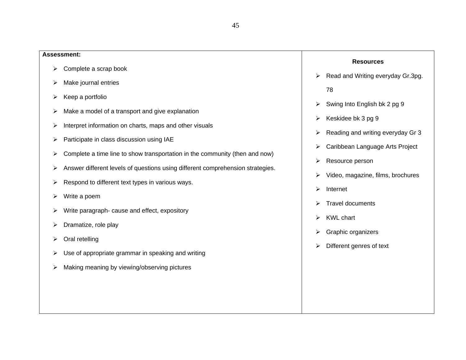# **Assessment:**  $\triangleright$  Complete a scrap book  $\triangleright$  Make journal entries  $\triangleright$  Keep a portfolio  $\triangleright$  Make a model of a transport and give explanation  $\triangleright$  Interpret information on charts, maps and other visuals  $\triangleright$  Participate in class discussion using IAE  $\triangleright$  Complete a time line to show transportation in the community (then and now) ¾ Answer different levels of questions using different comprehension strategies.  $\triangleright$  Respond to different text types in various ways.  $\triangleright$  Write a poem  $\triangleright$  Write paragraph- cause and effect, expository  $\triangleright$  Dramatize, role play  $\triangleright$  Oral retelling  $\triangleright$  Use of appropriate grammar in speaking and writing  $\triangleright$  Making meaning by viewing/observing pictures **Resources**  $\triangleright$  Read and Writing everyday Gr.3pg. 78  $\triangleright$  Swing Into English bk 2 pg 9  $\triangleright$  Keskidee bk 3 pg 9  $\triangleright$  Reading and writing everyday Gr 3  $\triangleright$  Caribbean Language Arts Project ¾ Resource person  $\triangleright$  Video, magazine, films, brochures  $\triangleright$  Internet  $\triangleright$  Travel documents  $\triangleright$  KWL chart  $\triangleright$  Graphic organizers  $\triangleright$  Different genres of text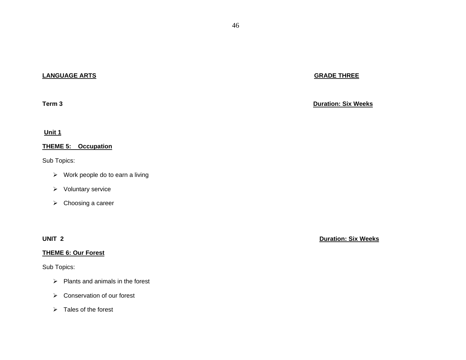# **LANGUAGE ARTS**

#### **Term 3**

#### **Unit 1**

# **THEME 5: Occupation**

### Sub Topics:

- $\triangleright$  Work people do to earn a living
- ¾ Voluntary service
- $\triangleright$  Choosing a career

#### **THEME 6: Our Forest**

# Sub Topics:

- $\triangleright$  Plants and animals in the forest
- $\triangleright$  Conservation of our forest
- $\triangleright$  Tales of the forest

# **GRADE THREE**

**Duration: Six Weeks**

**UNIT 2 Duration: Six Weeks**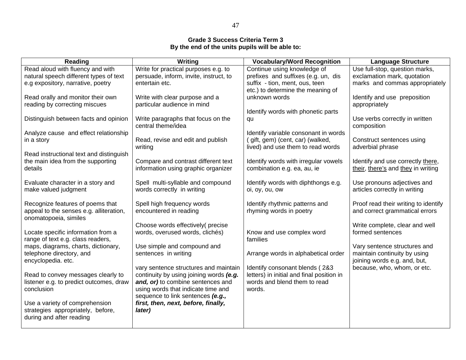### **Grade 3 Success Criteria Term 3 By the end of the units pupils will be able to:**

| Reading                                                                 | <b>Writing</b>                                                          | <b>Vocabulary/Word Recognition</b>                                        | <b>Language Structure</b>                                    |
|-------------------------------------------------------------------------|-------------------------------------------------------------------------|---------------------------------------------------------------------------|--------------------------------------------------------------|
| Read aloud with fluency and with                                        | Write for practical purposes e.g. to                                    | Continue using knowledge of                                               | Use full-stop, question marks,                               |
| natural speech different types of text                                  | persuade, inform, invite, instruct, to                                  | prefixes and suffixes (e.g. un, dis                                       | exclamation mark, quotation                                  |
| e.g expository, narrative, poetry                                       | entertain etc.                                                          | suffix - tion, ment, ous, teen<br>etc.) to determine the meaning of       | marks and commas appropriately                               |
| Read orally and monitor their own                                       | Write with clear purpose and a                                          | unknown words                                                             | Identify and use preposition                                 |
| reading by correcting miscues                                           | particular audience in mind                                             |                                                                           | appropriately                                                |
|                                                                         |                                                                         | Identify words with phonetic parts                                        |                                                              |
| Distinguish between facts and opinion                                   | Write paragraphs that focus on the                                      | qu                                                                        | Use verbs correctly in written                               |
|                                                                         | central theme/idea                                                      |                                                                           | composition                                                  |
| Analyze cause and effect relationship<br>in a story                     | Read, revise and edit and publish                                       | Identify variable consonant in words<br>(gift, gem) (cent, car) (walked,  | Construct sentences using                                    |
|                                                                         | writing                                                                 | lived) and use them to read words                                         | adverbial phrase                                             |
| Read instructional text and distinguish                                 |                                                                         |                                                                           |                                                              |
| the main idea from the supporting                                       | Compare and contrast different text                                     | Identify words with irregular vowels                                      | Identify and use correctly there,                            |
| details                                                                 | information using graphic organizer                                     | combination e.g. ea, au, ie                                               | their, there's and they in writing                           |
|                                                                         |                                                                         |                                                                           |                                                              |
| Evaluate character in a story and<br>make valued judgment               | Spell multi-syllable and compound<br>words correctly in writing         | Identify words with diphthongs e.g.<br>oi, oy, ou, ow                     | Use pronouns adjectives and<br>articles correctly in writing |
|                                                                         |                                                                         |                                                                           |                                                              |
| Recognize features of poems that                                        | Spell high frequency words                                              | Identify rhythmic patterns and                                            | Proof read their writing to identify                         |
| appeal to the senses e.g. alliteration,                                 | encountered in reading                                                  | rhyming words in poetry                                                   | and correct grammatical errors                               |
| onomatopoeia, similes                                                   |                                                                         |                                                                           |                                                              |
|                                                                         | Choose words effectively(precise                                        |                                                                           | Write complete, clear and well                               |
| Locate specific information from a<br>range of text e.g. class readers, | words, overused words, clichés)                                         | Know and use complex word<br>families                                     | formed sentences                                             |
| maps, diagrams, charts, dictionary,                                     | Use simple and compound and                                             |                                                                           | Vary sentence structures and                                 |
| telephone directory, and                                                | sentences in writing                                                    | Arrange words in alphabetical order                                       | maintain continuity by using                                 |
| encyclopedia. etc.                                                      |                                                                         |                                                                           | joining words e.g. and, but,                                 |
|                                                                         | vary sentence structures and maintain                                   | Identify consonant blends (2&3                                            | because, who, whom, or etc.                                  |
| Read to convey messages clearly to                                      | continuity by using joining words (e.g.                                 | letters) in initial and final position in<br>words and blend them to read |                                                              |
| listener e.g. to predict outcomes, draw<br>conclusion                   | and, or) to combine sentences and<br>using words that indicate time and | words.                                                                    |                                                              |
|                                                                         | sequence to link sentences (e.g.,                                       |                                                                           |                                                              |
| Use a variety of comprehension                                          | first, then, next, before, finally,                                     |                                                                           |                                                              |
| strategies appropriately, before,                                       | later)                                                                  |                                                                           |                                                              |
| during and after reading                                                |                                                                         |                                                                           |                                                              |
|                                                                         |                                                                         |                                                                           |                                                              |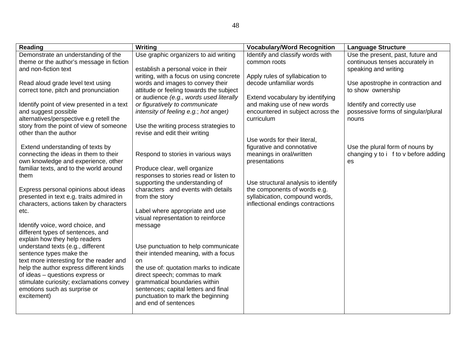| <b>Reading</b>                             | Writing                                                                   | <b>Vocabulary/Word Recognition</b>  | <b>Language Structure</b>            |
|--------------------------------------------|---------------------------------------------------------------------------|-------------------------------------|--------------------------------------|
| Demonstrate an understanding of the        | Use graphic organizers to aid writing                                     | Identify and classify words with    | Use the present, past, future and    |
| theme or the author's message in fiction   |                                                                           | common roots                        | continuous tenses accurately in      |
| and non-fiction text                       | establish a personal voice in their                                       |                                     | speaking and writing                 |
|                                            | writing, with a focus on using concrete                                   | Apply rules of syllabication to     |                                      |
| Read aloud grade level text using          | words and images to convey their                                          | decode unfamiliar words             | Use apostrophe in contraction and    |
| correct tone, pitch and pronunciation      | attitude or feeling towards the subject                                   |                                     | to show ownership                    |
|                                            | or audience (e.g., words used literally                                   | Extend vocabulary by identifying    |                                      |
| Identify point of view presented in a text | or figuratively to communicate                                            | and making use of new words         | Identify and correctly use           |
| and suggest possible                       | intensity of feeling e.g.; hot anger)                                     | encountered in subject across the   | possessive forms of singular/plural  |
| alternatives/perspective e.g retell the    |                                                                           | curriculum                          | nouns                                |
| story from the point of view of someone    | Use the writing process strategies to                                     |                                     |                                      |
| other than the author                      | revise and edit their writing                                             |                                     |                                      |
|                                            |                                                                           | Use words for their literal,        |                                      |
| Extend understanding of texts by           |                                                                           | figurative and connotative          | Use the plural form of nouns by      |
| connecting the ideas in them to their      | Respond to stories in various ways                                        | meanings in oral/written            | changing y to i f to v before adding |
| own knowledge and experience, other        |                                                                           | presentations                       | es                                   |
| familiar texts, and to the world around    | Produce clear, well organize                                              |                                     |                                      |
| them                                       | responses to stories read or listen to<br>supporting the understanding of | Use structural analysis to identify |                                      |
| Express personal opinions about ideas      | characters and events with details                                        | the components of words e.g.        |                                      |
| presented in text e.g. traits admired in   | from the story                                                            | syllabication, compound words,      |                                      |
| characters, actions taken by characters    |                                                                           | inflectional endings contractions   |                                      |
| etc.                                       | Label where appropriate and use                                           |                                     |                                      |
|                                            | visual representation to reinforce                                        |                                     |                                      |
| Identify voice, word choice, and           | message                                                                   |                                     |                                      |
| different types of sentences, and          |                                                                           |                                     |                                      |
| explain how they help readers              |                                                                           |                                     |                                      |
| understand texts (e.g., different          | Use punctuation to help communicate                                       |                                     |                                      |
| sentence types make the                    | their intended meaning, with a focus                                      |                                     |                                      |
| text more interesting for the reader and   | on                                                                        |                                     |                                      |
| help the author express different kinds    | the use of: quotation marks to indicate                                   |                                     |                                      |
| of ideas - questions express or            | direct speech; commas to mark                                             |                                     |                                      |
| stimulate curiosity; exclamations convey   | grammatical boundaries within                                             |                                     |                                      |
| emotions such as surprise or               | sentences; capital letters and final                                      |                                     |                                      |
| excitement)                                | punctuation to mark the beginning                                         |                                     |                                      |
|                                            | and end of sentences                                                      |                                     |                                      |
|                                            |                                                                           |                                     |                                      |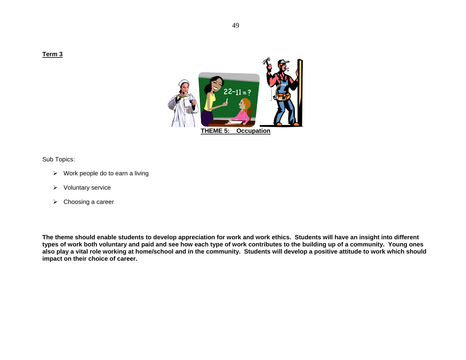

Sub Topics:

- $\triangleright$  Work people do to earn a living
- ¾ Voluntary service
- $\triangleright$  Choosing a career

**The theme should enable students to develop appreciation for work and work ethics. Students will have an insight into different types of work both voluntary and paid and see how each type of work contributes to the building up of a community. Young ones also play a vital role working at home/school and in the community. Students will develop a positive attitude to work which should impact on their choice of career.**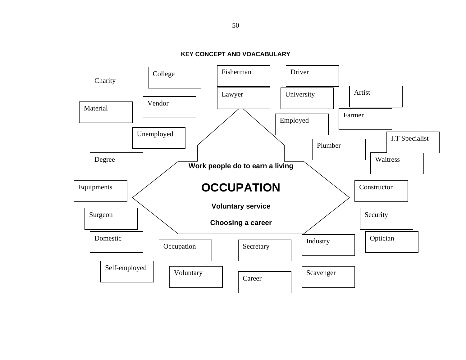**KEY CONCEPT AND VOACABULARY** 

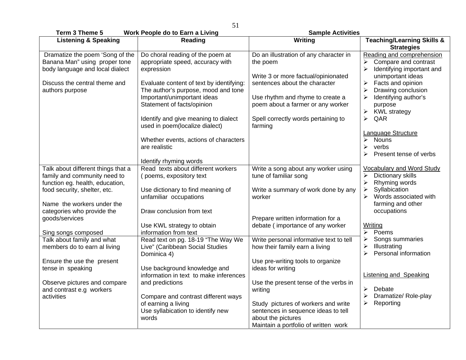**Term 3 Theme 5 Work People do to Earn a Living Sample Activities Cample Activities** 

| $i$ erm $j$ ineme $j$              | <b><i>IVOIR FEOPIE QU LO EQUITA LIVING</i></b> | <b>Salliple Activities</b>              |                                                            |
|------------------------------------|------------------------------------------------|-----------------------------------------|------------------------------------------------------------|
| <b>Listening &amp; Speaking</b>    | Reading                                        | Writing                                 | <b>Teaching/Learning Skills &amp;</b><br><b>Strategies</b> |
| Dramatize the poem 'Song of the    | Do choral reading of the poem at               | Do an illustration of any character in  | Reading and comprehension                                  |
| Banana Man" using proper tone      | appropriate speed, accuracy with               | the poem                                | Compare and contrast                                       |
| body language and local dialect    | expression                                     |                                         | Identifying important and                                  |
|                                    |                                                | Write 3 or more factual/opinionated     | unimportant ideas                                          |
| Discuss the central theme and      | Evaluate content of text by identifying:       | sentences about the character           | Facts and opinion<br>$\blacktriangleright$                 |
| authors purpose                    | The author's purpose, mood and tone            |                                         | Drawing conclusion                                         |
|                                    |                                                |                                         |                                                            |
|                                    | Important/unimportant ideas                    | Use rhythm and rhyme to create a        | Identifying author's                                       |
|                                    | Statement of facts/opinion                     | poem about a farmer or any worker       | purpose                                                    |
|                                    |                                                |                                         | <b>KWL</b> strategy<br>≻                                   |
|                                    | Identify and give meaning to dialect           | Spell correctly words pertaining to     | QAR<br>$\blacktriangleright$                               |
|                                    | used in poem(localize dialect)                 | farming                                 |                                                            |
|                                    |                                                |                                         | Language Structure                                         |
|                                    | Whether events, actions of characters          |                                         | <b>Nouns</b><br>≻                                          |
|                                    | are realistic                                  |                                         | ➤<br>verbs                                                 |
|                                    |                                                |                                         | Present tense of verbs<br>⋗                                |
|                                    | Identify rhyming words                         |                                         |                                                            |
| Talk about different things that a | Read texts about different workers             | Write a song about any worker using     | <b>Vocabulary and Word Study</b>                           |
| family and community need to       | (poems, expository text                        | tune of familiar song                   | Dictionary skills<br>≻                                     |
| function eg. health, education,    |                                                |                                         | $\blacktriangleright$<br>Rhyming words                     |
| food security, shelter, etc.       | Use dictionary to find meaning of              | Write a summary of work done by any     | Syllabication<br>$\blacktriangleright$                     |
|                                    | unfamiliar occupations                         | worker                                  | Words associated with                                      |
| Name the workers under the         |                                                |                                         | farming and other                                          |
| categories who provide the         | Draw conclusion from text                      |                                         | occupations                                                |
| goods/services                     |                                                | Prepare written information for a       |                                                            |
|                                    | Use KWL strategy to obtain                     | debate (importance of any worker        | <b>Writing</b>                                             |
| Sing songs composed                | information from text                          |                                         | Poems<br>↘                                                 |
| Talk about family and what         | Read text on pg. 18-19 "The Way We             | Write personal informative text to tell | Songs summaries<br>≻                                       |
| members do to earn al living       | Live" (Caribbean Social Studies                | how their family earn a living          | Illustrating<br>$\blacktriangleright$                      |
|                                    | Dominica 4)                                    |                                         | Personal information<br>➤                                  |
| Ensure the use the present         |                                                | Use pre-writing tools to organize       |                                                            |
| tense in speaking                  | Use background knowledge and                   | ideas for writing                       |                                                            |
|                                    | information in text to make inferences         |                                         | <b>Listening and Speaking</b>                              |
| Observe pictures and compare       | and predictions                                | Use the present tense of the verbs in   |                                                            |
| and contrast e.g workers           |                                                | writing                                 | ≻<br>Debate                                                |
| activities                         | Compare and contrast different ways            |                                         | Dramatize/Role-play<br>≻                                   |
|                                    | of earning a living                            | Study pictures of workers and write     | Reporting<br>≻                                             |
|                                    | Use syllabication to identify new              | sentences in sequence ideas to tell     |                                                            |
|                                    | words                                          | about the pictures                      |                                                            |
|                                    |                                                |                                         |                                                            |
|                                    |                                                | Maintain a portfolio of written work    |                                                            |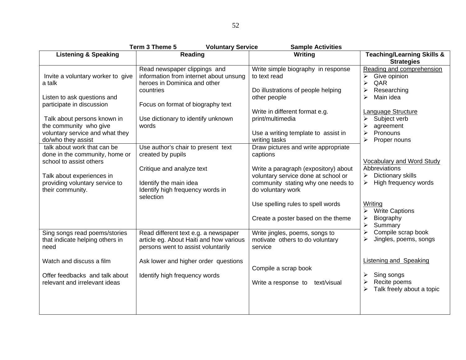| Term 3 Theme 5<br><b>Voluntary Service</b><br><b>Sample Activities</b>                                                                                  |                                                                                                                       |                                                                                                                                                                      |                                                                                                                                         |  |
|---------------------------------------------------------------------------------------------------------------------------------------------------------|-----------------------------------------------------------------------------------------------------------------------|----------------------------------------------------------------------------------------------------------------------------------------------------------------------|-----------------------------------------------------------------------------------------------------------------------------------------|--|
| <b>Listening &amp; Speaking</b>                                                                                                                         | Reading                                                                                                               | Writing                                                                                                                                                              | <b>Teaching/Learning Skills &amp;</b><br><b>Strategies</b>                                                                              |  |
| Invite a voluntary worker to give<br>a talk                                                                                                             | Read newspaper clippings and<br>information from internet about unsung<br>heroes in Dominica and other<br>countries   | Write simple biography in response<br>to text read<br>Do illustrations of people helping                                                                             | Reading and comprehension<br>Give opinion<br>≻<br>$\blacktriangleright$<br>QAR<br>Researching<br>≻                                      |  |
| Listen to ask questions and<br>participate in discussion                                                                                                | Focus on format of biography text                                                                                     | other people                                                                                                                                                         | Main idea                                                                                                                               |  |
| Talk about persons known in<br>the community who give<br>voluntary service and what they<br>do/who they assist                                          | Use dictionary to identify unknown<br>words                                                                           | Write in different format e.g.<br>print/multimedia<br>Use a writing template to assist in<br>writing tasks                                                           | Language Structure<br>Subject verb<br>≻<br>$\blacktriangleright$<br>agreement<br>Pronouns<br>➤<br>$\blacktriangleright$<br>Proper nouns |  |
| talk about work that can be<br>done in the community, home or<br>school to assist others<br>Talk about experiences in<br>providing voluntary service to | Use author's chair to present text<br>created by pupils<br>Critique and analyze text<br>Identify the main idea        | Draw pictures and write appropriate<br>captions<br>Write a paragraph (expository) about<br>voluntary service done at school or<br>community stating why one needs to | Vocabulary and Word Study<br>Abbreviations<br>$\blacktriangleright$<br>Dictionary skills<br>High frequency words<br>≻                   |  |
| their community.                                                                                                                                        | Identify high frequency words in<br>selection                                                                         | do voluntary work<br>Use spelling rules to spell words<br>Create a poster based on the theme                                                                         | Writing<br><b>Write Captions</b><br>Biography<br>≻<br>$\blacktriangleright$<br>Summary                                                  |  |
| Sing songs read poems/stories<br>that indicate helping others in<br>need                                                                                | Read different text e.g. a newspaper<br>article eg. About Haiti and how various<br>persons went to assist voluntarily | Write jingles, poems, songs to<br>motivate others to do voluntary<br>service                                                                                         | Compile scrap book<br>Jingles, poems, songs<br>≻                                                                                        |  |
| Watch and discuss a film<br>Offer feedbacks and talk about<br>relevant and irrelevant ideas                                                             | Ask lower and higher order questions<br>Identify high frequency words                                                 | Compile a scrap book<br>Write a response to text/visual                                                                                                              | <b>Listening and Speaking</b><br>Sing songs<br>➤<br>Recite poems<br>➤<br>Talk freely about a topic<br>≻                                 |  |
|                                                                                                                                                         |                                                                                                                       |                                                                                                                                                                      |                                                                                                                                         |  |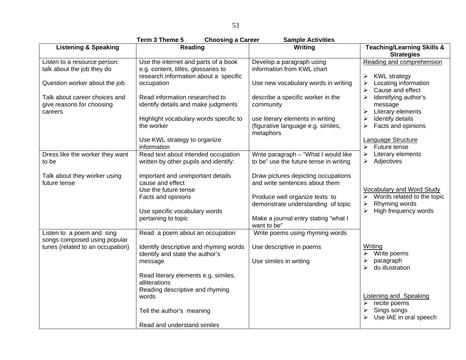| Term 3 Theme 5<br><b>Choosing a Career</b><br><b>Sample Activities</b> |                                                                                                                               |                                                                                                                          |                                                                                                               |
|------------------------------------------------------------------------|-------------------------------------------------------------------------------------------------------------------------------|--------------------------------------------------------------------------------------------------------------------------|---------------------------------------------------------------------------------------------------------------|
| <b>Listening &amp; Speaking</b>                                        | Reading                                                                                                                       | Writing                                                                                                                  | <b>Teaching/Learning Skills &amp;</b><br><b>Strategies</b>                                                    |
| Listen to a resource person:<br>talk about the job they do             | Use the internet and parts of a book<br>e.g. content, titles, glossaries to<br>research information about a specific          | Develop a paragraph using<br>information from KWL chart                                                                  | Reading and comprehension<br><b>KWL</b> strategy<br>➤                                                         |
| Question worker about the job                                          | occupation                                                                                                                    | Use new vocabulary words in writing                                                                                      | Locating information<br>➤<br>Cause and effect                                                                 |
| Talk about career choices and<br>give reasons for choosing<br>careers  | Read information researched to<br>identify details and make judgments<br>Highlight vocabulary words specific to<br>the worker | describe a specific worker in the<br>community<br>use literary elements in writing<br>(figurative language e.g. similes, | Identifying author's<br>≻<br>message<br>Literary elements<br>≻<br>Identify details<br>Facts and opinions<br>≻ |
|                                                                        | Use KWL strategy to organize                                                                                                  | metaphors                                                                                                                | Language Structure                                                                                            |
|                                                                        | information                                                                                                                   |                                                                                                                          | Future tense<br>≻                                                                                             |
| Dress like the worker they want<br>to be                               | Read text about intended occupation<br>written by other pupils and identify:                                                  | Write paragraph - "What I would like<br>to be" use the future tense in writing                                           | Literary elements<br>Adjectives<br>➤                                                                          |
| Talk about they worker using<br>future tense                           | important and unimportant details<br>cause and effect<br>Use the future tense                                                 | Draw pictures depicting occupations<br>and write sentences about them                                                    | <b>Vocabulary and Word Study</b>                                                                              |
|                                                                        | Facts and opinions<br>Use specific vocabulary words                                                                           | Produce well organize texts to<br>demonstrate understanding of topic                                                     | Words related to the topic<br>Rhyming words<br>➤<br>High frequency words<br>$\blacktriangleright$             |
|                                                                        | pertaining to topic                                                                                                           | Make a journal entry stating "what I<br>want to be"                                                                      |                                                                                                               |
| Listen to a poem and sing<br>songs composed using popular              | Read a poem about an occupation                                                                                               | Write poems using rhyming words                                                                                          |                                                                                                               |
| tunes (related to an occupation)                                       | Identify descriptive and rhyming words<br>Identify and state the author's                                                     | Use descriptive in poems                                                                                                 | Writing<br>Write poems                                                                                        |
|                                                                        | message                                                                                                                       | Use similes in writing                                                                                                   | paragraph<br>≻<br>do illustration                                                                             |
|                                                                        | Read literary elements e.g. similes,<br>alliterations                                                                         |                                                                                                                          |                                                                                                               |
|                                                                        | Reading descriptive and rhyming<br>words                                                                                      |                                                                                                                          | <b>Listening and Speaking</b><br>recite poems<br>$\blacktriangleright$                                        |
|                                                                        | Tell the author's meaning                                                                                                     |                                                                                                                          | Sings songs<br>➤<br>Use IAE in oral speech                                                                    |
|                                                                        | Read and understand similes                                                                                                   |                                                                                                                          |                                                                                                               |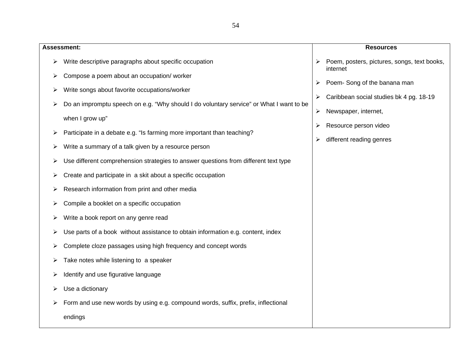|   | <b>Assessment:</b>                                                                      |   | <b>Resources</b>                                        |
|---|-----------------------------------------------------------------------------------------|---|---------------------------------------------------------|
| ≻ | Write descriptive paragraphs about specific occupation                                  |   | Poem, posters, pictures, songs, text books,<br>internet |
| ➤ | Compose a poem about an occupation/ worker                                              | ➤ | Poem-Song of the banana man                             |
| ➤ | Write songs about favorite occupations/worker                                           | ➤ | Caribbean social studies bk 4 pg. 18-19                 |
| ⋗ | Do an impromptu speech on e.g. "Why should I do voluntary service" or What I want to be | ➤ | Newspaper, internet,                                    |
|   | when I grow up"                                                                         |   |                                                         |
| ➤ | Participate in a debate e.g. "Is farming more important than teaching?                  | ➤ | Resource person video                                   |
| ⋗ | Write a summary of a talk given by a resource person                                    | ➤ | different reading genres                                |
| ⋗ | Use different comprehension strategies to answer questions from different text type     |   |                                                         |
| ➤ | Create and participate in a skit about a specific occupation                            |   |                                                         |
| ⋗ | Research information from print and other media                                         |   |                                                         |
| ⋗ | Compile a booklet on a specific occupation                                              |   |                                                         |
| ⋗ | Write a book report on any genre read                                                   |   |                                                         |
| ➤ | Use parts of a book without assistance to obtain information e.g. content, index        |   |                                                         |
| ➤ | Complete cloze passages using high frequency and concept words                          |   |                                                         |
| ⋗ | Take notes while listening to a speaker                                                 |   |                                                         |
| ➤ | Identify and use figurative language                                                    |   |                                                         |
| ➤ | Use a dictionary                                                                        |   |                                                         |
|   | Form and use new words by using e.g. compound words, suffix, prefix, inflectional       |   |                                                         |
|   | endings                                                                                 |   |                                                         |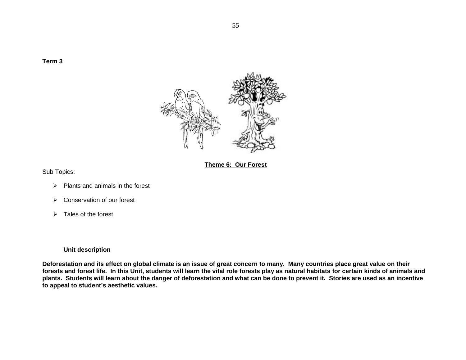**Term 3** 



**Theme 6: Our Forest**

Sub Topics:

- $\triangleright$  Plants and animals in the forest
- $\triangleright$  Conservation of our forest
- $\triangleright$  Tales of the forest

# **Unit description**

**Deforestation and its effect on global climate is an issue of great concern to many. Many countries place great value on their forests and forest life. In this Unit, students will learn the vital role forests play as natural habitats for certain kinds of animals and plants. Students will learn about the danger of deforestation and what can be done to prevent it. Stories are used as an incentive to appeal to student's aesthetic values.**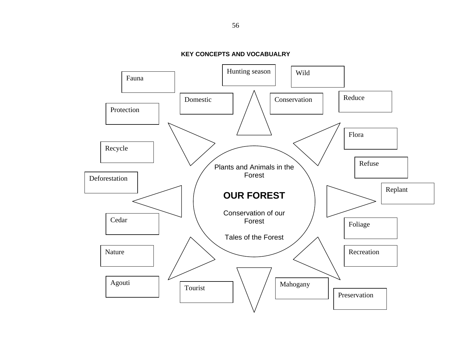

**KEY CONCEPTS AND VOCABUALRY**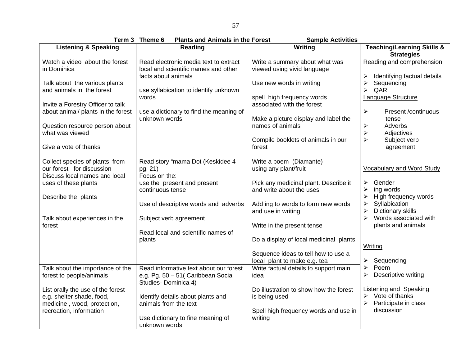|                                                                                               | Term 3 Theme 6<br><b>Plants and Animals in the Forest</b>                                            | <b>Sample Activities</b>                                            |                                                                                                  |
|-----------------------------------------------------------------------------------------------|------------------------------------------------------------------------------------------------------|---------------------------------------------------------------------|--------------------------------------------------------------------------------------------------|
| <b>Listening &amp; Speaking</b>                                                               | <b>Reading</b>                                                                                       | Writing                                                             | <b>Teaching/Learning Skills &amp;</b><br><b>Strategies</b>                                       |
| Watch a video about the forest<br>in Dominica                                                 | Read electronic media text to extract<br>local and scientific names and other<br>facts about animals | Write a summary about what was<br>viewed using vivid language       | Reading and comprehension<br>Identifying factual details                                         |
| Talk about the various plants<br>and animals in the forest                                    | use syllabication to identify unknown<br>words                                                       | Use new words in writing<br>spell high frequency words              | Sequencing<br>QAR<br>⋗<br>Language Structure                                                     |
| Invite a Forestry Officer to talk<br>about animal/ plants in the forest                       | use a dictionary to find the meaning of<br>unknown words                                             | associated with the forest<br>Make a picture display and label the  | $\blacktriangleright$<br>Present /continuous<br>tense                                            |
| Question resource person about<br>what was viewed                                             |                                                                                                      | names of animals<br>Compile booklets of animals in our              | ➤<br>Adverbs<br>$\blacktriangleright$<br>Adjectives<br>$\blacktriangleright$<br>Subject verb     |
| Give a vote of thanks                                                                         |                                                                                                      | forest                                                              | agreement                                                                                        |
| Collect species of plants from<br>our forest for discussion<br>Discuss local names and local  | Read story "mama Dot (Keskidee 4<br>pg. 21)<br>Focus on the:                                         | Write a poem (Diamante)<br>using any plant/fruit                    | <b>Vocabulary and Word Study</b>                                                                 |
| uses of these plants<br>Describe the plants                                                   | use the present and present<br>continuous tense                                                      | Pick any medicinal plant. Describe it<br>and write about the uses   | Gender<br>≻<br>ing words<br>⋗<br>High frequency words                                            |
|                                                                                               | Use of descriptive words and adverbs                                                                 | Add ing to words to form new words<br>and use in writing            | Syllabication<br>Dictionary skills                                                               |
| Talk about experiences in the<br>forest                                                       | Subject verb agreement<br>Read local and scientific names of                                         | Write in the present tense                                          | Words associated with<br>$\blacktriangleright$<br>plants and animals                             |
|                                                                                               | plants                                                                                               | Do a display of local medicinal plants                              | Writing                                                                                          |
|                                                                                               |                                                                                                      | Sequence ideas to tell how to use a<br>local plant to make e.g. tea | Sequencing<br>➤<br>Poem<br>≻                                                                     |
| Talk about the importance of the<br>forest to people/animals                                  | Read informative text about our forest<br>e.g. Pg. 50 - 51 (Caribbean Social<br>Studies-Dominica 4)  | Write factual details to support main<br>idea                       | Descriptive writing                                                                              |
| List orally the use of the forest<br>e.g. shelter shade, food,<br>medicine, wood, protection, | Identify details about plants and<br>animals from the text                                           | Do illustration to show how the forest<br>is being used             | <b>Listening and Speaking</b><br>Vote of thanks<br>$\blacktriangleright$<br>Participate in class |
| recreation, information                                                                       | Use dictionary to fine meaning of<br>unknown words                                                   | Spell high frequency words and use in<br>writing                    | discussion                                                                                       |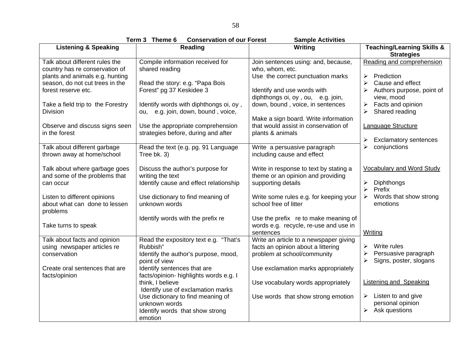**Term 3 Theme 6 Conservation of our Forest Sample Activities** 

|                                                                                                     | .<br>ט טוויטווי<br><b>OUTSURATION OF OUR FULLS!</b>                                                        | טטווויטר הענו יונוטט                                                                                        |                                                                                        |  |  |
|-----------------------------------------------------------------------------------------------------|------------------------------------------------------------------------------------------------------------|-------------------------------------------------------------------------------------------------------------|----------------------------------------------------------------------------------------|--|--|
| <b>Listening &amp; Speaking</b>                                                                     | Reading                                                                                                    | Writing                                                                                                     | <b>Teaching/Learning Skills &amp;</b><br><b>Strategies</b>                             |  |  |
| Talk about different rules the<br>country has re conservation of<br>plants and animals e.g. hunting | Compile information received for<br>shared reading                                                         | Join sentences using: and, because,<br>who, whom, etc.<br>Use the correct punctuation marks                 | Reading and comprehension<br>Prediction<br>≻                                           |  |  |
| season, do not cut trees in the<br>forest reserve etc.                                              | Read the story: e.g. "Papa Bois<br>Forest" pg 37 Keskidee 3                                                | Identify and use words with<br>diphthongs oi, oy, ou, e.g. join,                                            | Cause and effect<br>Authors purpose, point of<br>view, mood                            |  |  |
| Take a field trip to the Forestry<br><b>Division</b>                                                | Identify words with diphthongs oi, oy,<br>ou, e.g. join, down, bound, voice,                               | down, bound, voice, in sentences<br>Make a sign board. Write information                                    | Facts and opinion<br>Shared reading<br>≻                                               |  |  |
| Observe and discuss signs seen<br>in the forest                                                     | Use the appropriate comprehension<br>strategies before, during and after                                   | that would assist in conservation of<br>plants & animals                                                    | Language Structure<br><b>Exclamatory sentences</b>                                     |  |  |
| Talk about different garbage<br>thrown away at home/school                                          | Read the text (e.g. pg. 91 Language<br>Tree bk. 3)                                                         | Write a persuasive paragraph<br>including cause and effect                                                  | conjunctions<br>⋗                                                                      |  |  |
| Talk about where garbage goes<br>and some of the problems that<br>can occur                         | Discuss the author's purpose for<br>writing the text<br>Identify cause and effect relationship             | Write in response to text by stating a<br>theme or an opinion and providing<br>supporting details           | <b>Vocabulary and Word Study</b><br>Diphthongs<br>$\blacktriangleright$<br>Prefix      |  |  |
| Listen to different opinions<br>about what can done to lessen<br>problems                           | Use dictionary to find meaning of<br>unknown words                                                         | Write some rules e.g. for keeping your<br>school free of litter                                             | $\blacktriangleright$<br>Words that show strong<br>emotions                            |  |  |
| Take turns to speak                                                                                 | Identify words with the prefix re                                                                          | Use the prefix re to make meaning of<br>words e.g. recycle, re-use and use in<br>sentences                  | Writing                                                                                |  |  |
| Talk about facts and opinion<br>using newspaper articles re<br>conservation                         | Read the expository text e.g. "That's<br>Rubbish"<br>Identify the author's purpose, mood,<br>point of view | Write an article to a newspaper giving<br>facts an opinion about a littering<br>problem at school/community | Write rules<br>Persuasive paragraph<br>$\blacktriangleright$<br>Signs, poster, slogans |  |  |
| Create oral sentences that are<br>facts/opinion                                                     | Identify sentences that are<br>facts/opinion- highlights words e.g. I                                      | Use exclamation marks appropriately                                                                         |                                                                                        |  |  |
|                                                                                                     | think, I believe<br>Identify use of exclamation marks                                                      | Use vocabulary words appropriately                                                                          | <b>Listening and Speaking</b>                                                          |  |  |
|                                                                                                     | Use dictionary to find meaning of<br>unknown words<br>Identify words that show strong<br>emotion           | Use words that show strong emotion                                                                          | Listen to and give<br>➤<br>personal opinion<br>Ask questions<br>≻                      |  |  |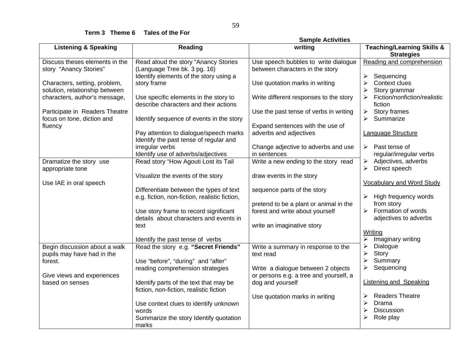**Term 3 Theme 6 Tales of the For**

|                                 |                                               | <b>Sample Activities</b>               |                                                            |
|---------------------------------|-----------------------------------------------|----------------------------------------|------------------------------------------------------------|
| <b>Listening &amp; Speaking</b> | Reading                                       | writing                                | <b>Teaching/Learning Skills &amp;</b><br><b>Strategies</b> |
| Discuss theses elements in the  | Read aloud the story "Anancy Stories          | Use speech bubbles to write dialogue   | Reading and comprehension                                  |
| story "Anancy Stories"          | (Language Tree bk. 3 pg. 16)                  | between characters in the story        |                                                            |
|                                 | Identify elements of the story using a        |                                        | ➢<br>Sequencing                                            |
| Characters, setting, problem,   | story frame                                   | Use quotation marks in writing         | Context clues<br>≻                                         |
| solution, relationship between  |                                               |                                        | Story grammar                                              |
| characters, author's message,   | Use specific elements in the story to         | Write different responses to the story | Fiction/nonfiction/realistic                               |
|                                 | describe characters and their actions         |                                        | fiction                                                    |
|                                 |                                               |                                        |                                                            |
| Participate in Readers Theatre  |                                               | Use the past tense of verbs in writing | Story frames<br>➤                                          |
| focus on tone, diction and      | Identify sequence of events in the story      |                                        | Summarize                                                  |
| fluency                         |                                               | Expand sentences with the use of       |                                                            |
|                                 | Pay attention to dialogue/speech marks        | adverbs and adjectives                 | Language Structure                                         |
|                                 | Identify the past tense of regular and        |                                        |                                                            |
|                                 | irregular verbs                               | Change adjective to adverbs and use    | Past tense of<br>$\blacktriangleright$                     |
|                                 | Identify use of adverbs/adjectives            | in sentences                           | regular/irregular verbs                                    |
| Dramatize the story use         | Read story "How Agouti Lost its Tail          | Write a new ending to the story read   | Adjectives, adverbs<br>➤                                   |
| appropriate tone                |                                               |                                        | Direct speech<br>$\blacktriangleright$                     |
|                                 | Visualize the events of the story             | draw events in the story               |                                                            |
| Use IAE in oral speech          |                                               |                                        | <b>Vocabulary and Word Study</b>                           |
|                                 | Differentiate between the types of text       | sequence parts of the story            |                                                            |
|                                 | e.g. fiction, non-fiction, realistic fiction, |                                        | High frequency words                                       |
|                                 |                                               | pretend to be a plant or animal in the | from story                                                 |
|                                 | Use story frame to record significant         | forest and write about yourself        | Formation of words<br>$\blacktriangleright$                |
|                                 | details about characters and events in        |                                        | adjectives to adverbs                                      |
|                                 |                                               |                                        |                                                            |
|                                 | text                                          | write an imaginative story             |                                                            |
|                                 |                                               |                                        | Writing                                                    |
|                                 | Identify the past tense of verbs              |                                        | Imaginary writing<br>≻                                     |
| Begin discussion about a walk   | Read the story e.g. "Secret Friends"          | Write a summary in response to the     | $\blacktriangleright$<br>Dialogue                          |
| pupils may have had in the      |                                               | text read                              | $\blacktriangleright$<br>Story                             |
| forest.                         | Use "before", "during" and "after"            |                                        | $\blacktriangleright$<br>Summary                           |
|                                 | reading comprehension strategies              | Write a dialogue between 2 objects     | $\blacktriangleright$<br>Sequencing                        |
| Give views and experiences      |                                               | or persons e.g. a tree and yourself, a |                                                            |
| based on senses                 | Identify parts of the text that may be        | dog and yourself                       | <b>Listening and Speaking</b>                              |
|                                 | fiction, non-fiction, realistic fiction       |                                        |                                                            |
|                                 |                                               | Use quotation marks in writing         | <b>Readers Theatre</b><br>➤                                |
|                                 | Use context clues to identify unknown         |                                        | $\blacktriangleright$<br>Drama                             |
|                                 | words                                         |                                        | <b>Discussion</b>                                          |
|                                 | Summarize the story Identify quotation        |                                        | ➢<br>Role play                                             |
|                                 | marks                                         |                                        |                                                            |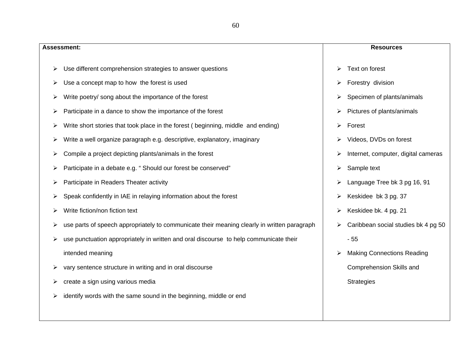| . .<br>۰.<br>×<br>۰.<br>×<br>۰.<br>v.<br>v<br>× | ٠ |  |
|-------------------------------------------------|---|--|
|-------------------------------------------------|---|--|

|   | Assessment:                                                                                 |   | <b>Resources</b>                    |
|---|---------------------------------------------------------------------------------------------|---|-------------------------------------|
| ➤ | Use different comprehension strategies to answer questions                                  | ➤ | Text on forest                      |
| ➤ | Use a concept map to how the forest is used                                                 | ➤ | Forestry division                   |
| ⋗ | Write poetry/ song about the importance of the forest                                       | ⋗ | Specimen of plants/animals          |
|   | Participate in a dance to show the importance of the forest                                 | ⋗ | Pictures of plants/animals          |
|   | Write short stories that took place in the forest (beginning, middle and ending)            | ➤ | Forest                              |
|   | Write a well organize paragraph e.g. descriptive, explanatory, imaginary                    |   | Videos, DVDs on forest              |
|   | Compile a project depicting plants/animals in the forest                                    |   | Internet, computer, digital cameras |
| ⋗ | Participate in a debate e.g. "Should our forest be conserved"                               | ➤ | Sample text                         |
| ⋗ | Participate in Readers Theater activity                                                     |   | Language Tree bk 3 pg 16, 91        |
| ⋗ | Speak confidently in IAE in relaying information about the forest                           | ≻ | Keskidee bk 3 pg. 37                |
| ≻ | Write fiction/non fiction text                                                              | ➤ | Keskidee bk. 4 pg. 21               |
| ⋗ | use parts of speech appropriately to communicate their meaning clearly in written paragraph |   | Caribbean social studies bk 4 pg 50 |
| ➤ | use punctuation appropriately in written and oral discourse to help communicate their       |   | $-55$                               |
|   | intended meaning                                                                            |   | <b>Making Connections Reading</b>   |
|   | vary sentence structure in writing and in oral discourse                                    |   | Comprehension Skills and            |
| ⋗ | create a sign using various media                                                           |   | <b>Strategies</b>                   |
|   | identify words with the same sound in the beginning, middle or end                          |   |                                     |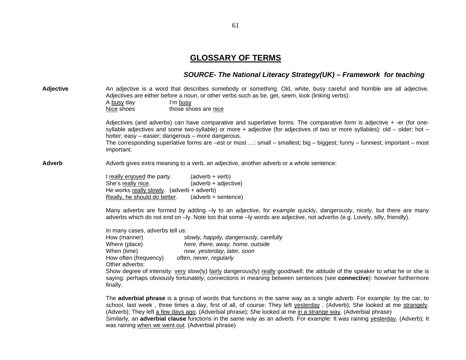# **GLOSSARY OF TERMS**

# *SOURCE- The National Literacy Strategy(UK) – Framework for teaching*

| <b>Adjective</b> | An adjective is a word that describes somebody or something. Old, white, busy careful and horrible are all adjective.<br>Adjectives are either before a noun, or other verbs such as be, get, seem, look (linking verbs):<br>A busy day<br>I'm busy<br>those shoes are nice<br>Nice shoes                                                                                                                                                                                                                                                               |
|------------------|---------------------------------------------------------------------------------------------------------------------------------------------------------------------------------------------------------------------------------------------------------------------------------------------------------------------------------------------------------------------------------------------------------------------------------------------------------------------------------------------------------------------------------------------------------|
|                  | Adjectives (and adverbs) can have comparative and superlative forms. The comparative form is adjective + -er (for one-<br>syllable adjectives and some two-syllable) or more + adjective (for adjectives of two or more syllables): old – older; hot –<br>hotter; easy - easier; dangerous - more dangerous.<br>The corresponding superlative forms are -est or most : small - smallest; big - biggest; funny - funniest; important - most<br>important.                                                                                                |
| <b>Adverb</b>    | Adverb gives extra meaning to a verb, an adjective, another adverb or a whole sentence:                                                                                                                                                                                                                                                                                                                                                                                                                                                                 |
|                  | I really enjoyed the party.<br>(adverb + verb)<br>She's really nice.<br>(adverb + adjective)<br>He works really slowly. (adverb + adverb)<br>Really, he should do better.<br>(adverb + sentence)<br>Many adverbs are formed by adding -ly to an adjective, for example quickly, dangerously, nicely, but there are many<br>adverbs which do not end on -ly. Note too that some -ly words are adjective, not adverbs (e.g. Lovely, silly, friendly).                                                                                                     |
|                  | In many cases, adverbs tell us:<br>How (manner)<br>slowly, happily, dangerously, carefully<br>here, there, away, home, outside<br>Where (place)<br>When (time)<br>now, yesterday, later, soon<br>often, never, regularly<br>How often (frequency)<br>Other adverbs:<br>Show degree of intensity: very slow(ly) fairly dangerous(ly) really good/well; the attitude of the speaker to what he or she is<br>saying: perhaps obviously fortunately; connections in meaning between sentences (see connective): however furthermore<br>finally.             |
|                  | The adverbial phrase is a group of words that functions in the same way as a single adverb. For example: by the car, to<br>school, last week, three times a day, first of all, of course: They left yesterday. (Adverb); She looked at me strangely.<br>(Adverb); They left a few days ago. (Adverbial phrase); She looked at me in a strange way. (Adverbial phrase)<br>Similarly, an adverbial clause functions in the same way as an adverb. For example: It was raining vesterday. (Adverb); It<br>was raining when we went out. (Adverbial phrase) |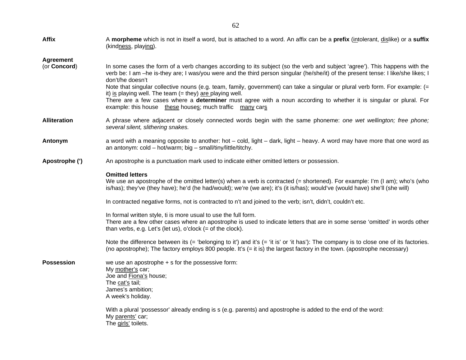| <b>Affix</b>                     | A morpheme which is not in itself a word, but is attached to a word. An affix can be a prefix (intolerant, dislike) or a suffix<br>(kindness, playing).                                                                                                                                                                                                                                                                                                                                                                                                                                                                                                             |
|----------------------------------|---------------------------------------------------------------------------------------------------------------------------------------------------------------------------------------------------------------------------------------------------------------------------------------------------------------------------------------------------------------------------------------------------------------------------------------------------------------------------------------------------------------------------------------------------------------------------------------------------------------------------------------------------------------------|
| <b>Agreement</b><br>(or Concord) | In some cases the form of a verb changes according to its subject (so the verb and subject 'agree'). This happens with the<br>verb be: I am -he is-they are; I was/you were and the third person singular (he/she/it) of the present tense: I like/she likes; I<br>don't/he doesn't<br>Note that singular collective nouns (e.g. team, family, government) can take a singular or plural verb form. For example: (=<br>it) is playing well. The team $(=$ they) are playing well.<br>There are a few cases where a determiner must agree with a noun according to whether it is singular or plural. For<br>example: this house these houses; much traffic many cars |
| <b>Alliteration</b>              | A phrase where adjacent or closely connected words begin with the same phoneme: one wet wellington; free phone;<br>several silent, slithering snakes.                                                                                                                                                                                                                                                                                                                                                                                                                                                                                                               |
| Antonym                          | a word with a meaning opposite to another: hot - cold, light - dark, light - heavy. A word may have more that one word as<br>an antonym: $cold - hot/warm$ ; big $-$ small/tiny/little/titchy.                                                                                                                                                                                                                                                                                                                                                                                                                                                                      |
| Apostrophe (')                   | An apostrophe is a punctuation mark used to indicate either omitted letters or possession.                                                                                                                                                                                                                                                                                                                                                                                                                                                                                                                                                                          |
|                                  | <b>Omitted letters</b><br>We use an apostrophe of the omitted letter(s) when a verb is contracted (= shortened). For example: I'm (I am); who's (who<br>is/has); they've (they have); he'd (he had/would); we're (we are); it's (it is/has); would've (would have) she'll (she will)                                                                                                                                                                                                                                                                                                                                                                                |
|                                  | In contracted negative forms, not is contracted to n't and joined to the verb; isn't, didn't, couldn't etc.                                                                                                                                                                                                                                                                                                                                                                                                                                                                                                                                                         |
|                                  | In formal written style, ti is more usual to use the full form.<br>There are a few other cases where an apostrophe is used to indicate letters that are in some sense 'omitted' in words other<br>than verbs, e.g. Let's (let us), o'clock $(=$ of the clock).                                                                                                                                                                                                                                                                                                                                                                                                      |
|                                  | Note the difference between its (= 'belonging to it') and it's (= 'it is' or 'it has'): The company is to close one of its factories.<br>(no apostrophe); The factory employs 800 people. It's (= it is) the largest factory in the town. (apostrophe necessary)                                                                                                                                                                                                                                                                                                                                                                                                    |
| <b>Possession</b>                | we use an apostrophe $+$ s for the possessive form:<br>My mother's car,<br>Joe and Fiona's house;<br>The cat's tail;<br>James's ambition;<br>A week's holiday.<br>With a plural 'possessor' already ending is s (e.g. parents) and apostrophe is added to the end of the word:<br>My parents' car;<br>The girls' toilets.                                                                                                                                                                                                                                                                                                                                           |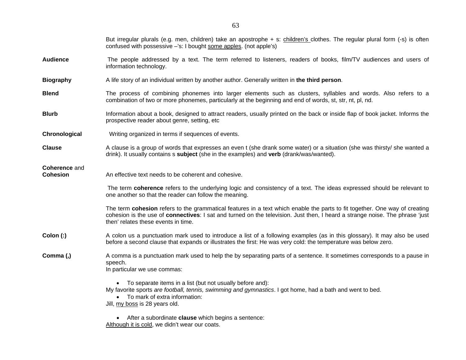|                                         | But irregular plurals (e.g. men, children) take an apostrophe + s: children's clothes. The regular plural form (-s) is often<br>confused with possessive -'s: I bought some apples. (not apple's)                                                                                                 |  |  |  |  |  |
|-----------------------------------------|---------------------------------------------------------------------------------------------------------------------------------------------------------------------------------------------------------------------------------------------------------------------------------------------------|--|--|--|--|--|
| <b>Audience</b>                         | The people addressed by a text. The term referred to listeners, readers of books, film/TV audiences and users of<br>information technology.                                                                                                                                                       |  |  |  |  |  |
| <b>Biography</b>                        | A life story of an individual written by another author. Generally written in the third person.                                                                                                                                                                                                   |  |  |  |  |  |
| <b>Blend</b>                            | The process of combining phonemes into larger elements such as clusters, syllables and words. Also refers to a<br>combination of two or more phonemes, particularly at the beginning and end of words, st, str, nt, pl, nd.                                                                       |  |  |  |  |  |
| <b>Blurb</b>                            | Information about a book, designed to attract readers, usually printed on the back or inside flap of book jacket. Informs the<br>prospective reader about genre, setting, etc                                                                                                                     |  |  |  |  |  |
| Chronological                           | Writing organized in terms if sequences of events.                                                                                                                                                                                                                                                |  |  |  |  |  |
| <b>Clause</b>                           | A clause is a group of words that expresses an even t (she drank some water) or a situation (she was thirsty/ she wanted a<br>drink). It usually contains s subject (she in the examples) and verb (drank/was/wanted).                                                                            |  |  |  |  |  |
| <b>Coherence and</b><br><b>Cohesion</b> | An effective text needs to be coherent and cohesive.                                                                                                                                                                                                                                              |  |  |  |  |  |
|                                         | The term coherence refers to the underlying logic and consistency of a text. The ideas expressed should be relevant to<br>one another so that the reader can follow the meaning.                                                                                                                  |  |  |  |  |  |
|                                         | The term cohesion refers to the grammatical features in a text which enable the parts to fit together. One way of creating<br>cohesion is the use of connectives: I sat and turned on the television. Just then, I heard a strange noise. The phrase 'just<br>then' relates these events in time. |  |  |  |  |  |
| Colon (:)                               | A colon us a punctuation mark used to introduce a list of a following examples (as in this glossary). It may also be used<br>before a second clause that expands or illustrates the first: He was very cold: the temperature was below zero.                                                      |  |  |  |  |  |
| Comma (,)                               | A comma is a punctuation mark used to help the by separating parts of a sentence. It sometimes corresponds to a pause in<br>speech.<br>In particular we use commas:                                                                                                                               |  |  |  |  |  |
|                                         | • To separate items in a list (but not usually before and):<br>My favorite sports are football, tennis, swimming and gymnastics. I got home, had a bath and went to bed.<br>To mark of extra information:<br>Jill, my boss is 28 years old.                                                       |  |  |  |  |  |
|                                         | After a subordinate <b>clause</b> which begins a sentence:                                                                                                                                                                                                                                        |  |  |  |  |  |

Although it is cold, we didn't wear our coats.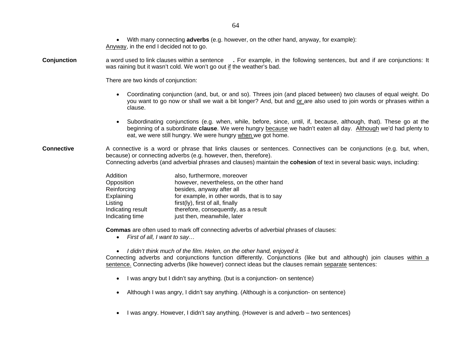• With many connecting **adverbs** (e.g. however, on the other hand, anyway, for example): Anyway, in the end I decided not to go. **Conjunction** a word used to link clauses within a sentence **.** For example, in the following sentences, but and if are conjunctions: It was raining but it wasn't cold. We won't go out if the weather's bad. There are two kinds of conjunction: • Coordinating conjunction (and, but, or and so). Threes join (and placed between) two clauses of equal weight. Do you want to go now or shall we wait a bit longer? And, but and or are also used to join words or phrases within a clause. • Subordinating conjunctions (e.g. when, while, before, since, until, if, because, although, that). These go at the beginning of a subordinate **clause**. We were hungry because we hadn't eaten all day. Although we'd had plenty to eat, we were still hungry. We were hungry when we got home. **Connective** A connective is a word or phrase that links clauses or sentences. Connectives can be conjunctions (e.g. but, when, because) or connecting adverbs (e.g. however, then, therefore). Connecting adverbs (and adverbial phrases and clauses) maintain the **cohesion** of text in several basic ways, including: Addition also, furthermore, moreover Opposition however, nevertheless, on the other hand Reinforcing besides, anyway after all Explaining **Explaining** for example, in other words, that is to say Listing  $List(ly)$ , first of all, finally Indicating result therefore, consequently, as a result Indicating time iust then, meanwhile, later **Commas** are often used to mark off connecting adverbs of adverbial phrases of clauses: • *First of all, I want to say…*  • *I didn't think much of the film. Helen, on the other hand, enjoyed it.*  Connecting adverbs and conjunctions function differently. Conjunctions (like but and although) join clauses within a sentence. Connecting adverbs (like however) connect ideas but the clauses remain separate sentences: • I was angry but I didn't say anything. (but is a conjunction- on sentence) • Although I was angry, I didn't say anything. (Although is a conjunction- on sentence) • I was angry. However, I didn't say anything. (However is and adverb – two sentences)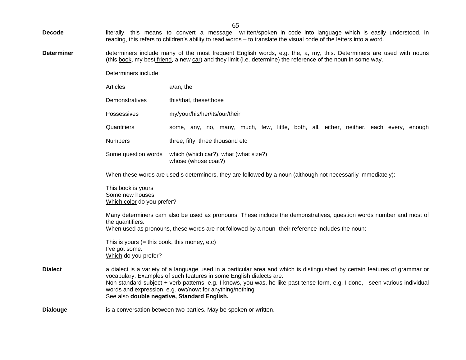| <b>Decode</b> |  |  |  | literally, this means to convert a message written/spoken in code into language which is easily understood. In      |  |  |  |  |  |
|---------------|--|--|--|---------------------------------------------------------------------------------------------------------------------|--|--|--|--|--|
|               |  |  |  | reading, this refers to children's ability to read words – to translate the visual code of the letters into a word. |  |  |  |  |  |

**Determiner** determiners include many of the most frequent English words, e.g. the, a, my, this. Determiners are used with nouns (this <u>book</u>, my best <u>friend,</u> a new car) and they limit (i.e. determine) the reference of the noun in some way.

Determiners include:

**Dialouge** 

|                 | Articles                                                                                 | a/an, the                                                                                                                                                                                                                                                                                                                                                                                                                                     |
|-----------------|------------------------------------------------------------------------------------------|-----------------------------------------------------------------------------------------------------------------------------------------------------------------------------------------------------------------------------------------------------------------------------------------------------------------------------------------------------------------------------------------------------------------------------------------------|
|                 | Demonstratives                                                                           | this/that, these/those                                                                                                                                                                                                                                                                                                                                                                                                                        |
|                 | Possessives                                                                              | my/your/his/her/its/our/their                                                                                                                                                                                                                                                                                                                                                                                                                 |
|                 | Quantifiers                                                                              | some, any, no, many, much, few, little, both, all, either, neither, each every, enough                                                                                                                                                                                                                                                                                                                                                        |
|                 | <b>Numbers</b>                                                                           | three, fifty, three thousand etc                                                                                                                                                                                                                                                                                                                                                                                                              |
|                 |                                                                                          | Some question words which (which car?), what (what size?)<br>whose (whose coat?)                                                                                                                                                                                                                                                                                                                                                              |
|                 |                                                                                          | When these words are used s determiners, they are followed by a noun (although not necessarily immediately):                                                                                                                                                                                                                                                                                                                                  |
|                 | This book is yours<br>Some new houses<br>Which color do you prefer?                      |                                                                                                                                                                                                                                                                                                                                                                                                                                               |
|                 | the quantifiers.                                                                         | Many determiners cam also be used as pronouns. These include the demonstratives, question words number and most of<br>When used as pronouns, these words are not followed by a noun- their reference includes the noun:                                                                                                                                                                                                                       |
|                 | This is yours $(=$ this book, this money, etc)<br>I've got some.<br>Which do you prefer? |                                                                                                                                                                                                                                                                                                                                                                                                                                               |
| <b>Dialect</b>  |                                                                                          | a dialect is a variety of a language used in a particular area and which is distinguished by certain features of grammar or<br>vocabulary. Examples of such features in some English dialects are:<br>Non-standard subject + verb patterns, e.g. I knows, you was, he like past tense form, e.g. I done, I seen various individual<br>words and expression, e.g. owt/nowt for anything/nothing<br>See also double negative, Standard English. |
| <b>Dialouge</b> |                                                                                          | is a conversation between two parties. May be spoken or written.                                                                                                                                                                                                                                                                                                                                                                              |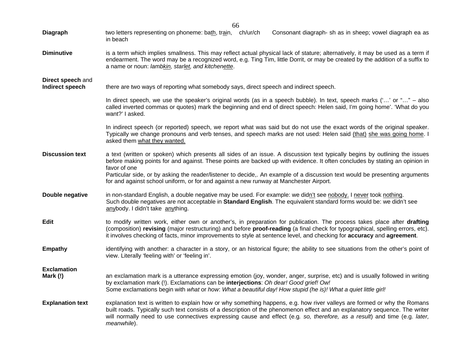| Diagraph                             | two letters representing on phoneme: bath, train, ch/ur/ch<br>Consonant diagraph- sh as in sheep; vowel diagraph ea as<br>in beach                                                                                                                                                                                                                                                                                                                                                                  |
|--------------------------------------|-----------------------------------------------------------------------------------------------------------------------------------------------------------------------------------------------------------------------------------------------------------------------------------------------------------------------------------------------------------------------------------------------------------------------------------------------------------------------------------------------------|
| <b>Diminutive</b>                    | is a term which implies smallness. This may reflect actual physical lack of stature; alternatively, it may be used as a term if<br>endearment. The word may be a recognized word, e.g. Ting Tim, little Dorrit, or may be created by the addition of a suffix to<br>a name or noun: lambkin, starlet, and kitchenette.                                                                                                                                                                              |
| Direct speech and<br>Indirect speech | there are two ways of reporting what somebody says, direct speech and indirect speech.                                                                                                                                                                                                                                                                                                                                                                                                              |
|                                      | In direct speech, we use the speaker's original words (as in a speech bubble). In text, speech marks ('' or "" – also<br>called inverted commas or quotes) mark the beginning and end of direct speech: Helen said, I'm going home'. 'What do you<br>want?' I asked.                                                                                                                                                                                                                                |
|                                      | In indirect speech (or reported) speech, we report what was said but do not use the exact words of the original speaker.<br>Typically we change pronouns and verb tenses, and speech marks are not used: Helen said (that) she was going home. I<br>asked them what they wanted.                                                                                                                                                                                                                    |
| <b>Discussion text</b>               | a text (written or spoken) which presents all sides of an issue. A discussion text typically begins by outlining the issues<br>before making points for and against. These points are backed up with evidence. It often concludes by stating an opinion in<br>favor of one<br>Particular side, or by asking the reader/listener to decide,. An example of a discussion text would be presenting arguments<br>for and against school uniform, or for and against a new runway at Manchester Airport. |
| Double negative                      | in non-standard English, a double negative may be used. For example: we didn't see nobody. I never took nothing.<br>Such double negatives are not acceptable in Standard English. The equivalent standard forms would be: we didn't see<br>anybody. I didn't take anything.                                                                                                                                                                                                                         |
| <b>Edit</b>                          | to modify written work, either own or another's, in preparation for publication. The process takes place after drafting<br>(composition) revising (major restructuring) and before proof-reading (a final check for typographical, spelling errors, etc).<br>it involves checking of facts, minor improvements to style at sentence level, and checking for accuracy and agreement.                                                                                                                 |
| <b>Empathy</b>                       | identifying with another: a character in a story, or an historical figure; the ability to see situations from the other's point of<br>view. Literally 'feeling with' or 'feeling in'.                                                                                                                                                                                                                                                                                                               |
| <b>Exclamation</b><br>Mark (!)       | an exclamation mark is a utterance expressing emotion (joy, wonder, anger, surprise, etc) and is usually followed in writing<br>by exclamation mark (!). Exclamations can be interjections: Oh dear! Good grief! Ow!<br>Some exclamations begin with what or how: What a beautiful day! How stupid (he is)! What a quiet little girl!                                                                                                                                                               |
| <b>Explanation text</b>              | explanation text is written to explain how or why something happens, e.g. how river valleys are formed or why the Romans<br>built roads. Typically such text consists of a description of the phenomenon effect and an explanatory sequence. The writer<br>will normally need to use connectives expressing cause and effect (e.g. so, therefore, as a result) and time (e.g. later,<br>meanwhile).                                                                                                 |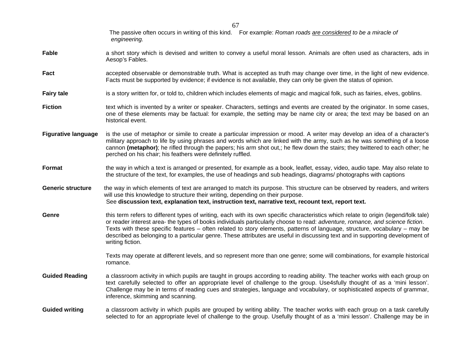|                            | The passive often occurs in writing of this kind. For example: Roman roads are considered to be a miracle of<br>engineering.                                                                                                                                                                                                                                                                                                                                                                                                                             |
|----------------------------|----------------------------------------------------------------------------------------------------------------------------------------------------------------------------------------------------------------------------------------------------------------------------------------------------------------------------------------------------------------------------------------------------------------------------------------------------------------------------------------------------------------------------------------------------------|
| Fable                      | a short story which is devised and written to convey a useful moral lesson. Animals are often used as characters, ads in<br>Aesop's Fables.                                                                                                                                                                                                                                                                                                                                                                                                              |
| Fact                       | accepted observable or demonstrable truth. What is accepted as truth may change over time, in the light of new evidence.<br>Facts must be supported by evidence; if evidence is not available, they can only be given the status of opinion.                                                                                                                                                                                                                                                                                                             |
| <b>Fairy tale</b>          | is a story written for, or told to, children which includes elements of magic and magical folk, such as fairies, elves, goblins.                                                                                                                                                                                                                                                                                                                                                                                                                         |
| <b>Fiction</b>             | text which is invented by a writer or speaker. Characters, settings and events are created by the originator. In some cases,<br>one of these elements may be factual: for example, the setting may be name city or area; the text may be based on an<br>historical event.                                                                                                                                                                                                                                                                                |
| <b>Figurative language</b> | is the use of metaphor or simile to create a particular impression or mood. A writer may develop an idea of a character's<br>military approach to life by using phrases and words which are linked with the army, such as he was something of a loose<br>cannon (metaphor); he rifled through the papers; his arm shot out,; he flew down the stairs; they twittered to each other; he<br>perched on his chair; his feathers were definitely ruffled.                                                                                                    |
| Format                     | the way in which a text is arranged or presented, for example as a book, leaflet, essay, video, audio tape. May also relate to<br>the structure of the text, for examples, the use of headings and sub headings, diagrams/ photographs with captions                                                                                                                                                                                                                                                                                                     |
| <b>Generic structure</b>   | the way in which elements of text are arranged to match its purpose. This structure can be observed by readers, and writers<br>will use this knowledge to structure their writing, depending on their purpose.<br>See discussion text, explanation text, instruction text, narrative text, recount text, report text.                                                                                                                                                                                                                                    |
| Genre                      | this term refers to different types of writing, each with its own specific characteristics which relate to origin (legend/folk tale)<br>or reader interest area- the types of books individuals particularly choose to read: adventure, romance, and science fiction.<br>Texts with these specific features - often related to story elements, patterns of language, structure, vocabulary - may be<br>described as belonging to a particular genre. These attributes are useful in discussing text and in supporting development of<br>writing fiction. |
|                            | Texts may operate at different levels, and so represent more than one genre; some will combinations, for example historical<br>romance.                                                                                                                                                                                                                                                                                                                                                                                                                  |
| <b>Guided Reading</b>      | a classroom activity in which pupils are taught in groups according to reading ability. The teacher works with each group on<br>text carefully selected to offer an appropriate level of challenge to the group. Use4sfully thought of as a 'mini lesson'.<br>Challenge may be in terms of reading cues and strategies, language and vocabulary, or sophisticated aspects of grammar,<br>inference, skimming and scanning.                                                                                                                               |
| <b>Guided writing</b>      | a classroom activity in which pupils are grouped by writing ability. The teacher works with each group on a task carefully<br>selected to for an appropriate level of challenge to the group. Usefully thought of as a 'mini lesson'. Challenge may be in                                                                                                                                                                                                                                                                                                |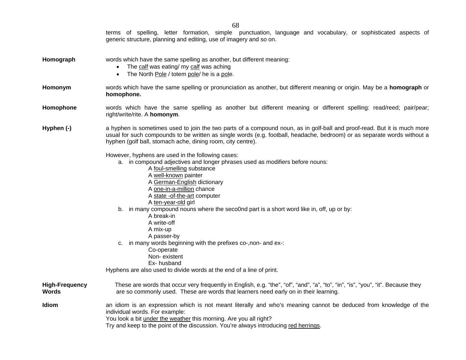|                                | terms of spelling, letter formation, simple punctuation, language and vocabulary, or sophisticated aspects of<br>generic structure, planning and editing, use of imagery and so on.                                                                                                                                                                                                                                                                                                                                                                                                                                                                  |
|--------------------------------|------------------------------------------------------------------------------------------------------------------------------------------------------------------------------------------------------------------------------------------------------------------------------------------------------------------------------------------------------------------------------------------------------------------------------------------------------------------------------------------------------------------------------------------------------------------------------------------------------------------------------------------------------|
| Homograph                      | words which have the same spelling as another, but different meaning:<br>The calf was eating/ my calf was aching<br>The North Pole / totem pole/ he is a pole.<br>$\bullet$                                                                                                                                                                                                                                                                                                                                                                                                                                                                          |
| Homonym                        | words which have the same spelling or pronunciation as another, but different meaning or origin. May be a homograph or<br>homophone.                                                                                                                                                                                                                                                                                                                                                                                                                                                                                                                 |
| Homophone                      | words which have the same spelling as another but different meaning or different spelling: read/reed; pair/pear;<br>right/write/rite. A homonym.                                                                                                                                                                                                                                                                                                                                                                                                                                                                                                     |
| Hyphen (-)                     | a hyphen is sometimes used to join the two parts of a compound noun, as in golf-ball and proof-read. But it is much more<br>usual for such compounds to be written as single words (e.g. football, headache, bedroom) or as separate words without a<br>hyphen (golf ball, stomach ache, dining room, city centre).                                                                                                                                                                                                                                                                                                                                  |
|                                | However, hyphens are used in the following cases:<br>a. in compound adjectives and longer phrases used as modifiers before nouns:<br>A foul-smelling substance<br>A well-known painter<br>A German-English dictionary<br>A one-in-a-million chance<br>A state -of-the-art computer<br>A ten-year-old girl<br>b. in many compound nouns where the seco0nd part is a short word like in, off, up or by:<br>A break-in<br>A write-off<br>A mix-up<br>A passer-by<br>c. in many words beginning with the prefixes co-, non- and ex-:<br>Co-operate<br>Non-existent<br>Ex-husband<br>Hyphens are also used to divide words at the end of a line of print. |
| <b>High-Frequency</b><br>Words | These are words that occur very frequently in English, e.g. "the", "of", "and", "a", "to", "in", "is", "you", "it". Because they<br>are so commonly used. These are words that learners need early on in their learning.                                                                                                                                                                                                                                                                                                                                                                                                                             |
| Idiom                          | an idiom is an expression which is not meant literally and who's meaning cannot be deduced from knowledge of the<br>individual words. For example:<br>You look a bit under the weather this morning. Are you all right?<br>Try and keep to the point of the discussion. You're always introducing red herrings.                                                                                                                                                                                                                                                                                                                                      |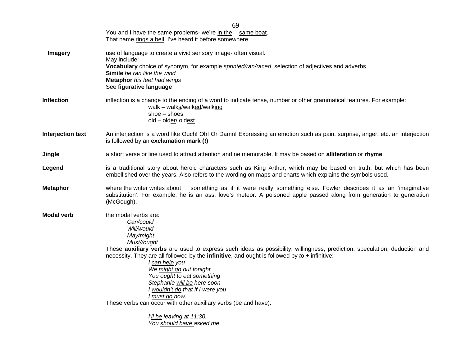|                   | 69                                                                                                                                                                                                                                                                                                                                                                                          |  |  |  |
|-------------------|---------------------------------------------------------------------------------------------------------------------------------------------------------------------------------------------------------------------------------------------------------------------------------------------------------------------------------------------------------------------------------------------|--|--|--|
|                   | You and I have the same problems- we're in the same boat.                                                                                                                                                                                                                                                                                                                                   |  |  |  |
|                   | That name rings a bell. I've heard it before somewhere.                                                                                                                                                                                                                                                                                                                                     |  |  |  |
| <b>Imagery</b>    | use of language to create a vivid sensory image- often visual.<br>May include:                                                                                                                                                                                                                                                                                                              |  |  |  |
|                   | Vocabulary choice of synonym, for example sprinted/ran/raced, selection of adjectives and adverbs<br>Simile he ran like the wind<br><b>Metaphor</b> his feet had wings<br>See figurative language                                                                                                                                                                                           |  |  |  |
| <b>Inflection</b> | inflection is a change to the ending of a word to indicate tense, number or other grammatical features. For example:<br>walk - walks/walked/walking<br>$shoe - shoes$<br>old - older/ oldest                                                                                                                                                                                                |  |  |  |
| Interjection text | An interjection is a word like Ouch! Oh! Or Damn! Expressing an emotion such as pain, surprise, anger, etc. an interjection<br>is followed by an exclamation mark (!)                                                                                                                                                                                                                       |  |  |  |
| Jingle            | a short verse or line used to attract attention and ne memorable. It may be based on alliteration or rhyme.                                                                                                                                                                                                                                                                                 |  |  |  |
| Legend            | is a traditional story about heroic characters such as King Arthur, which may be based on truth, but which has been<br>embellished over the years. Also refers to the wording on maps and charts which explains the symbols used.                                                                                                                                                           |  |  |  |
| <b>Metaphor</b>   | something as if it were really something else. Fowler describes it as an 'imaginative<br>where the writer writes about<br>substitution'. For example: he is an ass; love's meteor. A poisoned apple passed along from generation to generation<br>(McGough).                                                                                                                                |  |  |  |
| <b>Modal verb</b> | the modal verbs are:<br>Can/could<br>Will/would<br>May/might<br>Must//ought                                                                                                                                                                                                                                                                                                                 |  |  |  |
|                   | These auxiliary verbs are used to express such ideas as possibility, willingness, prediction, speculation, deduction and<br>necessity. They are all followed by the infinitive, and ought is followed by $to +$ infinitive:<br>I can help you<br>We might go out tonight<br>You ought to eat something<br>Stephanie will be here soon<br>I wouldn't do that if I were you<br>I must go now. |  |  |  |
|                   | These verbs can occur with other auxiliary verbs (be and have):<br>I'll be leaving at 11:30.<br>You should have asked me.                                                                                                                                                                                                                                                                   |  |  |  |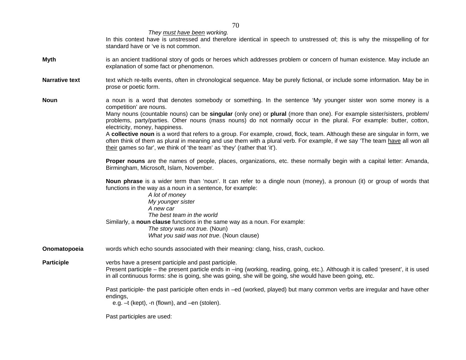*They must have been working.* 

In this context have is unstressed and therefore identical in speech to unstressed of; this is why the misspelling of for standard have or 've is not common.

- **Myth** is an ancient traditional story of gods or heroes which addresses problem or concern of human existence. May include an explanation of some fact or phenomenon.
- **Narrative text** text which re-tells events, often in chronological sequence. May be purely fictional, or include some information. May be in prose or poetic form.

**Noun** a noun is a word that denotes somebody or something. In the sentence 'My younger sister won some money is a competition' are nouns.

> Many nouns (countable nouns) can be **singular** (only one) or **plural** (more than one). For example sister/sisters, problem/ problems, party/parties. Other nouns (mass nouns) do not normally occur in the plural. For example: butter, cotton, electricity, money, happiness.

> A **collective noun** is a word that refers to a group. For example, crowd, flock, team. Although these are singular in form, we often think of them as plural in meaning and use them with a plural verb. For example, if we say 'The team have all won all their games so far', we think of 'the team' as 'they' (rather that 'it').

> **Proper nouns** are the names of people, places, organizations, etc. these normally begin with a capital letter: Amanda, Birmingham, Microsoft, Islam, November.

> **Noun phrase** is a wider term than 'noun'. It can refer to a dingle noun (money), a pronoun (it) or group of words that functions in the way as a noun in a sentence, for example:

*A lot of money My younger sister A new car The best team in the world* Similarly, a **noun clause** functions in the same way as a noun. For example: *The story was not true.* (Noun) *What you said was not true*. (Noun clause)

**Onomatopoeia** words which echo sounds associated with their meaning: clang, hiss, crash, cuckoo.

**Participle** verbs have a present participle and past participle.

 Present participle – the present particle ends in –ing (working, reading, going, etc.). Although it is called 'present', it is used in all continuous forms: she is going, she was going, she will be going, she would have been going, etc.

 Past participle- the past participle often ends in –ed (worked, played) but many common verbs are irregular and have other endings,

e.g. –t (kept), -n (flown), and –en (stolen).

Past participles are used: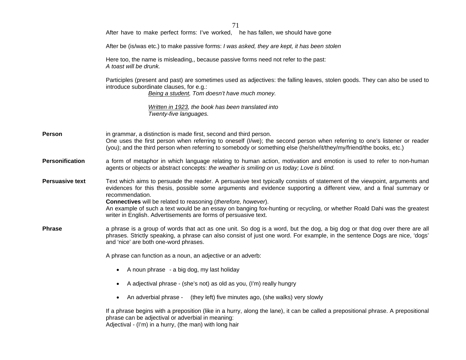|                        | 71                                                                                                                                                                                                                                                                                                                                                                                                                                                                                                                                  |  |  |  |
|------------------------|-------------------------------------------------------------------------------------------------------------------------------------------------------------------------------------------------------------------------------------------------------------------------------------------------------------------------------------------------------------------------------------------------------------------------------------------------------------------------------------------------------------------------------------|--|--|--|
|                        | After have to make perfect forms: I've worked, he has fallen, we should have gone                                                                                                                                                                                                                                                                                                                                                                                                                                                   |  |  |  |
|                        | After be (is/was etc.) to make passive forms: I was asked, they are kept, it has been stolen                                                                                                                                                                                                                                                                                                                                                                                                                                        |  |  |  |
|                        | Here too, the name is misleading,, because passive forms need not refer to the past:<br>A toast will be drunk.                                                                                                                                                                                                                                                                                                                                                                                                                      |  |  |  |
|                        | Participles (present and past) are sometimes used as adjectives: the falling leaves, stolen goods. They can also be used to<br>introduce subordinate clauses, for e.g.:<br>Being a student, Tom doesn't have much money.                                                                                                                                                                                                                                                                                                            |  |  |  |
|                        | Written in 1923, the book has been translated into<br>Twenty-five languages.                                                                                                                                                                                                                                                                                                                                                                                                                                                        |  |  |  |
| Person                 | in grammar, a distinction is made first, second and third person.<br>One uses the first person when referring to oneself (I/we); the second person when referring to one's listener or reader<br>(you); and the third person when referring to somebody or something else (he/she/it/they/my/friend/the books, etc.)                                                                                                                                                                                                                |  |  |  |
| <b>Personification</b> | a form of metaphor in which language relating to human action, motivation and emotion is used to refer to non-human<br>agents or objects or abstract concepts: the weather is smiling on us today; Love is blind.                                                                                                                                                                                                                                                                                                                   |  |  |  |
| <b>Persuasive text</b> | Text which aims to persuade the reader. A persuasive text typically consists of statement of the viewpoint, arguments and<br>evidences for this thesis, possible some arguments and evidence supporting a different view, and a final summary or<br>recommendation.<br>Connectives will be related to reasoning (therefore, however).<br>An example of such a text would be an essay on banging fox-hunting or recycling, or whether Roald Dahi was the greatest<br>writer in English. Advertisements are forms of persuasive text. |  |  |  |
| <b>Phrase</b>          | a phrase is a group of words that act as one unit. So dog is a word, but the dog, a big dog or that dog over there are all<br>phrases. Strictly speaking, a phrase can also consist of just one word. For example, in the sentence Dogs are nice, 'dogs'<br>and 'nice' are both one-word phrases.                                                                                                                                                                                                                                   |  |  |  |
|                        | A phrase can function as a noun, an adjective or an adverb:                                                                                                                                                                                                                                                                                                                                                                                                                                                                         |  |  |  |
|                        | A noun phrase - a big dog, my last holiday<br>$\bullet$                                                                                                                                                                                                                                                                                                                                                                                                                                                                             |  |  |  |
|                        | A adjectival phrase - (she's not) as old as you, (I'm) really hungry                                                                                                                                                                                                                                                                                                                                                                                                                                                                |  |  |  |
|                        | An adverbial phrase -<br>(they left) five minutes ago, (she walks) very slowly<br>$\bullet$                                                                                                                                                                                                                                                                                                                                                                                                                                         |  |  |  |
|                        | If a phrase begins with a preposition (like in a hurry, along the lane), it can be called a prepositional phrase. A prepositional<br>phrase can be adjectival or adverbial in meaning:<br>Adjectival - (I'm) in a hurry, (the man) with long hair                                                                                                                                                                                                                                                                                   |  |  |  |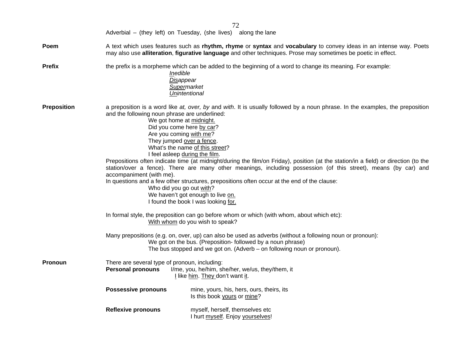| 72                 |                                                                                                                                                                                                                                                                                                                                                                                                                                                                                                                                                                                                                                                                                                                                                                                                                                                                   |                                                                                                                               |  |  |
|--------------------|-------------------------------------------------------------------------------------------------------------------------------------------------------------------------------------------------------------------------------------------------------------------------------------------------------------------------------------------------------------------------------------------------------------------------------------------------------------------------------------------------------------------------------------------------------------------------------------------------------------------------------------------------------------------------------------------------------------------------------------------------------------------------------------------------------------------------------------------------------------------|-------------------------------------------------------------------------------------------------------------------------------|--|--|
|                    |                                                                                                                                                                                                                                                                                                                                                                                                                                                                                                                                                                                                                                                                                                                                                                                                                                                                   | Adverbial – (they left) on Tuesday, (she lives) along the lane                                                                |  |  |
| Poem               | A text which uses features such as rhythm, rhyme or syntax and vocabulary to convey ideas in an intense way. Poets<br>may also use alliteration, figurative language and other techniques. Prose may sometimes be poetic in effect.                                                                                                                                                                                                                                                                                                                                                                                                                                                                                                                                                                                                                               |                                                                                                                               |  |  |
| <b>Prefix</b>      | the prefix is a morpheme which can be added to the beginning of a word to change its meaning. For example:<br>Inedible<br>Disappear<br>Supermarket<br>Unintentional                                                                                                                                                                                                                                                                                                                                                                                                                                                                                                                                                                                                                                                                                               |                                                                                                                               |  |  |
| <b>Preposition</b> | a preposition is a word like at, over, by and with. It is usually followed by a noun phrase. In the examples, the preposition<br>and the following noun phrase are underlined:<br>We got home at midnight.<br>Did you come here by car?<br>Are you coming with me?<br>They jumped over a fence.<br>What's the name of this street?<br>I feel asleep during the film.<br>Prepositions often indicate time (at midnight/during the film/on Friday), position (at the station/in a field) or direction (to the<br>station/over a fence). There are many other meanings, including possession (of this street), means (by car) and<br>accompaniment (with me).<br>In questions and a few other structures, prepositions often occur at the end of the clause:<br>Who did you go out with?<br>We haven't got enough to live on.<br>I found the book I was looking for. |                                                                                                                               |  |  |
|                    |                                                                                                                                                                                                                                                                                                                                                                                                                                                                                                                                                                                                                                                                                                                                                                                                                                                                   | In formal style, the preposition can go before whom or which (with whom, about which etc):<br>With whom do you wish to speak? |  |  |
|                    | Many prepositions (e.g. on, over, up) can also be used as adverbs (without a following noun or pronoun):<br>We got on the bus. (Preposition- followed by a noun phrase)<br>The bus stopped and we got on. (Adverb - on following noun or pronoun).                                                                                                                                                                                                                                                                                                                                                                                                                                                                                                                                                                                                                |                                                                                                                               |  |  |
| Pronoun            | There are several type of pronoun, including:<br><b>Personal pronouns</b><br>I/me, you, he/him, she/her, we/us, they/them, it<br>I like him. They don't want it.                                                                                                                                                                                                                                                                                                                                                                                                                                                                                                                                                                                                                                                                                                  |                                                                                                                               |  |  |
|                    | <b>Possessive pronouns</b>                                                                                                                                                                                                                                                                                                                                                                                                                                                                                                                                                                                                                                                                                                                                                                                                                                        | mine, yours, his, hers, ours, theirs, its<br>Is this book yours or mine?                                                      |  |  |
|                    | <b>Reflexive pronouns</b>                                                                                                                                                                                                                                                                                                                                                                                                                                                                                                                                                                                                                                                                                                                                                                                                                                         | myself, herself, themselves etc<br>I hurt myself. Enjoy yourselves!                                                           |  |  |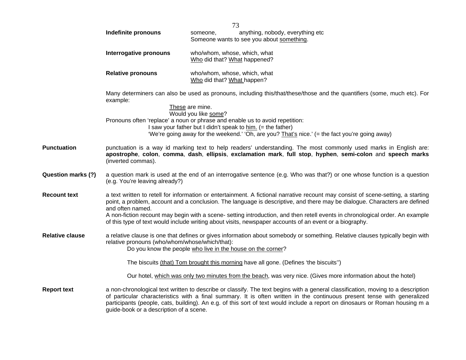|                        | 73                                                                                                                                                                                                                                                                                                                                                                                                                                                                                                                              |                                                                                                                                                                                                                                                                                                                                                                                                                      |  |
|------------------------|---------------------------------------------------------------------------------------------------------------------------------------------------------------------------------------------------------------------------------------------------------------------------------------------------------------------------------------------------------------------------------------------------------------------------------------------------------------------------------------------------------------------------------|----------------------------------------------------------------------------------------------------------------------------------------------------------------------------------------------------------------------------------------------------------------------------------------------------------------------------------------------------------------------------------------------------------------------|--|
|                        | Indefinite pronouns                                                                                                                                                                                                                                                                                                                                                                                                                                                                                                             | anything, nobody, everything etc<br>someone,<br>Someone wants to see you about something.                                                                                                                                                                                                                                                                                                                            |  |
|                        | Interrogative pronouns                                                                                                                                                                                                                                                                                                                                                                                                                                                                                                          | who/whom, whose, which, what<br>Who did that? What happened?                                                                                                                                                                                                                                                                                                                                                         |  |
|                        | <b>Relative pronouns</b>                                                                                                                                                                                                                                                                                                                                                                                                                                                                                                        | who/whom, whose, which, what<br>Who did that? What happen?                                                                                                                                                                                                                                                                                                                                                           |  |
|                        | example:                                                                                                                                                                                                                                                                                                                                                                                                                                                                                                                        | Many determiners can also be used as pronouns, including this/that/these/those and the quantifiers (some, much etc). For<br>These are mine.<br>Would you like some?<br>Pronouns often 'replace' a noun or phrase and enable us to avoid repetition:<br>I saw your father but I didn't speak to him. (= the father)<br>'We're going away for the weekend.' 'Oh, are you? That's nice.' (= the fact you're going away) |  |
| Punctuation            | punctuation is a way id marking text to help readers' understanding. The most commonly used marks in English are:<br>apostrophe, colon, comma, dash, ellipsis, exclamation mark, full stop, hyphen, semi-colon and speech marks<br>(inverted commas).                                                                                                                                                                                                                                                                           |                                                                                                                                                                                                                                                                                                                                                                                                                      |  |
| Question marks (?)     | a question mark is used at the end of an interrogative sentence (e.g. Who was that?) or one whose function is a question<br>(e.g. You're leaving already?)                                                                                                                                                                                                                                                                                                                                                                      |                                                                                                                                                                                                                                                                                                                                                                                                                      |  |
| <b>Recount text</b>    | a text written to retell for information or entertainment. A fictional narrative recount may consist of scene-setting, a starting<br>point, a problem, account and a conclusion. The language is descriptive, and there may be dialogue. Characters are defined<br>and often named.<br>A non-fiction recount may begin with a scene- setting introduction, and then retell events in chronological order. An example<br>of this type of text would include writing about visits, newspaper accounts of an event or a biography. |                                                                                                                                                                                                                                                                                                                                                                                                                      |  |
| <b>Relative clause</b> | relative pronouns (who/whom/whose/which/that):                                                                                                                                                                                                                                                                                                                                                                                                                                                                                  | a relative clause is one that defines or gives information about somebody or something. Relative clauses typically begin with<br>Do you know the people who live in the house on the corner?                                                                                                                                                                                                                         |  |
|                        |                                                                                                                                                                                                                                                                                                                                                                                                                                                                                                                                 | The biscuits (that) Tom brought this morning have all gone. (Defines 'the biscuits'')                                                                                                                                                                                                                                                                                                                                |  |
|                        |                                                                                                                                                                                                                                                                                                                                                                                                                                                                                                                                 | Our hotel, which was only two minutes from the beach, was very nice. (Gives more information about the hotel)                                                                                                                                                                                                                                                                                                        |  |
| <b>Report text</b>     | guide-book or a description of a scene.                                                                                                                                                                                                                                                                                                                                                                                                                                                                                         | a non-chronological text written to describe or classify. The text begins with a general classification, moving to a description<br>of particular characteristics with a final summary. It is often written in the continuous present tense with generalized<br>participants (people, cats, building). An e.g. of this sort of text would include a report on dinosaurs or Roman housing m a                         |  |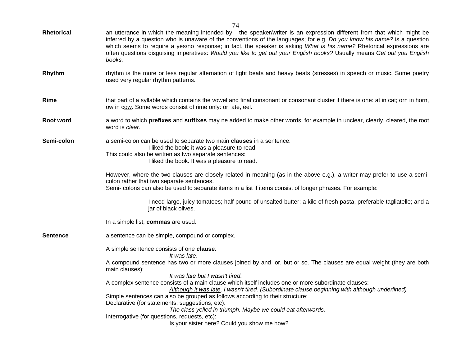| <b>Rhetorical</b> | an utterance in which the meaning intended by the speaker/writer is an expression different from that which might be<br>inferred by a question who is unaware of the conventions of the languages; for e.g. Do you know his name? is a question<br>which seems to require a yes/no response; in fact, the speaker is asking What is his name? Rhetorical expressions are<br>often questions disquising imperatives: Would you like to get out your English books? Usually means Get out you English<br>books.                                                                       |  |  |  |
|-------------------|-------------------------------------------------------------------------------------------------------------------------------------------------------------------------------------------------------------------------------------------------------------------------------------------------------------------------------------------------------------------------------------------------------------------------------------------------------------------------------------------------------------------------------------------------------------------------------------|--|--|--|
| Rhythm            | rhythm is the more or less regular alternation of light beats and heavy beats (stresses) in speech or music. Some poetry<br>used very regular rhythm patterns.                                                                                                                                                                                                                                                                                                                                                                                                                      |  |  |  |
| Rime              | that part of a syllable which contains the vowel and final consonant or consonant cluster if there is one: at in cat; orn in horn,<br>ow in cow. Some words consist of rime only: or, ate, eel.                                                                                                                                                                                                                                                                                                                                                                                     |  |  |  |
| Root word         | a word to which <b>prefixes</b> and <b>suffixes</b> may ne added to make other words; for example in unclear, clearly, cleared, the root<br>word is <i>clear</i> .                                                                                                                                                                                                                                                                                                                                                                                                                  |  |  |  |
| Semi-colon        | a semi-colon can be used to separate two main clauses in a sentence:<br>I liked the book; it was a pleasure to read.<br>This could also be written as two separate sentences:<br>I liked the book. It was a pleasure to read.                                                                                                                                                                                                                                                                                                                                                       |  |  |  |
|                   | However, where the two clauses are closely related in meaning (as in the above e.g.), a writer may prefer to use a semi-<br>colon rather that two separate sentences.<br>Semi- colons can also be used to separate items in a list if items consist of longer phrases. For example:                                                                                                                                                                                                                                                                                                 |  |  |  |
|                   | I need large, juicy tomatoes; half pound of unsalted butter; a kilo of fresh pasta, preferable tagliatelle; and a<br>jar of black olives.                                                                                                                                                                                                                                                                                                                                                                                                                                           |  |  |  |
|                   | In a simple list, commas are used.                                                                                                                                                                                                                                                                                                                                                                                                                                                                                                                                                  |  |  |  |
| <b>Sentence</b>   | a sentence can be simple, compound or complex.                                                                                                                                                                                                                                                                                                                                                                                                                                                                                                                                      |  |  |  |
|                   | A simple sentence consists of one clause:<br>It was late.<br>A compound sentence has two or more clauses joined by and, or, but or so. The clauses are equal weight (they are both<br>main clauses):<br>It was late but I wasn't tired.<br>A complex sentence consists of a main clause which itself includes one or more subordinate clauses:<br>Although it was late, I wasn't tired. (Subordinate clause beginning with although underlined)<br>Simple sentences can also be grouped as follows according to their structure:<br>Declarative (for statements, suggestions, etc): |  |  |  |
|                   | The class yelled in triumph. Maybe we could eat afterwards.<br>Interrogative (for questions, requests, etc):<br>Is your sister here? Could you show me how?                                                                                                                                                                                                                                                                                                                                                                                                                         |  |  |  |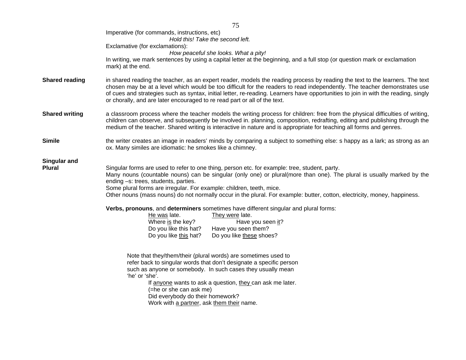|                       | 79                                                                                                                                                                                                                                                                                                                                                                                                                                                                           |  |  |  |
|-----------------------|------------------------------------------------------------------------------------------------------------------------------------------------------------------------------------------------------------------------------------------------------------------------------------------------------------------------------------------------------------------------------------------------------------------------------------------------------------------------------|--|--|--|
|                       | Imperative (for commands, instructions, etc)<br>Hold this! Take the second left.                                                                                                                                                                                                                                                                                                                                                                                             |  |  |  |
|                       | Exclamative (for exclamations):                                                                                                                                                                                                                                                                                                                                                                                                                                              |  |  |  |
|                       | How peaceful she looks. What a pity!                                                                                                                                                                                                                                                                                                                                                                                                                                         |  |  |  |
|                       | In writing, we mark sentences by using a capital letter at the beginning, and a full stop (or question mark or exclamation                                                                                                                                                                                                                                                                                                                                                   |  |  |  |
|                       | mark) at the end.                                                                                                                                                                                                                                                                                                                                                                                                                                                            |  |  |  |
| <b>Shared reading</b> | in shared reading the teacher, as an expert reader, models the reading process by reading the text to the learners. The text<br>chosen may be at a level which would be too difficult for the readers to read independently. The teacher demonstrates use<br>of cues and strategies such as syntax, initial letter, re-reading. Learners have opportunities to join in with the reading, singly<br>or chorally, and are later encouraged to re read part or all of the text. |  |  |  |
| <b>Shared writing</b> | a classroom process where the teacher models the writing process for children: free from the physical difficulties of writing,<br>children can observe, and subsequently be involved in. planning, composition, redrafting, editing and publishing through the<br>medium of the teacher. Shared writing is interactive in nature and is appropriate for teaching all forms and genres.                                                                                       |  |  |  |
| <b>Simile</b>         | the writer creates an image in readers' minds by comparing a subject to something else: s happy as a lark; as strong as an<br>ox. Many similes are idiomatic: he smokes like a chimney.                                                                                                                                                                                                                                                                                      |  |  |  |
| <b>Singular and</b>   |                                                                                                                                                                                                                                                                                                                                                                                                                                                                              |  |  |  |
| <b>Plural</b>         | Singular forms are used to refer to one thing, person etc. for example: tree, student, party.<br>Many nouns (countable nouns) can be singular (only one) or plural(more than one). The plural is usually marked by the                                                                                                                                                                                                                                                       |  |  |  |
|                       | ending -s: trees, students, parties.                                                                                                                                                                                                                                                                                                                                                                                                                                         |  |  |  |
|                       | Some plural forms are irregular. For example: children, teeth, mice.<br>Other nouns (mass nouns) do not normally occur in the plural. For example: butter, cotton, electricity, money, happiness.                                                                                                                                                                                                                                                                            |  |  |  |
|                       | Verbs, pronouns, and determiners sometimes have different singular and plural forms:                                                                                                                                                                                                                                                                                                                                                                                         |  |  |  |
|                       | He was late.<br>They were late.                                                                                                                                                                                                                                                                                                                                                                                                                                              |  |  |  |
|                       | Where is the key?<br>Have you seen it?<br>Do you like this hat?<br>Have you seen them?                                                                                                                                                                                                                                                                                                                                                                                       |  |  |  |
|                       | Do you like this hat?<br>Do you like these shoes?                                                                                                                                                                                                                                                                                                                                                                                                                            |  |  |  |
|                       | Note that they/them/their (plural words) are sometimes used to                                                                                                                                                                                                                                                                                                                                                                                                               |  |  |  |
|                       | refer back to singular words that don't designate a specific person                                                                                                                                                                                                                                                                                                                                                                                                          |  |  |  |
|                       | such as anyone or somebody. In such cases they usually mean<br>'he' or 'she'.                                                                                                                                                                                                                                                                                                                                                                                                |  |  |  |
|                       | If anyone wants to ask a question, they can ask me later.                                                                                                                                                                                                                                                                                                                                                                                                                    |  |  |  |
|                       | (=he or she can ask me)                                                                                                                                                                                                                                                                                                                                                                                                                                                      |  |  |  |
|                       | Did everybody do their homework?                                                                                                                                                                                                                                                                                                                                                                                                                                             |  |  |  |
|                       | Work with a partner, ask them their name.                                                                                                                                                                                                                                                                                                                                                                                                                                    |  |  |  |
|                       |                                                                                                                                                                                                                                                                                                                                                                                                                                                                              |  |  |  |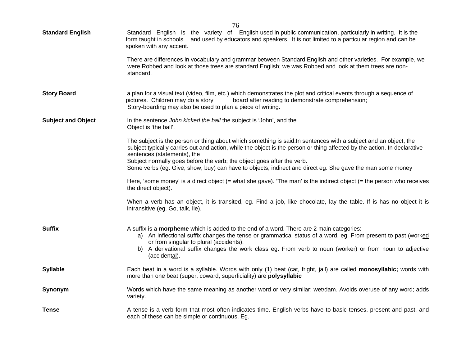| <b>Standard English</b>   | <i>1</i> U<br>Standard English is the variety of English used in public communication, particularly in writing. It is the<br>form taught in schools and used by educators and speakers. It is not limited to a particular region and can be<br>spoken with any accent.<br>There are differences in vocabulary and grammar between Standard English and other varieties. For example, we |
|---------------------------|-----------------------------------------------------------------------------------------------------------------------------------------------------------------------------------------------------------------------------------------------------------------------------------------------------------------------------------------------------------------------------------------|
|                           | were Robbed and look at those trees are standard English; we was Robbed and look at them trees are non-<br>standard.                                                                                                                                                                                                                                                                    |
| <b>Story Board</b>        | a plan for a visual text (video, film, etc.) which demonstrates the plot and critical events through a sequence of<br>pictures. Children may do a story<br>board after reading to demonstrate comprehension;<br>Story-boarding may also be used to plan a piece of writing.                                                                                                             |
| <b>Subject and Object</b> | In the sentence John kicked the ball the subject is 'John', and the<br>Object is 'the ball'.                                                                                                                                                                                                                                                                                            |
|                           | The subject is the person or thing about which something is said. In sentences with a subject and an object, the<br>subject typically carries out and action, while the object is the person or thing affected by the action. In declarative<br>sentences (statements), the<br>Subject normally goes before the verb; the object goes after the verb.                                   |
|                           | Some verbs (eg. Give, show, buy) can have to objects, indirect and direct eg. She gave the man some money                                                                                                                                                                                                                                                                               |
|                           | Here, 'some money' is a direct object $($ = what she gave). 'The man' is the indirect object $($ = the person who receives<br>the direct object).                                                                                                                                                                                                                                       |
|                           | When a verb has an object, it is transited, eg. Find a job, like chocolate, lay the table. If is has no object it is<br>intransitive (eg. Go, talk, lie).                                                                                                                                                                                                                               |
| <b>Suffix</b>             | A suffix is a morpheme which is added to the end of a word. There are 2 main categories:<br>a) An inflectional suffix changes the tense or grammatical status of a word, eg. From present to past (worked<br>or from singular to plural (accidents).<br>b) A derivational suffix changes the work class eg. From verb to noun (worker) or from noun to adjective<br>(accidental).       |
| <b>Syllable</b>           | Each beat in a word is a syllable. Words with only (1) beat (cat, fright, jail) are called monosyllabic; words with<br>more than one beat (super, coward, superficiality) are polysyllabic                                                                                                                                                                                              |
| Synonym                   | Words which have the same meaning as another word or very similar; wet/dam. Avoids overuse of any word; adds<br>variety.                                                                                                                                                                                                                                                                |
| <b>Tense</b>              | A tense is a verb form that most often indicates time. English verbs have to basic tenses, present and past, and<br>each of these can be simple or continuous. Eg.                                                                                                                                                                                                                      |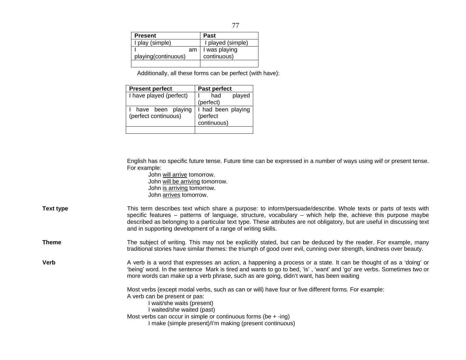| <b>Present</b>      | <b>Past</b>             |
|---------------------|-------------------------|
| I play (simple)     | I played (simple)       |
|                     | $am \mid l$ was playing |
| playing(continuous) | continuous)             |
|                     |                         |

Additionally, all these forms can be perfect (with have):

| <b>Present perfect</b>                    | Past perfect                                  |  |
|-------------------------------------------|-----------------------------------------------|--|
| I have played (perfect)                   | played<br>had                                 |  |
|                                           | (perfect)                                     |  |
| have been playing<br>(perfect continuous) | I had been playing<br>(perfect<br>continuous) |  |
|                                           |                                               |  |

 English has no specific future tense. Future time can be expressed in a number of ways using *will* or present tense. For example:

 John will arrive tomorrow. John will be arriving tomorrow. John is arriving tomorrow. John arrives tomorrow.

| Text type | This term describes text which share a purpose: to inform/persuade/describe. Whole texts or parts of texts with          |
|-----------|--------------------------------------------------------------------------------------------------------------------------|
|           | specific features – patterns of language, structure, vocabulary – which help the, achieve this purpose maybe             |
|           | described as belonging to a particular text type. These attributes are not obligatory, but are useful in discussing text |
|           | and in supporting development of a range of writing skills.                                                              |

Theme The subject of writing. This may not be explicitly stated, but can be deduced by the reader. For example, many traditional stories have similar themes: the triumph of good over evil, cunning over strength, kindness over beauty.

**Verb A** verb is a word that expresses an action, a happening a process or a state. It can be thought of as a 'doing' or 'being' word. In the sentence Mark is tired and wants to go to bed, 'is' , 'want' and 'go' are verbs. Sometimes two or more words can make up a verb phrase, such as are going, didn't want, has been waiting

Most verbs (except modal verbs, such as can or will) have four or five different forms. For example:

A verb can be present or pas:

I wait/she waits (present)

I waited/she waited (past)

Most verbs can occur in simple or continuous forms (be  $+$  -ing) I make (simple present)/I'm making (present continuous)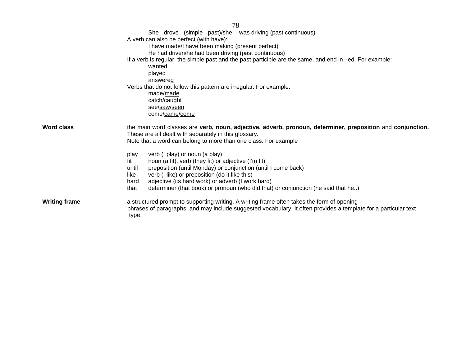| 78                                                                                                                                                                                                                                                          |                                                                                                                                                        |  |  |  |  |
|-------------------------------------------------------------------------------------------------------------------------------------------------------------------------------------------------------------------------------------------------------------|--------------------------------------------------------------------------------------------------------------------------------------------------------|--|--|--|--|
|                                                                                                                                                                                                                                                             | She drove (simple past)/she was driving (past continuous)                                                                                              |  |  |  |  |
|                                                                                                                                                                                                                                                             | A verb can also be perfect (with have):                                                                                                                |  |  |  |  |
|                                                                                                                                                                                                                                                             | I have made/I have been making (present perfect)                                                                                                       |  |  |  |  |
|                                                                                                                                                                                                                                                             | He had driven/he had been driving (past continuous)                                                                                                    |  |  |  |  |
|                                                                                                                                                                                                                                                             | If a verb is regular, the simple past and the past participle are the same, and end in –ed. For example:                                               |  |  |  |  |
|                                                                                                                                                                                                                                                             | wanted<br>played                                                                                                                                       |  |  |  |  |
|                                                                                                                                                                                                                                                             | answered                                                                                                                                               |  |  |  |  |
|                                                                                                                                                                                                                                                             | Verbs that do not follow this pattern are irregular. For example:                                                                                      |  |  |  |  |
|                                                                                                                                                                                                                                                             | made/made                                                                                                                                              |  |  |  |  |
|                                                                                                                                                                                                                                                             | catch/caught                                                                                                                                           |  |  |  |  |
|                                                                                                                                                                                                                                                             | see/saw/seen                                                                                                                                           |  |  |  |  |
|                                                                                                                                                                                                                                                             | come/came/come                                                                                                                                         |  |  |  |  |
| <b>Word class</b><br>the main word classes are verb, noun, adjective, adverb, pronoun, determiner, preposition and conjunction.<br>These are all dealt with separately in this glossary.<br>Note that a word can belong to more than one class. For example |                                                                                                                                                        |  |  |  |  |
|                                                                                                                                                                                                                                                             |                                                                                                                                                        |  |  |  |  |
|                                                                                                                                                                                                                                                             | verb (I play) or noun (a play)<br>play                                                                                                                 |  |  |  |  |
|                                                                                                                                                                                                                                                             | noun (a fit), verb (they fit) or adjective (I'm fit)<br>fit                                                                                            |  |  |  |  |
|                                                                                                                                                                                                                                                             | preposition (until Monday) or conjunction (until I come back)<br>until                                                                                 |  |  |  |  |
|                                                                                                                                                                                                                                                             | verb (I like) or preposition (do it like this)<br>like                                                                                                 |  |  |  |  |
|                                                                                                                                                                                                                                                             | adjective (its hard work) or adverb (I work hard)<br>hard<br>determiner (that book) or pronoun (who did that) or conjunction (he said that he)<br>that |  |  |  |  |
|                                                                                                                                                                                                                                                             |                                                                                                                                                        |  |  |  |  |
| <b>Writing frame</b>                                                                                                                                                                                                                                        | a structured prompt to supporting writing. A writing frame often takes the form of opening                                                             |  |  |  |  |
|                                                                                                                                                                                                                                                             | phrases of paragraphs, and may include suggested vocabulary. It often provides a template for a particular text<br>type.                               |  |  |  |  |
|                                                                                                                                                                                                                                                             |                                                                                                                                                        |  |  |  |  |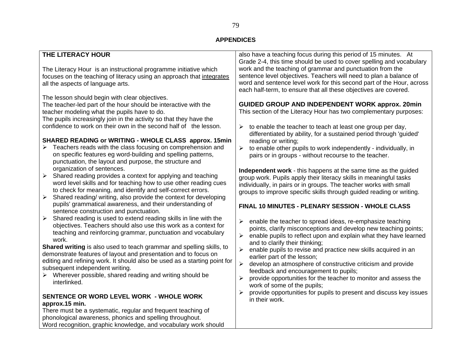## **APPENDICES**

| THE LITERACY HOUR                                                                                                  | also have a teaching focus during this period of 15 minutes. At                           |  |  |
|--------------------------------------------------------------------------------------------------------------------|-------------------------------------------------------------------------------------------|--|--|
|                                                                                                                    | Grade 2-4, this time should be used to cover spelling and vocabulary                      |  |  |
| The Literacy Hour is an instructional programme initiative which                                                   | work and the teaching of grammar and punctuation from the                                 |  |  |
| focuses on the teaching of literacy using an approach that integrates                                              | sentence level objectives. Teachers will need to plan a balance of                        |  |  |
| all the aspects of language arts.                                                                                  | word and sentence level work for this second part of the Hour, across                     |  |  |
|                                                                                                                    | each half-term, to ensure that all these objectives are covered.                          |  |  |
| The lesson should begin with clear objectives.                                                                     |                                                                                           |  |  |
| The teacher-led part of the hour should be interactive with the                                                    | <b>GUIDED GROUP AND INDEPENDENT WORK approx. 20min</b>                                    |  |  |
| teacher modeling what the pupils have to do.                                                                       | This section of the Literacy Hour has two complementary purposes:                         |  |  |
| The pupils increasingly join in the activity so that they have the                                                 |                                                                                           |  |  |
| confidence to work on their own in the second half of the lesson.                                                  | to enable the teacher to teach at least one group per day,                                |  |  |
|                                                                                                                    | differentiated by ability, for a sustained period through 'guided'                        |  |  |
| SHARED READING or WRITING - WHOLE CLASS approx. 15min                                                              | reading or writing;                                                                       |  |  |
| Teachers reads with the class focusing on comprehension and                                                        | to enable other pupils to work independently - individually, in<br>$\blacktriangleright$  |  |  |
| on specific features eg word-building and spelling patterns,                                                       | pairs or in groups - without recourse to the teacher.                                     |  |  |
| punctuation, the layout and purpose, the structure and                                                             |                                                                                           |  |  |
| organization of sentences.<br>$\blacktriangleright$<br>Shared reading provides a context for applying and teaching | Independent work - this happens at the same time as the guided                            |  |  |
| word level skills and for teaching how to use other reading cues                                                   | group work. Pupils apply their literacy skills in meaningful tasks                        |  |  |
| to check for meaning, and identify and self-correct errors.                                                        | individually, in pairs or in groups. The teacher works with small                         |  |  |
| $\blacktriangleright$<br>Shared reading/ writing, also provide the context for developing                          | groups to improve specific skills through guided reading or writing.                      |  |  |
| pupils' grammatical awareness, and their understanding of                                                          |                                                                                           |  |  |
| sentence construction and punctuation.                                                                             | FINAL 10 MINUTES - PLENARY SESSION - WHOLE CLASS                                          |  |  |
| $\blacktriangleright$<br>Shared reading is used to extend reading skills in line with the                          |                                                                                           |  |  |
| objectives. Teachers should also use this work as a context for                                                    | ≻<br>enable the teacher to spread ideas, re-emphasize teaching                            |  |  |
| teaching and reinforcing grammar, punctuation and vocabulary                                                       | points, clarify misconceptions and develop new teaching points;                           |  |  |
| work.                                                                                                              | ≻<br>enable pupils to reflect upon and explain what they have learned                     |  |  |
| Shared writing is also used to teach grammar and spelling skills, to                                               | and to clarify their thinking;                                                            |  |  |
| demonstrate features of layout and presentation and to focus on                                                    | $\blacktriangleright$<br>enable pupils to revise and practice new skills acquired in an   |  |  |
| editing and refining work. It should also be used as a starting point for                                          | earlier part of the lesson;                                                               |  |  |
| subsequent independent writing.                                                                                    | $\blacktriangleright$<br>develop an atmosphere of constructive criticism and provide      |  |  |
| $\triangleright$ Wherever possible, shared reading and writing should be                                           | feedback and encouragement to pupils;                                                     |  |  |
| interlinked.                                                                                                       | $\blacktriangleright$<br>provide opportunities for the teacher to monitor and assess the  |  |  |
|                                                                                                                    | work of some of the pupils;                                                               |  |  |
| SENTENCE OR WORD LEVEL WORK - WHOLE WORK                                                                           | provide opportunities for pupils to present and discuss key issues<br>➤<br>in their work. |  |  |
| approx.15 min.                                                                                                     |                                                                                           |  |  |
| There must be a systematic, regular and frequent teaching of                                                       |                                                                                           |  |  |
| phonological awareness, phonics and spelling throughout.                                                           |                                                                                           |  |  |
| Word recognition, graphic knowledge, and vocabulary work should                                                    |                                                                                           |  |  |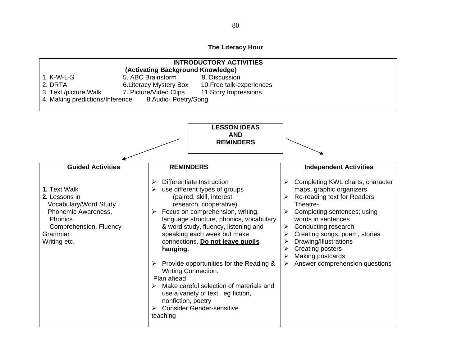## **The Literacy Hour**

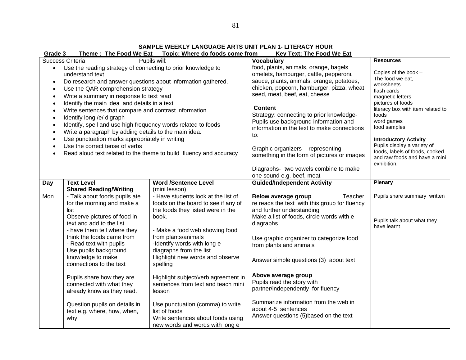**SAMPLE WEEKLY LANGUAGE ARTS UNIT PLAN 1- LITERACY HOUR** 

|                                                                                                                                                                                                                                                                                                                                                                                                                                                                                                                                                                                                                                                                                                                                                                                                                             | Theme: The Food We Eat Topic: Where do foods come from<br><b>Key Text: The Food We Eat</b><br>Grade 3                                                                                                                                                                                                                                                                                                                                                        |                                                                                                                                                                                                                                                                                                                                                                                                                                                                                                                                                         |                                                                                                                                                                                                                                                                                                                                                                                                                                                                                                    |                                                                            |  |  |
|-----------------------------------------------------------------------------------------------------------------------------------------------------------------------------------------------------------------------------------------------------------------------------------------------------------------------------------------------------------------------------------------------------------------------------------------------------------------------------------------------------------------------------------------------------------------------------------------------------------------------------------------------------------------------------------------------------------------------------------------------------------------------------------------------------------------------------|--------------------------------------------------------------------------------------------------------------------------------------------------------------------------------------------------------------------------------------------------------------------------------------------------------------------------------------------------------------------------------------------------------------------------------------------------------------|---------------------------------------------------------------------------------------------------------------------------------------------------------------------------------------------------------------------------------------------------------------------------------------------------------------------------------------------------------------------------------------------------------------------------------------------------------------------------------------------------------------------------------------------------------|----------------------------------------------------------------------------------------------------------------------------------------------------------------------------------------------------------------------------------------------------------------------------------------------------------------------------------------------------------------------------------------------------------------------------------------------------------------------------------------------------|----------------------------------------------------------------------------|--|--|
| <b>Success Criteria</b><br>Pupils will:<br>Use the reading strategy of connecting to prior knowledge to<br>$\bullet$<br>understand text<br>Do research and answer questions about information gathered.<br>$\bullet$<br>Use the QAR comprehension strategy<br>$\bullet$<br>Write a summary in response to text read<br>$\bullet$<br>Identify the main idea and details in a text<br>$\bullet$<br>Write sentences that compare and contrast information<br>$\bullet$<br>Identify long /e/ digraph<br>$\bullet$<br>Identify, spell and use high frequency words related to foods<br>$\bullet$<br>Write a paragraph by adding details to the main idea.<br>$\bullet$<br>Use punctuation marks appropriately in writing<br>Use the correct tense of verbs<br>Read aloud text related to the theme to build fluency and accuracy |                                                                                                                                                                                                                                                                                                                                                                                                                                                              | <b>Vocabulary</b><br>food, plants, animals, orange, bagels<br>omelets, hamburger, cattle, pepperoni,<br>sauce, plants, animals, orange, potatoes,<br>chicken, popcorn, hamburger, pizza, wheat,<br>seed, meat, beef, eat, cheese<br><b>Content</b><br>Strategy: connecting to prior knowledge-<br>Pupils use background information and<br>information in the text to make connections<br>to:<br>Graphic organizers - representing<br>something in the form of pictures or images<br>Diagraphs- two vowels combine to make<br>one sound e.g. beef, meat | <b>Resources</b><br>Copies of the book -<br>The food we eat,<br>worksheets<br>flash cards<br>magnetic letters<br>pictures of foods<br>literacy box with item related to<br>foods<br>word games<br>food samples<br><b>Introductory Activity</b><br>Pupils display a variety of<br>foods, labels of foods, cooked<br>and raw foods and have a mini<br>exhibition.                                                                                                                                    |                                                                            |  |  |
| Day                                                                                                                                                                                                                                                                                                                                                                                                                                                                                                                                                                                                                                                                                                                                                                                                                         | <b>Text Level</b><br><b>Shared Reading/Writing</b>                                                                                                                                                                                                                                                                                                                                                                                                           | <b>Word /Sentence Level</b><br>(mini lesson)                                                                                                                                                                                                                                                                                                                                                                                                                                                                                                            | Guided/Independent Activity                                                                                                                                                                                                                                                                                                                                                                                                                                                                        | <b>Plenary</b>                                                             |  |  |
| Mon                                                                                                                                                                                                                                                                                                                                                                                                                                                                                                                                                                                                                                                                                                                                                                                                                         | - Talk about foods pupils ate<br>for the morning and make a<br>list<br>Observe pictures of food in<br>text and add to the list<br>- have them tell where they<br>think the foods came from<br>- Read text with pupils<br>Use pupils background<br>knowledge to make<br>connections to the text<br>Pupils share how they are<br>connected with what they<br>already know as they read.<br>Question pupils on details in<br>text e.g. where, how, when,<br>why | - Have students look at the list of<br>foods on the board to see if any of<br>the foods they listed were in the<br>book.<br>- Make a food web showing food<br>from plants/animals<br>-Identify words with long e<br>diagraphs from the list<br>Highlight new words and observe<br>spelling<br>Highlight subject/verb agreement in<br>sentences from text and teach mini<br>lesson<br>Use punctuation (comma) to write<br>list of foods<br>Write sentences about foods using<br>new words and words with long e                                          | <b>Below average group</b><br>Teacher<br>re reads the text with this group for fluency<br>and further understanding<br>Make a list of foods, circle words with e<br>diagraphs<br>Use graphic organizer to categorize food<br>from plants and animals<br>Answer simple questions (3) about text<br>Above average group<br>Pupils read the story with<br>partner/independently for fluency<br>Summarize information from the web in<br>about 4-5 sentences<br>Answer questions (5) based on the text | Pupils share summary written<br>Pupils talk about what they<br>have learnt |  |  |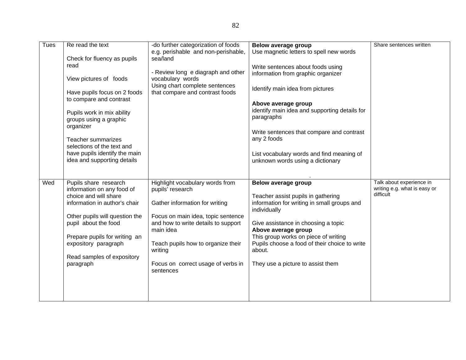| <b>Tues</b> | Re read the text<br>Check for fluency as pupils<br>read<br>View pictures of foods<br>Have pupils focus on 2 foods<br>to compare and contrast<br>Pupils work in mix ability                                                                                                  | -do further categorization of foods<br>e.g. perishable and non-perishable,<br>sea/land<br>- Review long e diagraph and other<br>vocabulary words<br>Using chart complete sentences<br>that compare and contrast foods                                                               | Below average group<br>Use magnetic letters to spell new words<br>Write sentences about foods using<br>information from graphic organizer<br>Identify main idea from pictures<br>Above average group<br>identify main idea and supporting details for                                                                          | Share sentences written                                               |
|-------------|-----------------------------------------------------------------------------------------------------------------------------------------------------------------------------------------------------------------------------------------------------------------------------|-------------------------------------------------------------------------------------------------------------------------------------------------------------------------------------------------------------------------------------------------------------------------------------|--------------------------------------------------------------------------------------------------------------------------------------------------------------------------------------------------------------------------------------------------------------------------------------------------------------------------------|-----------------------------------------------------------------------|
|             | groups using a graphic<br>organizer<br><b>Teacher summarizes</b><br>selections of the text and<br>have pupils identify the main<br>idea and supporting details                                                                                                              |                                                                                                                                                                                                                                                                                     | paragraphs<br>Write sentences that compare and contrast<br>any 2 foods<br>List vocabulary words and find meaning of<br>unknown words using a dictionary                                                                                                                                                                        |                                                                       |
| Wed         | Pupils share research<br>information on any food of<br>choice and will share<br>information in author's chair<br>Other pupils will question the<br>pupil about the food<br>Prepare pupils for writing an<br>expository paragraph<br>Read samples of expository<br>paragraph | Highlight vocabulary words from<br>pupils' research<br>Gather information for writing<br>Focus on main idea, topic sentence<br>and how to write details to support<br>main idea<br>Teach pupils how to organize their<br>writing<br>Focus on correct usage of verbs in<br>sentences | Below average group<br>Teacher assist pupils in gathering<br>information for writing in small groups and<br>individually<br>Give assistance in choosing a topic<br>Above average group<br>This group works on piece of writing<br>Pupils choose a food of their choice to write<br>about.<br>They use a picture to assist them | Talk about experience in<br>writing e.g. what is easy or<br>difficult |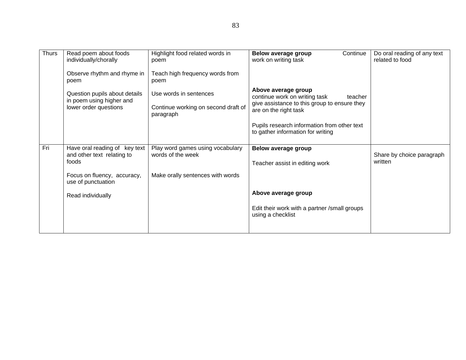| <b>Thurs</b> | Read poem about foods<br>individually/chorally                                     | Highlight food related words in<br>poem                                    | Continue<br>Below average group<br>work on writing task                                                                                  | Do oral reading of any text<br>related to food |
|--------------|------------------------------------------------------------------------------------|----------------------------------------------------------------------------|------------------------------------------------------------------------------------------------------------------------------------------|------------------------------------------------|
|              | Observe rhythm and rhyme in<br>poem                                                | Teach high frequency words from<br>poem                                    |                                                                                                                                          |                                                |
|              | Question pupils about details<br>in poem using higher and<br>lower order questions | Use words in sentences<br>Continue working on second draft of<br>paragraph | Above average group<br>continue work on writing task<br>teacher<br>give assistance to this group to ensure they<br>are on the right task |                                                |
|              |                                                                                    |                                                                            | Pupils research information from other text<br>to gather information for writing                                                         |                                                |
| Fri          | Have oral reading of key text<br>and other text relating to<br>foods               | Play word games using vocabulary<br>words of the week                      | Below average group<br>Teacher assist in editing work                                                                                    | Share by choice paragraph<br>written           |
|              | Focus on fluency, accuracy,<br>use of punctuation                                  | Make orally sentences with words                                           |                                                                                                                                          |                                                |
|              | Read individually                                                                  |                                                                            | Above average group                                                                                                                      |                                                |
|              |                                                                                    |                                                                            | Edit their work with a partner /small groups<br>using a checklist                                                                        |                                                |
|              |                                                                                    |                                                                            |                                                                                                                                          |                                                |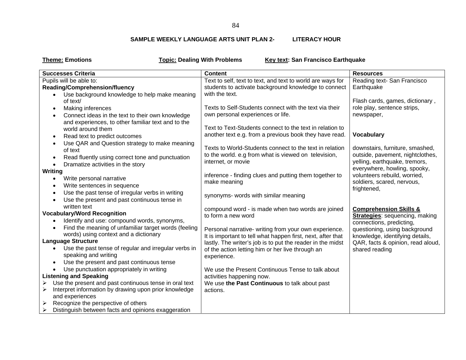### **SAMPLE WEEKLY LANGUAGE ARTS UNIT PLAN 2-LITERACY HOUR**

|  | <b>Theme: Emotions</b> |
|--|------------------------|
|--|------------------------|

**Topic: Dealing With Problems Key text: San Francisco Earthquake** 

| <b>Successes Criteria</b>                                     | <b>Content</b>                                              | <b>Resources</b>                                                  |
|---------------------------------------------------------------|-------------------------------------------------------------|-------------------------------------------------------------------|
| Pupils will be able to:                                       | Text to self, text to text, and text to world are ways for  | Reading text- San Francisco                                       |
| <b>Reading/Comprehension/fluency</b>                          | students to activate background knowledge to connect        | Earthquake                                                        |
| Use background knowledge to help make meaning                 | with the text.                                              |                                                                   |
| of text/                                                      |                                                             | Flash cards, games, dictionary,                                   |
| Making inferences<br>$\bullet$                                | Texts to Self-Students connect with the text via their      | role play, sentence strips,                                       |
| Connect ideas in the text to their own knowledge              | own personal experiences or life.                           | newspaper,                                                        |
| and experiences, to other familiar text and to the            |                                                             |                                                                   |
| world around them                                             | Text to Text-Students connect to the text in relation to    |                                                                   |
| Read text to predict outcomes<br>$\bullet$                    | another text e.g. from a previous book they have read.      | <b>Vocabulary</b>                                                 |
| Use QAR and Question strategy to make meaning                 |                                                             |                                                                   |
| of text                                                       | Texts to World-Students connect to the text in relation     | downstairs, furniture, smashed,                                   |
| Read fluently using correct tone and punctuation              | to the world. e.g from what is viewed on television,        | outside, pavement, nightclothes,                                  |
| Dramatize activities in the story                             | internet, or movie                                          | yelling, earthquake, tremors,                                     |
| Writing                                                       |                                                             | everywhere, howling, spooky,                                      |
| Write personal narrative                                      | inference - finding clues and putting them together to      | volunteers rebuild, worried,                                      |
| Write sentences in sequence<br>٠                              | make meaning                                                | soldiers, scared, nervous,                                        |
| Use the past tense of irregular verbs in writing<br>$\bullet$ |                                                             | frightened,                                                       |
| Use the present and past continuous tense in                  | synonyms- words with similar meaning                        |                                                                   |
| written text                                                  |                                                             |                                                                   |
| <b>Vocabulary/Word Recognition</b>                            | compound word - is made when two words are joined           | <b>Comprehension Skills &amp;</b>                                 |
| Identify and use: compound words, synonyms,                   | to form a new word                                          | <b>Strategies:</b> sequencing, making<br>connections, predicting, |
| Find the meaning of unfamiliar target words (feeling          | Personal narrative- writing from your own experience.       | questioning, using background                                     |
| words) using context and a dictionary                         | It is important to tell what happen first, next, after that | knowledge, identifying details,                                   |
| <b>Language Structure</b>                                     | lastly. The writer's job is to put the reader in the midst  | QAR, facts & opinion, read aloud,                                 |
| Use the past tense of regular and irregular verbs in          | of the action letting him or her live through an            | shared reading                                                    |
| speaking and writing                                          | experience.                                                 |                                                                   |
| Use the present and past continuous tense<br>$\bullet$        |                                                             |                                                                   |
| Use punctuation appropriately in writing                      | We use the Present Continuous Tense to talk about           |                                                                   |
| <b>Listening and Speaking</b>                                 | activities happening now.                                   |                                                                   |
| Use the present and past continuous tense in oral text<br>➤   | We use the Past Continuous to talk about past               |                                                                   |
| Interpret information by drawing upon prior knowledge<br>➤    | actions.                                                    |                                                                   |
| and experiences                                               |                                                             |                                                                   |
| Recognize the perspective of others<br>➤                      |                                                             |                                                                   |
| Distinguish between facts and opinions exaggeration<br>➤      |                                                             |                                                                   |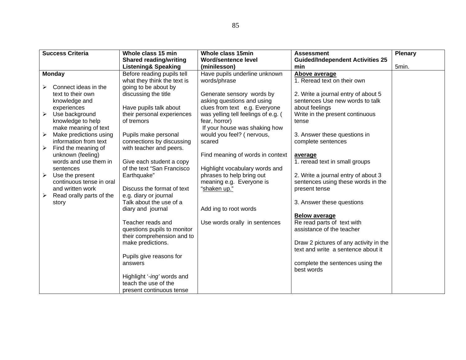|                       | <b>Success Criteria</b>  | Whole class 15 min             | Whole class 15min                   | <b>Assessment</b>                       | <b>Plenary</b> |
|-----------------------|--------------------------|--------------------------------|-------------------------------------|-----------------------------------------|----------------|
|                       |                          | <b>Shared reading/writing</b>  | <b>Word/sentence level</b>          | <b>Guided/Independent Activities 25</b> |                |
|                       |                          | <b>Listening&amp; Speaking</b> | (minilesson)                        | min                                     | 5min.          |
|                       | <b>Monday</b>            | Before reading pupils tell     | Have pupils underline unknown       | Above average                           |                |
|                       |                          | what they think the text is    | words/phrase                        | 1. Reread text on their own             |                |
|                       | Connect ideas in the     | going to be about by           |                                     |                                         |                |
|                       | text to their own        | discussing the title           | Generate sensory words by           | 2. Write a journal entry of about 5     |                |
|                       | knowledge and            |                                | asking questions and using          | sentences Use new words to talk         |                |
|                       | experiences              | Have pupils talk about         | clues from text e.g. Everyone       | about feelings                          |                |
| $\blacktriangleright$ | Use background           | their personal experiences     | was yelling tell feelings of e.g. ( | Write in the present continuous         |                |
|                       | knowledge to help        | of tremors                     | fear, horror)                       | tense                                   |                |
|                       | make meaning of text     |                                | If your house was shaking how       |                                         |                |
| ➤                     | Make predictions using   | Pupils make personal           | would you feel? (nervous,           | 3. Answer these questions in            |                |
|                       | information from text    | connections by discussing      | scared                              | complete sentences                      |                |
| ➤                     | Find the meaning of      | with teacher and peers.        |                                     |                                         |                |
|                       | unknown (feeling)        |                                | Find meaning of words in context    | average                                 |                |
|                       | words and use them in    | Give each student a copy       |                                     | 1. reread text in small groups          |                |
|                       | sentences                | of the text "San Francisco     | Highlight vocabulary words and      |                                         |                |
| ➤                     | Use the present          | Earthquake"                    | phrases to help bring out           | 2. Write a journal entry of about 3     |                |
|                       | continuous tense in oral |                                | meaning e.g. Everyone is            | sentences using these words in the      |                |
|                       | and written work         | Discuss the format of text     | "shaken up."                        | present tense                           |                |
| $\blacktriangleright$ | Read orally parts of the | e.g. diary or journal          |                                     |                                         |                |
|                       | story                    | Talk about the use of a        |                                     | 3. Answer these questions               |                |
|                       |                          | diary and journal              | Add ing to root words               |                                         |                |
|                       |                          |                                |                                     | <b>Below average</b>                    |                |
|                       |                          | Teacher reads and              | Use words orally in sentences       | Re read parts of text with              |                |
|                       |                          | questions pupils to monitor    |                                     | assistance of the teacher               |                |
|                       |                          | their comprehension and to     |                                     |                                         |                |
|                       |                          | make predictions.              |                                     | Draw 2 pictures of any activity in the  |                |
|                       |                          |                                |                                     | text and write a sentence about it      |                |
|                       |                          | Pupils give reasons for        |                                     |                                         |                |
|                       |                          | answers                        |                                     | complete the sentences using the        |                |
|                       |                          |                                |                                     | best words                              |                |
|                       |                          | Highlight '-ing' words and     |                                     |                                         |                |
|                       |                          | teach the use of the           |                                     |                                         |                |
|                       |                          | present continuous tense       |                                     |                                         |                |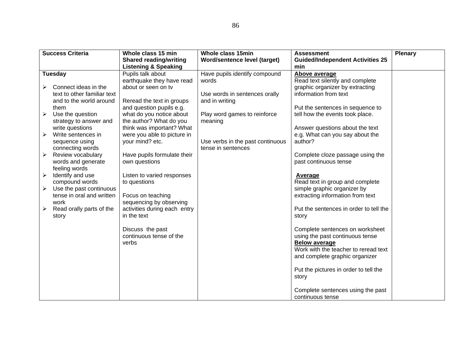|                       | <b>Success Criteria</b>               | Whole class 15 min                           | Whole class 15min                                      | <b>Assessment</b>                                         | <b>Plenary</b> |
|-----------------------|---------------------------------------|----------------------------------------------|--------------------------------------------------------|-----------------------------------------------------------|----------------|
|                       |                                       | <b>Shared reading/writing</b>                | Word/sentence level (target)                           | <b>Guided/Independent Activities 25</b>                   |                |
|                       |                                       | <b>Listening &amp; Speaking</b>              |                                                        | min                                                       |                |
|                       | <b>Tuesday</b>                        | Pupils talk about                            | Have pupils identify compound                          | Above average                                             |                |
|                       |                                       | earthquake they have read                    | words                                                  | Read text silently and complete                           |                |
|                       | Connect ideas in the                  | about or seen on tv                          |                                                        | graphic organizer by extracting                           |                |
|                       | text to other familiar text           |                                              | Use words in sentences orally                          | information from text                                     |                |
|                       | and to the world around               | Reread the text in groups                    | and in writing                                         |                                                           |                |
|                       | them                                  | and question pupils e.g.                     |                                                        | Put the sentences in sequence to                          |                |
| $\blacktriangleright$ | Use the question                      | what do you notice about                     | Play word games to reinforce                           | tell how the events took place.                           |                |
|                       | strategy to answer and                | the author? What do you                      | meaning                                                |                                                           |                |
|                       | write questions                       | think was important? What                    |                                                        | Answer questions about the text                           |                |
| $\blacktriangleright$ | Write sentences in                    | were you able to picture in                  |                                                        | e.g. What can you say about the                           |                |
|                       | sequence using                        | your mind? etc.                              | Use verbs in the past continuous<br>tense in sentences | author?                                                   |                |
| $\blacktriangleright$ | connecting words<br>Review vocabulary |                                              |                                                        |                                                           |                |
|                       | words and generate                    | Have pupils formulate their<br>own questions |                                                        | Complete cloze passage using the<br>past continuous tense |                |
|                       | feeling words                         |                                              |                                                        |                                                           |                |
| $\blacktriangleright$ | Identify and use                      | Listen to varied responses                   |                                                        | Average                                                   |                |
|                       | compound words                        | to questions                                 |                                                        | Read text in group and complete                           |                |
| ➤                     | Use the past continuous               |                                              |                                                        | simple graphic organizer by                               |                |
|                       | tense in oral and written             | Focus on teaching                            |                                                        | extracting information from text                          |                |
|                       | work                                  | sequencing by observing                      |                                                        |                                                           |                |
| $\blacktriangleright$ | Read orally parts of the              | activities during each entry                 |                                                        | Put the sentences in order to tell the                    |                |
|                       | story                                 | in the text                                  |                                                        | story                                                     |                |
|                       |                                       |                                              |                                                        |                                                           |                |
|                       |                                       | Discuss the past                             |                                                        | Complete sentences on worksheet                           |                |
|                       |                                       | continuous tense of the                      |                                                        | using the past continuous tense                           |                |
|                       |                                       | verbs                                        |                                                        | <b>Below average</b>                                      |                |
|                       |                                       |                                              |                                                        | Work with the teacher to reread text                      |                |
|                       |                                       |                                              |                                                        | and complete graphic organizer                            |                |
|                       |                                       |                                              |                                                        |                                                           |                |
|                       |                                       |                                              |                                                        | Put the pictures in order to tell the                     |                |
|                       |                                       |                                              |                                                        | story                                                     |                |
|                       |                                       |                                              |                                                        |                                                           |                |
|                       |                                       |                                              |                                                        | Complete sentences using the past                         |                |
|                       |                                       |                                              |                                                        | continuous tense                                          |                |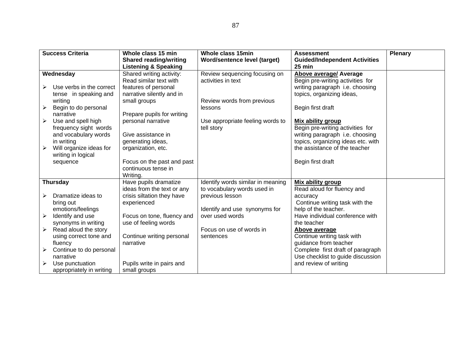|                       | <b>Success Criteria</b>  | Whole class 15 min              | Whole class 15min                 | <b>Assessment</b>                    | <b>Plenary</b> |
|-----------------------|--------------------------|---------------------------------|-----------------------------------|--------------------------------------|----------------|
|                       |                          | <b>Shared reading/writing</b>   | Word/sentence level (target)      | <b>Guided/Independent Activities</b> |                |
|                       |                          | <b>Listening &amp; Speaking</b> |                                   | 25 min                               |                |
|                       | Wednesday                | Shared writing activity:        | Review sequencing focusing on     | <b>Above average/ Average</b>        |                |
|                       |                          | Read similar text with          | activities in text                | Begin pre-writing activities for     |                |
| ➤                     | Use verbs in the correct | features of personal            |                                   | writing paragraph i.e. choosing      |                |
|                       | tense in speaking and    | narrative silently and in       |                                   | topics, organizing ideas,            |                |
|                       | writing                  | small groups                    | Review words from previous        |                                      |                |
| ➤                     | Begin to do personal     |                                 | lessons                           | Begin first draft                    |                |
|                       | narrative                | Prepare pupils for writing      |                                   |                                      |                |
| $\blacktriangleright$ | Use and spell high       | personal narrative              | Use appropriate feeling words to  | Mix ability group                    |                |
|                       | frequency sight words    |                                 | tell story                        | Begin pre-writing activities for     |                |
|                       | and vocabulary words     | Give assistance in              |                                   | writing paragraph i.e. choosing      |                |
|                       | in writing               | generating ideas,               |                                   | topics, organizing ideas etc. with   |                |
| ➤                     | Will organize ideas for  | organization, etc.              |                                   | the assistance of the teacher        |                |
|                       | writing in logical       |                                 |                                   |                                      |                |
|                       | sequence                 | Focus on the past and past      |                                   | Begin first draft                    |                |
|                       |                          | continuous tense in             |                                   |                                      |                |
|                       |                          | Writing.                        |                                   |                                      |                |
|                       | <b>Thursday</b>          | Have pupils dramatize           | Identify words similar in meaning | <b>Mix ability group</b>             |                |
|                       |                          | ideas from the text or any      | to vocabulary words used in       | Read aloud for fluency and           |                |
| ➤                     | Dramatize ideas to       | crisis siltation they have      | previous lesson                   | accuracy                             |                |
|                       | bring out                | experienced                     |                                   | Continue writing task with the       |                |
|                       | emotions/feelings        |                                 | Identify and use synonyms for     | help of the teacher.                 |                |
| ➤                     | Identify and use         | Focus on tone, fluency and      | over used words                   | Have individual conference with      |                |
|                       | synonyms in writing      | use of feeling words            |                                   | the teacher                          |                |
| $\blacktriangleright$ | Read aloud the story     |                                 | Focus on use of words in          | <b>Above average</b>                 |                |
|                       | using correct tone and   | Continue writing personal       | sentences                         | Continue writing task with           |                |
|                       | fluency                  | narrative                       |                                   | guidance from teacher                |                |
| ➤                     | Continue to do personal  |                                 |                                   | Complete first draft of paragraph    |                |
|                       | narrative                |                                 |                                   | Use checklist to guide discussion    |                |
| ➤                     | Use punctuation          | Pupils write in pairs and       |                                   | and review of writing                |                |
|                       | appropriately in writing | small groups                    |                                   |                                      |                |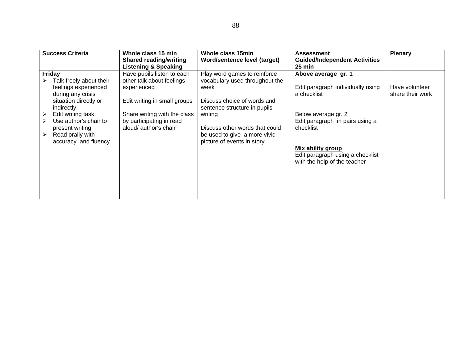| <b>Success Criteria</b>                                                                                                                                                                                                                             | Whole class 15 min<br><b>Shared reading/writing</b><br><b>Listening &amp; Speaking</b>                                                                                                      | Whole class 15min<br>Word/sentence level (target)                                                                                                                                                                                                | <b>Assessment</b><br><b>Guided/Independent Activities</b><br>25 min                                                                                                                                                                            | <b>Plenary</b>                     |
|-----------------------------------------------------------------------------------------------------------------------------------------------------------------------------------------------------------------------------------------------------|---------------------------------------------------------------------------------------------------------------------------------------------------------------------------------------------|--------------------------------------------------------------------------------------------------------------------------------------------------------------------------------------------------------------------------------------------------|------------------------------------------------------------------------------------------------------------------------------------------------------------------------------------------------------------------------------------------------|------------------------------------|
| Friday<br>Talk freely about their<br>feelings experienced<br>during any crisis<br>situation directly or<br>indirectly.<br>Edit writing task.<br>➤<br>Use author's chair to<br>➤<br>present writing<br>Read orally with<br>➤<br>accuracy and fluency | Have pupils listen to each<br>other talk about feelings<br>experienced<br>Edit writing in small groups<br>Share writing with the class<br>by participating in read<br>aloud/ author's chair | Play word games to reinforce<br>vocabulary used throughout the<br>week<br>Discuss choice of words and<br>sentence structure in pupils<br>writing<br>Discuss other words that could<br>be used to give a more vivid<br>picture of events in story | Above average gr. 1<br>Edit paragraph individually using<br>a checklist<br>Below average gr. 2<br>Edit paragraph in pairs using a<br>checklist<br><b>Mix ability group</b><br>Edit paragraph using a checklist<br>with the help of the teacher | Have volunteer<br>share their work |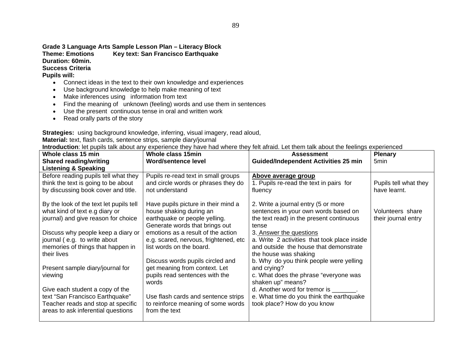**Grade 3 Language Arts Sample Lesson Plan – Literacy Block Theme: Emotions Key text: San Francisco Earthquake Duration: 60min. Success Criteria** 

**Pupils will:** 

- Connect ideas in the text to their own knowledge and experiences
- Use background knowledge to help make meaning of text
- Make inferences using information from text
- Find the meaning of unknown (feeling) words and use them in sentences
- Use the present continuous tense in oral and written work
- Read orally parts of the story

**Strategies:** using background knowledge, inferring, visual imagery, read aloud,

**Material:** text, flash cards, sentence strips, sample diary/journal

**Introduction**: let pupils talk about any experience they have had where they felt afraid. Let them talk about the feelings experienced

| Whole class 15 min                      | Whole class 15min                                               | <b>Assessment</b>                                    | <b>Plenary</b>        |
|-----------------------------------------|-----------------------------------------------------------------|------------------------------------------------------|-----------------------|
| <b>Shared reading/writing</b>           | <b>Word/sentence level</b>                                      | <b>Guided/Independent Activities 25 min</b>          | 5min                  |
| <b>Listening &amp; Speaking</b>         |                                                                 |                                                      |                       |
| Before reading pupils tell what they    | Pupils re-read text in small groups                             | Above average group                                  |                       |
| think the text is going to be about     | and circle words or phrases they do                             | 1. Pupils re-read the text in pairs for              | Pupils tell what they |
| by discussing book cover and title.     | not understand                                                  | fluency                                              | have learnt.          |
| By the look of the text let pupils tell | Have pupils picture in their mind a                             | 2. Write a journal entry (5 or more                  |                       |
| what kind of text e.g diary or          | house shaking during an                                         | sentences in your own words based on                 | Volunteers share      |
| journal) and give reason for choice     | earthquake or people yelling.                                   | the text read) in the present continuous             | their journal entry   |
|                                         | Generate words that brings out                                  | tense                                                |                       |
| Discuss why people keep a diary or      | emotions as a result of the action                              | 3. Answer the questions                              |                       |
| journal (e.g. to write about            | e.g. scared, nervous, frightened, etc.                          | a. Write 2 activities that took place inside         |                       |
| memories of things that happen in       | list words on the board.                                        | and outside the house that demonstrate               |                       |
| their lives                             |                                                                 | the house was shaking                                |                       |
|                                         | Discuss words pupils circled and                                | b. Why do you think people were yelling              |                       |
| Present sample diary/journal for        | get meaning from context. Let<br>pupils read sentences with the | and crying?<br>c. What does the phrase "everyone was |                       |
| viewing                                 | words                                                           | shaken up" means?                                    |                       |
| Give each student a copy of the         |                                                                 | d. Another word for tremor is                        |                       |
| text "San Francisco Earthquake"         | Use flash cards and sentence strips                             | e. What time do you think the earthquake             |                       |
| Teacher reads and stop at specific      | to reinforce meaning of some words                              | took place? How do you know                          |                       |
| areas to ask inferential questions      | from the text                                                   |                                                      |                       |
|                                         |                                                                 |                                                      |                       |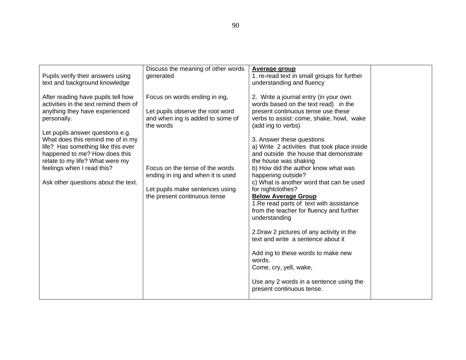| Pupils verify their answers using<br>text and background knowledge                                                                                                                                                                                                                                                                                                                   | Discuss the meaning of other words<br>generated                                                                                                                                                                                                               | <b>Average group</b><br>1. re-read text in small groups for further<br>understanding and fluency                                                                                                                                                                                                                                                                                                                                                                                                                                                                                                                                                                                                                                                                                                                                                |  |
|--------------------------------------------------------------------------------------------------------------------------------------------------------------------------------------------------------------------------------------------------------------------------------------------------------------------------------------------------------------------------------------|---------------------------------------------------------------------------------------------------------------------------------------------------------------------------------------------------------------------------------------------------------------|-------------------------------------------------------------------------------------------------------------------------------------------------------------------------------------------------------------------------------------------------------------------------------------------------------------------------------------------------------------------------------------------------------------------------------------------------------------------------------------------------------------------------------------------------------------------------------------------------------------------------------------------------------------------------------------------------------------------------------------------------------------------------------------------------------------------------------------------------|--|
| After reading have pupils tell how<br>activities in the text remind them of<br>anything they have experienced<br>personally.<br>Let pupils answer questions e.g.<br>What does this remind me of in my<br>life? Has something like this ever<br>happened to me? How does this<br>relate to my life? What were my<br>feelings when I read this?<br>Ask other questions about the text. | Focus on words ending in ing,<br>Let pupils observe the root word<br>and when ing is added to some of<br>the words<br>Focus on the tense of the words<br>ending in ing and when it is used<br>Let pupils make sentences using<br>the present continuous tense | 2. Write a journal entry (in your own<br>words based on the text read) in the<br>present continuous tense use these<br>verbs to assist: come, shake, howl, wake<br>(add ing to verbs)<br>3. Answer these questions<br>a) Write 2 activities that took place inside<br>and outside the house that demonstrate<br>the house was shaking<br>b) How did the author know what was<br>happening outside?<br>c) What is another word that can be used<br>for nightclothes?<br><b>Below Average Group</b><br>1. Re read parts of text with assistance<br>from the teacher for fluency and further<br>understanding<br>2. Draw 2 pictures of any activity in the<br>text and write a sentence about it<br>Add ing to these words to make new<br>words.<br>Come, cry, yell, wake,<br>Use any 2 words in a sentence using the<br>present continuous tense. |  |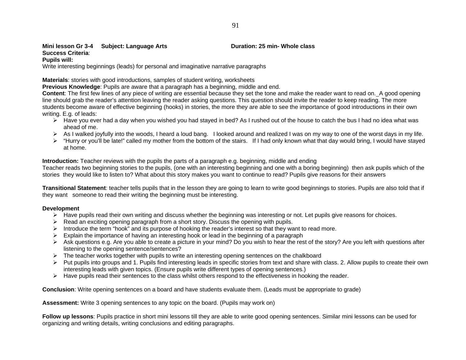## **Mini lesson Gr 3-4 Subject: Language Arts <b>Duration: 25 min- Whole class Mini**

## **Success Criteria**:

## **Pupils will:**

Write interesting beginnings (leads) for personal and imaginative narrative paragraphs

**Materials**: stories with good introductions, samples of student writing, worksheets

**Previous Knowledge**: Pupils are aware that a paragraph has a beginning, middle and end.

**Content**: The first few lines of any piece of writing are essential because they set the tone and make the reader want to read on. A good opening line should grab the reader's attention leaving the reader asking questions. This question should invite the reader to keep reading. The more students become aware of effective beginning (hooks) in stories, the more they are able to see the importance of good introductions in their own writing. E.g. of leads:

- ¾ Have you ever had a day when you wished you had stayed in bed? As I rushed out of the house to catch the bus I had no idea what was ahead of me.
- ¾ As I walked joyfully into the woods, I heard a loud bang. I looked around and realized I was on my way to one of the worst days in my life.
- $\triangleright$  "Hurry or you'll be late!" called my mother from the bottom of the stairs. If I had only known what that day would bring, I would have stayed at home.

**Introduction:** Teacher reviews with the pupils the parts of a paragraph e.g. beginning, middle and ending

Teacher reads two beginning stories to the pupils, (one with an interesting beginning and one with a boring beginning) then ask pupils which of the stories they would like to listen to? What about this story makes you want to continue to read? Pupils give reasons for their answers

**Transitional Statement**: teacher tells pupils that in the lesson they are going to learn to write good beginnings to stories. Pupils are also told that if they want someone to read their writing the beginning must be interesting.

## **Development**

- ¾ Have pupils read their own writing and discuss whether the beginning was interesting or not. Let pupils give reasons for choices.
- $\triangleright$  Read an exciting opening paragraph from a short story. Discuss the opening with pupils.
- ¾ Introduce the term "hook" and its purpose of hooking the reader's interest so that they want to read more.
- $\triangleright$  Explain the importance of having an interesting hook or lead in the beginning of a paragraph
- ¾ Ask questions e.g. Are you able to create a picture in your mind? Do you wish to hear the rest of the story? Are you left with questions after listening to the opening sentence/sentences?
- $\triangleright$  The teacher works together with pupils to write an interesting opening sentences on the chalkboard
- $\triangleright$  Put pupils into groups and 1. Pupils find interesting leads in specific stories from text and share with class. 2. Allow pupils to create their own interesting leads with given topics. (Ensure pupils write different types of opening sentences.)
- $\blacktriangleright$  Have pupils read their sentences to the class whilst others respond to the effectiveness in hooking the reader.

**Conclusion**: Write opening sentences on a board and have students evaluate them. (Leads must be appropriate to grade)

**Assessment:** Write 3 opening sentences to any topic on the board. (Pupils may work on)

**Follow up lessons**: Pupils practice in short mini lessons till they are able to write good opening sentences. Similar mini lessons can be used for organizing and writing details, writing conclusions and editing paragraphs.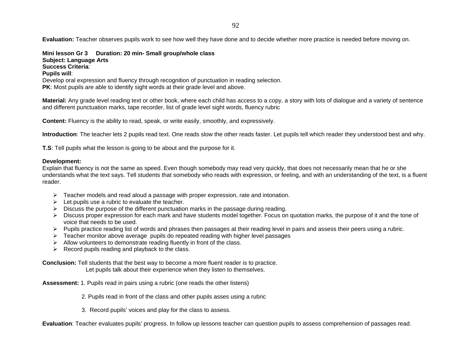**Evaluation:** Teacher observes pupils work to see how well they have done and to decide whether more practice is needed before moving on.

**Mini lesson Gr 3 Duration: 20 min- Small group/whole class Subject: Language Arts Success Criteria**: **Pupils will**: Develop oral expression and fluency through recognition of punctuation in reading selection. **PK**: Most pupils are able to identify sight words at their grade level and above.

**Material:** Any grade level reading text or other book, where each child has access to a copy, a story with lots of dialogue and a variety of sentence and different punctuation marks, tape recorder, list of grade level sight words, fluency rubric

**Content:** Fluency is the ability to read, speak, or write easily, smoothly, and expressively.

**Introduction**: The teacher lets 2 pupils read text. One reads slow the other reads faster. Let pupils tell which reader they understood best and why.

**T.S**: Tell pupils what the lesson is going to be about and the purpose for it.

## **Development:**

Explain that fluency is not the same as speed. Even though somebody may read very quickly, that does not necessarily mean that he or she understands what the text says. Tell students that somebody who reads with expression, or feeling, and with an understanding of the text, is a fluent reader.

- $\triangleright$  Teacher models and read aloud a passage with proper expression, rate and intonation.
- $\triangleright$  Let pupils use a rubric to evaluate the teacher.
- ¾ Discuss the purpose of the different punctuation marks in the passage during reading.
- ¾ Discuss proper expression for each mark and have students model together. Focus on quotation marks, the purpose of it and the tone of voice that needs to be used.
- ¾ Pupils practice reading list of words and phrases then passages at their reading level in pairs and assess their peers using a rubric.
- $\triangleright$  Teacher monitor above average pupils do repeated reading with higher level passages
- $\triangleright$  Allow volunteers to demonstrate reading fluently in front of the class.
- $\triangleright$  Record pupils reading and playback to the class.

**Conclusion:** Tell students that the best way to become a more fluent reader is to practice.

Let pupils talk about their experience when they listen to themselves.

**Assessment:** 1. Pupils read in pairs using a rubric (one reads the other listens)

2. Pupils read in front of the class and other pupils asses using a rubric

3. Record pupils' voices and play for the class to assess.

**Evaluation**: Teacher evaluates pupils' progress. In follow up lessons teacher can question pupils to assess comprehension of passages read.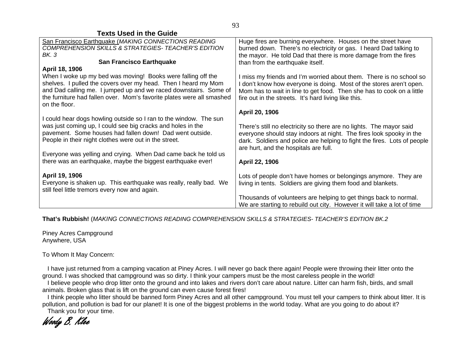| <b>Texts Used in the Guide</b>                                                                                                                                                                                                                                                                                 |                                                                                                                                                                                                                                                                             |
|----------------------------------------------------------------------------------------------------------------------------------------------------------------------------------------------------------------------------------------------------------------------------------------------------------------|-----------------------------------------------------------------------------------------------------------------------------------------------------------------------------------------------------------------------------------------------------------------------------|
| San Francisco Earthquake (MAKING CONNECTIONS READING<br>COMPREHENSION SKILLS & STRATEGIES- TEACHER'S EDITION<br>BK. 3                                                                                                                                                                                          | Huge fires are burning everywhere. Houses on the street have<br>burned down. There's no electricity or gas. I heard Dad talking to<br>the mayor. He told Dad that there is more damage from the fires                                                                       |
| <b>San Francisco Earthquake</b>                                                                                                                                                                                                                                                                                | than from the earthquake itself.                                                                                                                                                                                                                                            |
| April 18, 1906<br>When I woke up my bed was moving! Books were falling off the<br>shelves. I pulled the covers over my head. Then I heard my Mom<br>and Dad calling me. I jumped up and we raced downstairs. Some of<br>the furniture had fallen over. Mom's favorite plates were all smashed<br>on the floor. | I miss my friends and I'm worried about them. There is no school so<br>I don't know how everyone is doing. Most of the stores aren't open.<br>Mom has to wait in line to get food. Then she has to cook on a little<br>fire out in the streets. It's hard living like this. |
| I could hear dogs howling outside so I ran to the window. The sun                                                                                                                                                                                                                                              | April 20, 1906                                                                                                                                                                                                                                                              |
| was just coming up, I could see big cracks and holes in the<br>pavement. Some houses had fallen down! Dad went outside.<br>People in their night clothes were out in the street.                                                                                                                               | There's still no electricity so there are no lights. The mayor said<br>everyone should stay indoors at night. The fires look spooky in the<br>dark. Soldiers and police are helping to fight the fires. Lots of people<br>are hurt, and the hospitals are full.             |
| Everyone was yelling and crying. When Dad came back he told us<br>there was an earthquake, maybe the biggest earthquake ever!                                                                                                                                                                                  | April 22, 1906                                                                                                                                                                                                                                                              |
| April 19, 1906<br>Everyone is shaken up. This earthquake was really, really bad. We<br>still feel little tremors every now and again.                                                                                                                                                                          | Lots of people don't have homes or belongings anymore. They are<br>living in tents. Soldiers are giving them food and blankets.                                                                                                                                             |
|                                                                                                                                                                                                                                                                                                                | Thousands of volunteers are helping to get things back to normal.<br>We are starting to rebuild out city. However it will take a lot of time                                                                                                                                |

**That's Rubbish!** (*MAKING CONNECTIONS READING COMPREHENSION SKILLS & STRATEGIES- TEACHER'S EDITION BK.2*

Piney Acres Campground Anywhere, USA

To Whom It May Concern:

 I have just returned from a camping vacation at Piney Acres. I will never go back there again! People were throwing their litter onto the ground. I was shocked that campground was so dirty. I think your campers must be the most careless people in the world!

 I believe people who drop litter onto the ground and into lakes and rivers don't care about nature. Litter can harm fish, birds, and small animals. Broken glass that is lift on the ground can even cause forest fires!

 I think people who litter should be banned form Piney Acres and all other campground. You must tell your campers to think about litter. It is pollution, and pollution is bad for our planet! It is one of the biggest problems in the world today. What are you going to do about it?

Thank you for your time.

Woody B. Klee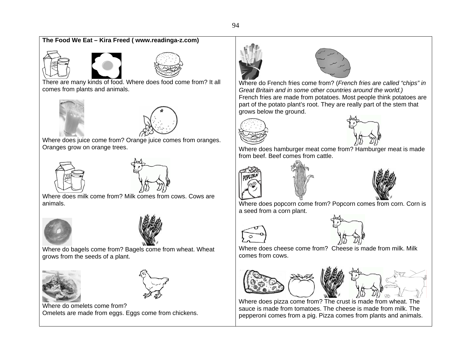## **The Food We Eat – Kira Freed ( www.readinga-z.com)**





There are many kinds of food. Where does food come from? It all comes from plants and animals.





Where does juice come from? Orange juice comes from oranges. Oranges grow on orange trees.





Where does milk come from? Milk comes from cows. Cows are animals.





Where do bagels come from? Bagels come from wheat. Wheat grows from the seeds of a plant.





Where do omelets come from? Omelets are made from eggs. Eggs come from chickens.





Where do French fries come from? (*French fries are called "chips" in Great Britain and in some other countries around the world.)* French fries are made from potatoes. Most people think potatoes are part of the potato plant's root. They are really part of the stem that grows below the ground.





Where does hamburger meat come from? Hamburger meat is made from beef. Beef comes from cattle.





Where does popcorn come from? Popcorn comes from corn. Corn is a seed from a corn plant.





Where does cheese come from? Cheese is made from milk. Milk comes from cows.







Where does pizza come from? The crust is made from wheat. The sauce is made from tomatoes. The cheese is made from milk. The pepperoni comes from a pig. Pizza comes from plants and animals.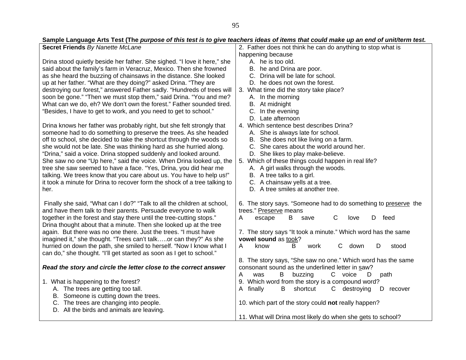#### **Secret Friends** *By Nanette McLane*  Drina stood quietly beside her father. She sighed. "I love it here," she said about the family's farm in Veracruz, Mexico. Then she frowned as she heard the buzzing of chainsaws in the distance. She looked up at her father. "What are they doing?" asked Drina. "They are destroying our forest," answered Father sadly. "Hundreds of trees will soon be gone." "Then we must stop them," said Drina. "You and me? What can we do, eh? We don't own the forest." Father sounded tired. "Besides, I have to get to work, and you need to get to school." Drina knows her father was probably right, but she felt strongly that 2. Father does not think he can do anything to stop what is happening because A. he is too old. B. he and Drina are poor. C. Drina will be late for school. D. he does not own the forest. 3. What time did the story take place? A. In the morning B. At midnight C. In the evening D. Late afternoon 4. Which sentence best describes Drina?

A. She is always late for school. B. She does not like living on a farm. C. She cares about the world around her.

D. She likes to play make-believe.

A. A girl walks through the woods.

6. The story says. "Someone had to do something to preserve the

A escape B save C love D feed

consonant sound as the underlined letter in saw?

7. The story says "It took a minute." Which word has the same

A know B work C down D stood

8. The story says, "She saw no one." Which word has the same

B. A tree talks to a girl. C. A chainsaw yells at a tree. D. A tree smiles at another tree.

trees." Preserve means

**vowel sound** as took?

someone had to do something to preserve the trees. As she headed off to school, she decided to take the shortcut through the woods so she would not be late. She was thinking hard as she hurried along. "Drina," said a voice. Drina stopped suddenly and looked around. She saw no one "Up here," said the voice. When Drina looked up, the tree she saw seemed to have a face. "Yes, Drina, you did hear me talking. We trees know that you care about us. You have to help us!" it took a minute for Drina to recover form the shock of a tree talking to her. 5. Which of these things could happen in real life?

 Finally she said, "What can I do?" "Talk to all the children at school, and have them talk to their parents. Persuade everyone to walk together in the forest and stay there until the tree-cutting stops." Drina thought about that a minute. Then she looked up at the tree again. But there was no one there. Just the trees. "I must have imagined it," she thought. "Trees can't talk…..or can they?" As she hurried on down the path, she smiled to herself. "Now I know what I can do," she thought. "I'll get started as soon as I get to school."

## *Read the story and circle the letter close to the correct answer*

| <b>Node the story and on one the retter order to the oorrest answer</b> | <u>oonoonant oodina as tho anaoninoa iottor in saw :</u>    |
|-------------------------------------------------------------------------|-------------------------------------------------------------|
|                                                                         | buzzing<br>voice<br>В<br>Α<br>path<br>was                   |
| 1. What is happening to the forest?                                     | 9. Which word from the story is a compound word?            |
| A. The trees are getting too tall.                                      | destroying<br>finallv<br>B shortcut<br>D<br>recover<br>A    |
| B. Someone is cutting down the trees.                                   |                                                             |
| C. The trees are changing into people.                                  | 10. which part of the story could not really happen?        |
| D. All the birds and animals are leaving.                               |                                                             |
|                                                                         | 11. What will Drina most likely do when she gets to school? |

## **Sample Language Arts Test (The** *purpose of this test is to give teachers ideas of items that could make up an end of unit/term test.*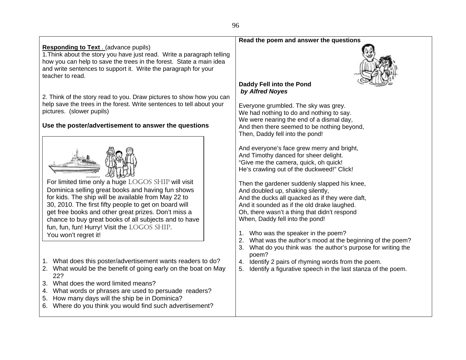## **Responding to Text** . (advance pupils) 1.Think about the story you have just read. Write a paragraph telling how you can help to save the trees in the forest. State a main idea and write sentences to support it. Write the paragraph for your teacher to read.

2. Think of the story read to you. Draw pictures to show how you can help save the trees in the forest. Write sentences to tell about your pictures. (slower pupils)

## **Use the poster/advertisement to answer the questions**



For limited time only a huge LOGOS SHIP will visit Dominica selling great books and having fun shows for kids. The ship will be available from May 22 to 30, 2010. The first fifty people to get on board will get free books and other great prizes. Don't miss a chance to buy great books of all subjects and to have fun, fun, fun! Hurry! Visit the LOGOS SHIP. You won't regret it!

- 1. What does this poster/advertisement wants readers to do?
- 2. What would be the benefit of going early on the boat on May 22?
- 3. What does the word limited means?
- 4. What words or phrases are used to persuade readers?
- 5. How many days will the ship be in Dominica?
- 6. Where do you think you would find such advertisement?

## **Read the poem and answer the questions**



## **Daddy Fell into the Pond**   *by Alfred Noyes*

Everyone grumbled. The sky was grey. We had nothing to do and nothing to say. We were nearing the end of a dismal day, And then there seemed to be nothing beyond, Then, Daddy fell into the pond!

And everyone's face grew merry and bright, And Timothy danced for sheer delight. "Give me the camera, quick, oh quick! He's crawling out of the duckweed!" Click!

Then the gardener suddenly slapped his knee, And doubled up, shaking silently, And the ducks all quacked as if they were daft, And it sounded as if the old drake laughed. Oh, there wasn't a thing that didn't respond When, Daddy fell into the pond!

- 1. Who was the speaker in the poem?
- 2. What was the author's mood at the beginning of the poem?
- 3. What do you think was the author's purpose for writing the poem?
- 4. Identify 2 pairs of rhyming words from the poem.
- 5. Identify a figurative speech in the last stanza of the poem.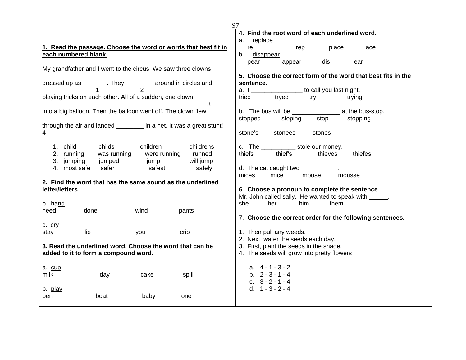| 97                                                                  |                                                                         |
|---------------------------------------------------------------------|-------------------------------------------------------------------------|
|                                                                     | 4. Find the root word of each underlined word.                          |
|                                                                     | replace<br>а.                                                           |
| 1. Read the passage. Choose the word or words that best fit in      | place<br>re<br>lace<br>rep                                              |
| each numbered blank.                                                | b.<br>disappear                                                         |
|                                                                     | dis<br>pear<br>appear<br>ear                                            |
| My grandfather and I went to the circus. We saw three clowns        |                                                                         |
|                                                                     | 5. Choose the correct form of the word that best fits in the            |
| dressed up as _______. They ________ around in circles and          | sentence.                                                               |
|                                                                     | a. I ________________ to call you last night.<br>tried tryed try trying |
| playing tricks on each other. All of a sudden, one clown _____      | trying                                                                  |
|                                                                     |                                                                         |
| into a big balloon. Then the balloon went off. The clown flew       |                                                                         |
|                                                                     | stop<br>stoping<br>stopping<br>stopped                                  |
| through the air and landed ________ in a net. It was a great stunt! |                                                                         |
| 4                                                                   | stone's<br>stonees<br>stones                                            |
|                                                                     |                                                                         |
| 1. child<br>children<br>childs<br>childrens                         | c. The ______________ stole our money.                                  |
| 2. running<br>was running<br>were running<br>runned                 | thiefs<br>thief's<br>thieves<br>thiefes                                 |
| will jump<br>3. jumping<br>jumped<br>jump                           |                                                                         |
| 4. most safe<br>safer<br>safest<br>safely                           | d. The cat caught two                                                   |
|                                                                     | mices<br>mice<br>mouse<br>mousse                                        |
| 2. Find the word that has the same sound as the underlined          |                                                                         |
| letter/letters.                                                     | 6. Choose a pronoun to complete the sentence                            |
|                                                                     | Mr. John called sally. He wanted to speak with ______.                  |
| b. hand                                                             | her<br>she<br>him<br>them                                               |
| need<br>done<br>wind<br>pants                                       |                                                                         |
|                                                                     | 7. Choose the correct order for the following sentences.                |
| $c.$ $cry$                                                          |                                                                         |
| lie<br>crib<br>stay<br>you                                          | 1. Then pull any weeds.                                                 |
|                                                                     | 2. Next, water the seeds each day.                                      |
| 3. Read the underlined word. Choose the word that can be            | 3. First, plant the seeds in the shade.                                 |
| added to it to form a compound word.                                | 4. The seeds will grow into pretty flowers                              |
|                                                                     |                                                                         |
| a. cup                                                              | a. 4 - 1 - 3 - 2                                                        |
| milk<br>cake<br>day<br>spill                                        | b. $2 - 3 - 1 - 4$                                                      |
|                                                                     | c. $3 - 2 - 1 - 4$                                                      |
| b. play                                                             | d. $1 - 3 - 2 - 4$                                                      |
| boat<br>baby<br>pen<br>one                                          |                                                                         |
|                                                                     |                                                                         |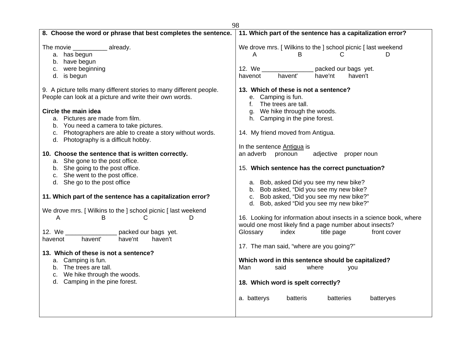|                                                                     | 98                                                                 |
|---------------------------------------------------------------------|--------------------------------------------------------------------|
| 8. Choose the word or phrase that best completes the sentence.      | 11. Which part of the sentence has a capitalization error?         |
| The movie _____________ already.                                    | We drove mrs. [ Wilkins to the ] school picnic [ last weekend      |
| a. has begun                                                        | В<br>D<br>A<br>С                                                   |
| b. have begun                                                       |                                                                    |
| c. were beginning                                                   | 12. We ___<br>packed our bags yet.                                 |
| d. is begun                                                         | havent'<br>have'nt<br>haven't<br>havenot                           |
| 9. A picture tells many different stories to many different people. | 13. Which of these is not a sentence?                              |
| People can look at a picture and write their own words.             | e. Camping is fun.                                                 |
|                                                                     | The trees are tall.<br>f.                                          |
| Circle the main idea                                                | g. We hike through the woods.                                      |
| a. Pictures are made from film.                                     | h. Camping in the pine forest.                                     |
| b. You need a camera to take pictures.                              |                                                                    |
| c. Photographers are able to create a story without words.          | 14. My friend moved from Antigua.                                  |
| d. Photography is a difficult hobby.                                |                                                                    |
|                                                                     | In the sentence Antigua is                                         |
| 10. Choose the sentence that is written correctly.                  | an adverb<br>pronoun<br>adjective proper noun                      |
| a. She gone to the post office.                                     |                                                                    |
| b. She going to the post office.                                    | 15. Which sentence has the correct punctuation?                    |
| c. She went to the post office.                                     |                                                                    |
| d. She go to the post office                                        | a. Bob, asked Did you see my new bike?                             |
|                                                                     | b. Bob asked, "Did you see my new bike?                            |
| 11. Which part of the sentence has a capitalization error?          | c. Bob asked, "Did you see my new bike?"                           |
|                                                                     | d. Bob, asked "Did you see my new bike?"                           |
| We drove mrs. [ Wilkins to the ] school picnic [ last weekend       |                                                                    |
| B<br>D<br>A<br>С                                                    | 16. Looking for information about insects in a science book, where |
|                                                                     | would one most likely find a page number about insects?            |
| 12. We<br>packed our bags yet.                                      | Glossary<br>index<br>title page<br>front cover                     |
| havent'<br>have'nt<br>havenot<br>haven't                            |                                                                    |
| 13. Which of these is not a sentence?                               | 17. The man said, "where are you going?"                           |
| a. Camping is fun.                                                  | Which word in this sentence should be capitalized?                 |
| b. The trees are tall.                                              | Man<br>said<br>where                                               |
| We hike through the woods.                                          | you                                                                |
| c.<br>d. Camping in the pine forest.                                |                                                                    |
|                                                                     | 18. Which word is spelt correctly?                                 |
|                                                                     | batteris<br>a. batterys<br><b>batteries</b><br>batteryes           |
|                                                                     |                                                                    |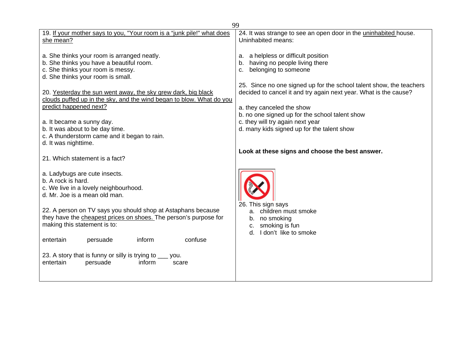| 99                                                                                                                                                                                                                                                                                                                                                                                                                                                                           |                                                                                                                                                                                                                                                                                                                                                                                                                      |  |
|------------------------------------------------------------------------------------------------------------------------------------------------------------------------------------------------------------------------------------------------------------------------------------------------------------------------------------------------------------------------------------------------------------------------------------------------------------------------------|----------------------------------------------------------------------------------------------------------------------------------------------------------------------------------------------------------------------------------------------------------------------------------------------------------------------------------------------------------------------------------------------------------------------|--|
| 19. If your mother says to you, "Your room is a "junk pile!" what does<br>she mean?                                                                                                                                                                                                                                                                                                                                                                                          | 24. It was strange to see an open door in the uninhabited house.<br>Uninhabited means:                                                                                                                                                                                                                                                                                                                               |  |
| a. She thinks your room is arranged neatly.<br>b. She thinks you have a beautiful room.<br>c. She thinks your room is messy.<br>d. She thinks your room is small.<br>20. Yesterday the sun went away, the sky grew dark, big black<br>clouds puffed up in the sky, and the wind began to blow. What do you<br>predict happened next?<br>a. It became a sunny day.<br>b. It was about to be day time.<br>c. A thunderstorm came and it began to rain.<br>d. It was nighttime. | a. a helpless or difficult position<br>having no people living there<br>b.<br>belonging to someone<br>c.<br>25. Since no one signed up for the school talent show, the teachers<br>decided to cancel it and try again next year. What is the cause?<br>a. they canceled the show<br>b. no one signed up for the school talent show<br>c. they will try again next year<br>d. many kids signed up for the talent show |  |
| 21. Which statement is a fact?                                                                                                                                                                                                                                                                                                                                                                                                                                               | Look at these signs and choose the best answer.                                                                                                                                                                                                                                                                                                                                                                      |  |
| a. Ladybugs are cute insects.<br>b. A rock is hard.<br>c. We live in a lovely neighbourhood.<br>d. Mr. Joe is a mean old man.<br>22. A person on TV says you should shop at Astaphans because<br>they have the cheapest prices on shoes. The person's purpose for<br>making this statement is to:<br>inform<br>confuse<br>entertain<br>persuade<br>23. A story that is funny or silly is trying to ___ you.                                                                  | 26. This sign says<br>children must smoke<br>а.<br>no smoking<br>b.<br>smoking is fun<br>c.<br>I don't like to smoke<br>d.                                                                                                                                                                                                                                                                                           |  |
| entertain<br>inform<br>persuade<br>scare                                                                                                                                                                                                                                                                                                                                                                                                                                     |                                                                                                                                                                                                                                                                                                                                                                                                                      |  |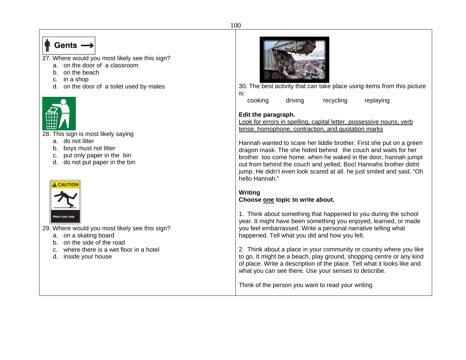# $\mathbb{P}$  Gents  $\longrightarrow$

- 27. Where would you most likely see this sign?
	- a. on the door of a classroom
	- b. on the beach
	- c. in a shop
	- d. on the door of a toilet used by males



28. This sign is most likely saying

- a. do not litter
- b. boys must not litter
- c. put only paper in the bin
- d. do not put paper in the bin



29. Where would you most likely see this sign?

- a. on a skating board
- b. on the side of the road
- c. where there is a wet floor in a hotel
- d. inside your house



30. The best activity that can take place using items from this picture is:

cooking driving recycling replaying

## **Edit the paragraph.**

Look for errors in spelling, capital letter, possessive nouns, verb tense, homophone, contraction, and quotation marks

Hannah wanted to scare her liddle brother. First she put on a green dragon mask. The she hided behind the couch and waits for her brother too come home. when he waked in the door, hannah jumpt out from behind the couch and yelled, Boo! Hannahs brother didnt jump. He didn't even look scared at all. he just smiled and said, "Oh hello Hannah."

## **Writing Choose one topic to write about.**

1. Think about something that happened to you during the school year. It might have been something you enjoyed, learned, or made you feel embarrassed. Write a personal narrative telling what happened. Tell what you did and how you felt.

2. Think about a place in your community or country where you like to go. It might be a beach, play ground, shopping centre or any kind of place. Write a description of the place. Tell what it looks like and what you can see there. Use your senses to describe.

Think of the person you want to read your writing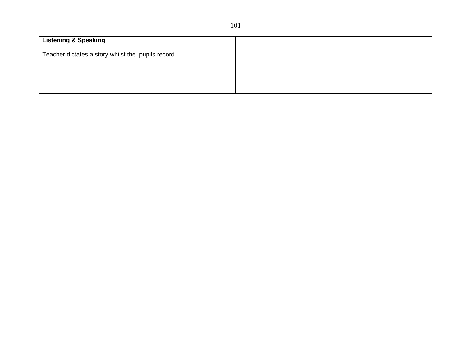| <b>Listening &amp; Speaking</b>                    |  |  |
|----------------------------------------------------|--|--|
| Teacher dictates a story whilst the pupils record. |  |  |
|                                                    |  |  |
|                                                    |  |  |
|                                                    |  |  |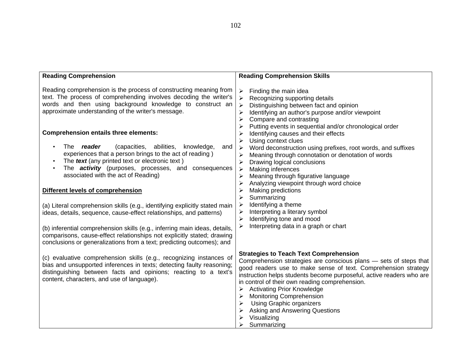| <b>Reading Comprehension</b>                                                                                                                                                                                                                                                                                                                                                                                                                                                                                                                                                                                                                                                                                                                            | <b>Reading Comprehension Skills</b>                                                                                                                                                                                                                                                                                                                                                                                                                                                                                                           |
|---------------------------------------------------------------------------------------------------------------------------------------------------------------------------------------------------------------------------------------------------------------------------------------------------------------------------------------------------------------------------------------------------------------------------------------------------------------------------------------------------------------------------------------------------------------------------------------------------------------------------------------------------------------------------------------------------------------------------------------------------------|-----------------------------------------------------------------------------------------------------------------------------------------------------------------------------------------------------------------------------------------------------------------------------------------------------------------------------------------------------------------------------------------------------------------------------------------------------------------------------------------------------------------------------------------------|
| Reading comprehension is the process of constructing meaning from<br>text. The process of comprehending involves decoding the writer's<br>words and then using background knowledge to construct an<br>approximate understanding of the writer's message.                                                                                                                                                                                                                                                                                                                                                                                                                                                                                               | Finding the main idea<br>$\blacktriangleright$<br>Recognizing supporting details<br>➤<br>Distinguishing between fact and opinion<br>➤<br>Identifying an author's purpose and/or viewpoint<br>➤<br>Compare and contrasting<br>≻<br>Putting events in sequential and/or chronological order                                                                                                                                                                                                                                                     |
| <b>Comprehension entails three elements:</b><br>The reader<br>(capacities, abilities,<br>knowledge,<br>and<br>experiences that a person brings to the act of reading)<br>The text (any printed text or electronic text)<br>The <b>activity</b> (purposes, processes, and consequences<br>associated with the act of Reading)<br>Different levels of comprehension<br>(a) Literal comprehension skills (e.g., identifying explicitly stated main<br>ideas, details, sequence, cause-effect relationships, and patterns)<br>(b) inferential comprehension skills (e.g., inferring main ideas, details,<br>comparisons, cause-effect relationships not explicitly stated; drawing<br>conclusions or generalizations from a text; predicting outcomes); and | Identifying causes and their effects<br>Using context clues<br>≻<br>Word deconstruction using prefixes, root words, and suffixes<br>➤<br>Meaning through connotation or denotation of words<br>Drawing logical conclusions<br>➤<br>Making inferences<br>➤<br>Meaning through figurative language<br>➤<br>Analyzing viewpoint through word choice<br>Making predictions<br>Summarizing<br>⋗<br>Identifying a theme<br>➤<br>Interpreting a literary symbol<br>➤<br>Identifying tone and mood<br>➤<br>Interpreting data in a graph or chart<br>≻ |
| (c) evaluative comprehension skills (e.g., recognizing instances of<br>bias and unsupported inferences in texts; detecting faulty reasoning;<br>distinguishing between facts and opinions; reacting to a text's<br>content, characters, and use of language).                                                                                                                                                                                                                                                                                                                                                                                                                                                                                           | <b>Strategies to Teach Text Comprehension</b><br>Comprehension strategies are conscious plans - sets of steps that<br>good readers use to make sense of text. Comprehension strategy<br>instruction helps students become purposeful, active readers who are<br>in control of their own reading comprehension.<br><b>Activating Prior Knowledge</b><br><b>Monitoring Comprehension</b><br><b>Using Graphic organizers</b><br><b>Asking and Answering Questions</b><br>Visualizing<br>Summarizing                                              |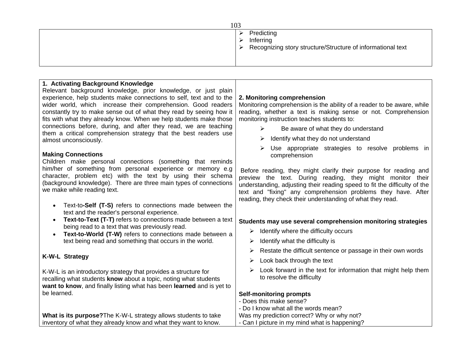| 103 |                                                                                               |  |
|-----|-----------------------------------------------------------------------------------------------|--|
|     | Predicting<br>Inferring<br>➤<br>> Recognizing story structure/Structure of informational text |  |
|     |                                                                                               |  |

| 1. Activating Background Knowledge                                                                         |                                                                           |
|------------------------------------------------------------------------------------------------------------|---------------------------------------------------------------------------|
| Relevant background knowledge, prior knowledge, or just plain                                              |                                                                           |
| experience, help students make connections to self, text and to the                                        | 2. Monitoring comprehension                                               |
| wider world, which increase their comprehension. Good readers                                              | Monitoring comprehension is the ability of a reader to be aware, while    |
| constantly try to make sense out of what they read by seeing how it                                        | reading, whether a text is making sense or not. Comprehension             |
| fits with what they already know. When we help students make those                                         | monitoring instruction teaches students to:                               |
| connections before, during, and after they read, we are teaching                                           | Be aware of what they do understand<br>⋗                                  |
| them a critical comprehension strategy that the best readers use                                           |                                                                           |
| almost unconsciously.                                                                                      | Identify what they do not understand<br>➤                                 |
| <b>Making Connections</b>                                                                                  | Use appropriate strategies to resolve problems in<br>comprehension        |
| Children make personal connections (something that reminds                                                 |                                                                           |
| him/her of something from personal experience or memory e.g                                                | Before reading, they might clarify their purpose for reading and          |
| character, problem etc) with the text by using their schema                                                | preview the text. During reading, they might monitor their                |
| (background knowledge). There are three main types of connections                                          | understanding, adjusting their reading speed to fit the difficulty of the |
| we make while reading text.                                                                                | text and "fixing" any comprehension problems they have. After             |
|                                                                                                            | reading, they check their understanding of what they read.                |
| Text-to-Self (T-S) refers to connections made between the<br>$\bullet$                                     |                                                                           |
| text and the reader's personal experience.<br>Text-to-Text (T-T) refers to connections made between a text |                                                                           |
| $\bullet$<br>being read to a text that was previously read.                                                | Students may use several comprehension monitoring strategies              |
| Text-to-World (T-W) refers to connections made between a                                                   | Identify where the difficulty occurs<br>≻                                 |
| text being read and something that occurs in the world.                                                    | Identify what the difficulty is<br>≻                                      |
|                                                                                                            | Restate the difficult sentence or passage in their own words<br>➤         |
| <b>K-W-L Strategy</b>                                                                                      | Look back through the text<br>≻                                           |
| K-W-L is an introductory strategy that provides a structure for                                            | Look forward in the text for information that might help them<br>➤        |
| recalling what students know about a topic, noting what students                                           | to resolve the difficulty                                                 |
| want to know, and finally listing what has been learned and is yet to                                      |                                                                           |
| be learned.                                                                                                | <b>Self-monitoring prompts</b>                                            |
|                                                                                                            | - Does this make sense?                                                   |
|                                                                                                            | - Do I know what all the words mean?                                      |
| What is its purpose? The K-W-L strategy allows students to take                                            | Was my prediction correct? Why or why not?                                |
| inventory of what they already know and what they want to know.                                            | - Can I picture in my mind what is happening?                             |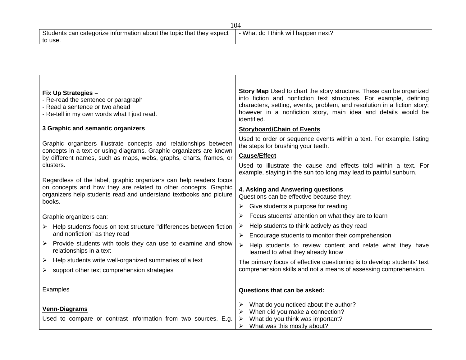| Students can categorize information about the topic that they expect | - What do I think will happen next? |  |
|----------------------------------------------------------------------|-------------------------------------|--|
| to use.                                                              |                                     |  |

┱

| <b>Fix Up Strategies -</b><br>- Re-read the sentence or paragraph<br>- Read a sentence or two ahead<br>- Re-tell in my own words what I just read.                                                                    | <b>Story Map</b> Used to chart the story structure. These can be organized<br>into fiction and nonfiction text structures. For example, defining<br>characters, setting, events, problem, and resolution in a fiction story;<br>however in a nonfiction story, main idea and details would be<br>identified. |
|-----------------------------------------------------------------------------------------------------------------------------------------------------------------------------------------------------------------------|--------------------------------------------------------------------------------------------------------------------------------------------------------------------------------------------------------------------------------------------------------------------------------------------------------------|
| 3 Graphic and semantic organizers                                                                                                                                                                                     | <b>Storyboard/Chain of Events</b>                                                                                                                                                                                                                                                                            |
| Graphic organizers illustrate concepts and relationships between<br>concepts in a text or using diagrams. Graphic organizers are known<br>by different names, such as maps, webs, graphs, charts, frames, or          | Used to order or sequence events within a text. For example, listing<br>the steps for brushing your teeth.<br><b>Cause/Effect</b>                                                                                                                                                                            |
| clusters.                                                                                                                                                                                                             | Used to illustrate the cause and effects told within a text. For<br>example, staying in the sun too long may lead to painful sunburn.                                                                                                                                                                        |
| Regardless of the label, graphic organizers can help readers focus<br>on concepts and how they are related to other concepts. Graphic<br>organizers help students read and understand textbooks and picture<br>books. | 4. Asking and Answering questions<br>Questions can be effective because they:                                                                                                                                                                                                                                |
|                                                                                                                                                                                                                       | Give students a purpose for reading                                                                                                                                                                                                                                                                          |
| Graphic organizers can:                                                                                                                                                                                               | Focus students' attention on what they are to learn                                                                                                                                                                                                                                                          |
| $\triangleright$ Help students focus on text structure "differences between fiction"<br>and nonfiction" as they read                                                                                                  | Help students to think actively as they read<br>➤<br>Encourage students to monitor their comprehension<br>➤                                                                                                                                                                                                  |
| Provide students with tools they can use to examine and show<br>relationships in a text                                                                                                                               | Help students to review content and relate what they have<br>➤<br>learned to what they already know                                                                                                                                                                                                          |
| Help students write well-organized summaries of a text<br>➤                                                                                                                                                           | The primary focus of effective questioning is to develop students' text                                                                                                                                                                                                                                      |
| support other text comprehension strategies<br>➤                                                                                                                                                                      | comprehension skills and not a means of assessing comprehension.                                                                                                                                                                                                                                             |
| Examples                                                                                                                                                                                                              | Questions that can be asked:                                                                                                                                                                                                                                                                                 |
| <b>Venn-Diagrams</b>                                                                                                                                                                                                  | What do you noticed about the author?                                                                                                                                                                                                                                                                        |
| Used to compare or contrast information from two sources. E.g.                                                                                                                                                        | When did you make a connection?<br>What do you think was important?                                                                                                                                                                                                                                          |
|                                                                                                                                                                                                                       | What was this mostly about?<br>➤                                                                                                                                                                                                                                                                             |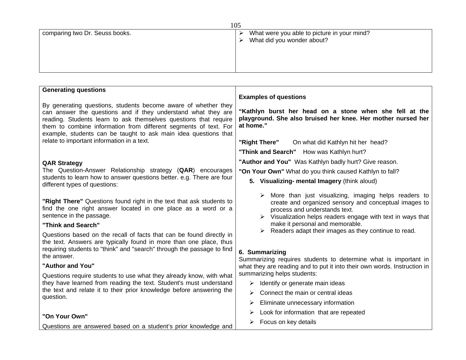|                                | 10 <sub>2</sub>                                  |
|--------------------------------|--------------------------------------------------|
| comparing two Dr. Seuss books. | What were you able to picture in your mind?<br>≻ |
|                                | What did you wonder about?<br>$\triangleright$   |
|                                |                                                  |
|                                |                                                  |
|                                |                                                  |
|                                |                                                  |

| <b>Generating questions</b>                                                                                                                                                                                                                                                                                                                |                                                                                                                                                                                                                                                                                                                                               |
|--------------------------------------------------------------------------------------------------------------------------------------------------------------------------------------------------------------------------------------------------------------------------------------------------------------------------------------------|-----------------------------------------------------------------------------------------------------------------------------------------------------------------------------------------------------------------------------------------------------------------------------------------------------------------------------------------------|
|                                                                                                                                                                                                                                                                                                                                            | <b>Examples of questions</b>                                                                                                                                                                                                                                                                                                                  |
| By generating questions, students become aware of whether they<br>can answer the questions and if they understand what they are<br>reading. Students learn to ask themselves questions that require<br>them to combine information from different segments of text. For<br>example, students can be taught to ask main idea questions that | "Kathlyn burst her head on a stone when she fell at the<br>playground. She also bruised her knee. Her mother nursed her<br>at home."                                                                                                                                                                                                          |
| relate to important information in a text.                                                                                                                                                                                                                                                                                                 | "Right There"<br>On what did Kathlyn hit her head?                                                                                                                                                                                                                                                                                            |
|                                                                                                                                                                                                                                                                                                                                            | "Think and Search" How was Kathlyn hurt?                                                                                                                                                                                                                                                                                                      |
| <b>QAR Strategy</b>                                                                                                                                                                                                                                                                                                                        | "Author and You" Was Kathlyn badly hurt? Give reason.                                                                                                                                                                                                                                                                                         |
| The Question-Answer Relationship strategy (QAR) encourages                                                                                                                                                                                                                                                                                 | "On Your Own" What do you think caused Kathlyn to fall?                                                                                                                                                                                                                                                                                       |
| students to learn how to answer questions better. e.g. There are four<br>different types of questions:                                                                                                                                                                                                                                     | 5. Visualizing- mental Imagery (think aloud)                                                                                                                                                                                                                                                                                                  |
| "Right There" Questions found right in the text that ask students to<br>find the one right answer located in one place as a word or a<br>sentence in the passage.<br>"Think and Search"<br>Questions based on the recall of facts that can be found directly in<br>the text. Answers are typically found in more than one place, thus      | More than just visualizing, imaging helps readers to<br>⋗<br>create and organized sensory and conceptual images to<br>process and understands text.<br>$\triangleright$ Visualization helps readers engage with text in ways that<br>make it personal and memorable.<br>$\triangleright$ Readers adapt their images as they continue to read. |
| requiring students to "think" and "search" through the passage to find<br>the answer.                                                                                                                                                                                                                                                      | 6. Summarizing<br>Summarizing requires students to determine what is important in                                                                                                                                                                                                                                                             |
| "Author and You"                                                                                                                                                                                                                                                                                                                           | what they are reading and to put it into their own words. Instruction in                                                                                                                                                                                                                                                                      |
| Questions require students to use what they already know, with what                                                                                                                                                                                                                                                                        | summarizing helps students:                                                                                                                                                                                                                                                                                                                   |
| they have learned from reading the text. Student's must understand<br>the text and relate it to their prior knowledge before answering the<br>question.                                                                                                                                                                                    | Identify or generate main ideas<br>➤                                                                                                                                                                                                                                                                                                          |
|                                                                                                                                                                                                                                                                                                                                            | Connect the main or central ideas<br>➤                                                                                                                                                                                                                                                                                                        |
|                                                                                                                                                                                                                                                                                                                                            | Eliminate unnecessary information<br>➤                                                                                                                                                                                                                                                                                                        |
|                                                                                                                                                                                                                                                                                                                                            | Look for information that are repeated<br>⋗                                                                                                                                                                                                                                                                                                   |
| "On Your Own"                                                                                                                                                                                                                                                                                                                              | Focus on key details<br>➤                                                                                                                                                                                                                                                                                                                     |
| Questions are answered based on a student's prior knowledge and                                                                                                                                                                                                                                                                            |                                                                                                                                                                                                                                                                                                                                               |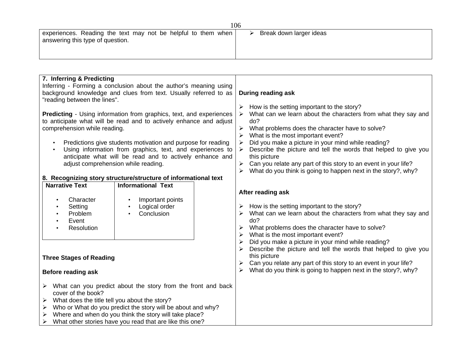|                                                               | 1 V V V                 |
|---------------------------------------------------------------|-------------------------|
| experiences. Reading the text may not be helpful to them when | Break down larger ideas |
| answering this type of question.                              |                         |
|                                                               |                         |
|                                                               |                         |

| 7. Inferring & Predicting                                              |                                                                     |                                                                             |
|------------------------------------------------------------------------|---------------------------------------------------------------------|-----------------------------------------------------------------------------|
| Inferring - Forming a conclusion about the author's meaning using      |                                                                     |                                                                             |
| background knowledge and clues from text. Usually referred to as       |                                                                     | During reading ask                                                          |
| "reading between the lines".                                           |                                                                     |                                                                             |
|                                                                        |                                                                     | How is the setting important to the story?                                  |
|                                                                        | Predicting - Using information from graphics, text, and experiences | What can we learn about the characters from what they say and<br>➤          |
|                                                                        | to anticipate what will be read and to actively enhance and adjust  | do?                                                                         |
| comprehension while reading.                                           |                                                                     | What problems does the character have to solve?<br>$\blacktriangleright$    |
|                                                                        |                                                                     | What is the most important event?<br>≻                                      |
|                                                                        | Predictions give students motivation and purpose for reading        | Did you make a picture in your mind while reading?<br>$\blacktriangleright$ |
|                                                                        | Using information from graphics, text, and experiences to           | Describe the picture and tell the words that helped to give you<br>➤        |
|                                                                        | anticipate what will be read and to actively enhance and            | this picture                                                                |
| adjust comprehension while reading.                                    |                                                                     | Can you relate any part of this story to an event in your life?<br>➤        |
|                                                                        |                                                                     | What do you think is going to happen next in the story?, why?               |
|                                                                        | 8. Recognizing story structure/structure of informational text      |                                                                             |
| <b>Narrative Text</b>                                                  | <b>Informational Text</b>                                           |                                                                             |
|                                                                        |                                                                     | After reading ask                                                           |
| Character<br>$\bullet$                                                 | Important points                                                    |                                                                             |
| Setting<br>$\bullet$                                                   | Logical order                                                       | How is the setting important to the story?                                  |
| Problem<br>$\bullet$                                                   | Conclusion                                                          | What can we learn about the characters from what they say and<br>➤          |
| Event                                                                  |                                                                     | do?                                                                         |
| Resolution                                                             |                                                                     | What problems does the character have to solve?                             |
|                                                                        |                                                                     | What is the most important event?<br>➤                                      |
|                                                                        |                                                                     | Did you make a picture in your mind while reading?<br>➤                     |
|                                                                        |                                                                     | Describe the picture and tell the words that helped to give you             |
| <b>Three Stages of Reading</b>                                         |                                                                     | this picture                                                                |
|                                                                        |                                                                     | Can you relate any part of this story to an event in your life?<br>➤        |
| <b>Before reading ask</b>                                              |                                                                     | What do you think is going to happen next in the story?, why?<br>➤          |
|                                                                        |                                                                     |                                                                             |
| What can you predict about the story from the front and back<br>➤      |                                                                     |                                                                             |
| cover of the book?                                                     |                                                                     |                                                                             |
| What does the title tell you about the story?<br>$\blacktriangleright$ |                                                                     |                                                                             |
| Who or What do you predict the story will be about and why?<br>➤       |                                                                     |                                                                             |
| Where and when do you think the story will take place?<br>≻            |                                                                     |                                                                             |
| What other stories have you read that are like this one?<br>➤          |                                                                     |                                                                             |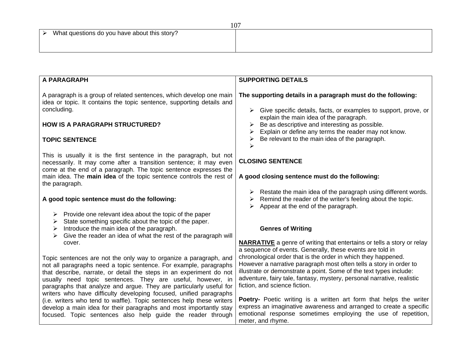| A PARAGRAPH                                                                                                                                                                                                                                                                                                                                                                                                                        | <b>SUPPORTING DETAILS</b>                                                                                                                                                                                                                                                                                                                                                                                                                                          |
|------------------------------------------------------------------------------------------------------------------------------------------------------------------------------------------------------------------------------------------------------------------------------------------------------------------------------------------------------------------------------------------------------------------------------------|--------------------------------------------------------------------------------------------------------------------------------------------------------------------------------------------------------------------------------------------------------------------------------------------------------------------------------------------------------------------------------------------------------------------------------------------------------------------|
|                                                                                                                                                                                                                                                                                                                                                                                                                                    |                                                                                                                                                                                                                                                                                                                                                                                                                                                                    |
| A paragraph is a group of related sentences, which develop one main<br>idea or topic. It contains the topic sentence, supporting details and<br>concluding.                                                                                                                                                                                                                                                                        | The supporting details in a paragraph must do the following:<br>Give specific details, facts, or examples to support, prove, or<br>➤<br>explain the main idea of the paragraph.                                                                                                                                                                                                                                                                                    |
| <b>HOW IS A PARAGRAPH STRUCTURED?</b>                                                                                                                                                                                                                                                                                                                                                                                              | Be as descriptive and interesting as possible.<br>Explain or define any terms the reader may not know.                                                                                                                                                                                                                                                                                                                                                             |
| <b>TOPIC SENTENCE</b>                                                                                                                                                                                                                                                                                                                                                                                                              | Be relevant to the main idea of the paragraph.<br>⋗                                                                                                                                                                                                                                                                                                                                                                                                                |
| This is usually it is the first sentence in the paragraph, but not<br>necessarily. It may come after a transition sentence; it may even<br>come at the end of a paragraph. The topic sentence expresses the                                                                                                                                                                                                                        | <b>CLOSING SENTENCE</b>                                                                                                                                                                                                                                                                                                                                                                                                                                            |
| main idea. The main idea of the topic sentence controls the rest of<br>the paragraph.                                                                                                                                                                                                                                                                                                                                              | A good closing sentence must do the following:                                                                                                                                                                                                                                                                                                                                                                                                                     |
| A good topic sentence must do the following:                                                                                                                                                                                                                                                                                                                                                                                       | Restate the main idea of the paragraph using different words.<br>Remind the reader of the writer's feeling about the topic.<br>➤<br>Appear at the end of the paragraph.<br>≻                                                                                                                                                                                                                                                                                       |
| $\triangleright$ Provide one relevant idea about the topic of the paper<br>State something specific about the topic of the paper.<br>➤<br>Introduce the main idea of the paragraph.<br>➤                                                                                                                                                                                                                                           | <b>Genres of Writing</b>                                                                                                                                                                                                                                                                                                                                                                                                                                           |
| Give the reader an idea of what the rest of the paragraph will                                                                                                                                                                                                                                                                                                                                                                     |                                                                                                                                                                                                                                                                                                                                                                                                                                                                    |
| cover.<br>Topic sentences are not the only way to organize a paragraph, and<br>not all paragraphs need a topic sentence. For example, paragraphs<br>that describe, narrate, or detail the steps in an experiment do not<br>usually need topic sentences. They are useful, however, in<br>paragraphs that analyze and argue. They are particularly useful for<br>writers who have difficulty developing focused, unified paragraphs | <b>NARRATIVE</b> a genre of writing that entertains or tells a story or relay<br>a sequence of events. Generally, these events are told in<br>chronological order that is the order in which they happened.<br>However a narrative paragraph most often tells a story in order to<br>illustrate or demonstrate a point. Some of the text types include:<br>adventure, fairy tale, fantasy, mystery, personal narrative, realistic<br>fiction, and science fiction. |
| (i.e. writers who tend to waffle). Topic sentences help these writers<br>develop a main idea for their paragraphs and most importantly stay<br>focused. Topic sentences also help guide the reader through                                                                                                                                                                                                                         | Poetry- Poetic writing is a written art form that helps the writer<br>express an imaginative awareness and arranged to create a specific<br>emotional response sometimes employing the use of repetition,<br>meter, and rhyme.                                                                                                                                                                                                                                     |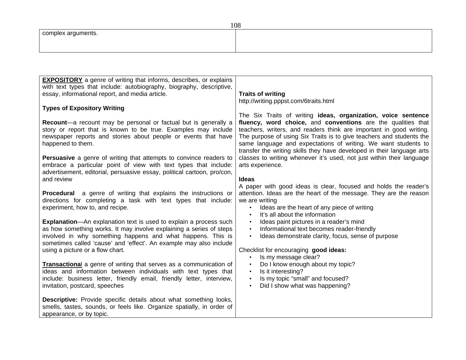| <b>EXPOSITORY</b> a genre of writing that informs, describes, or explains                                                                                                                                                                              |                                                                                                                                                                                                                                                                                                                                                         |
|--------------------------------------------------------------------------------------------------------------------------------------------------------------------------------------------------------------------------------------------------------|---------------------------------------------------------------------------------------------------------------------------------------------------------------------------------------------------------------------------------------------------------------------------------------------------------------------------------------------------------|
| with text types that include: autobiography, biography, descriptive,                                                                                                                                                                                   |                                                                                                                                                                                                                                                                                                                                                         |
| essay, informational report, and media article.                                                                                                                                                                                                        | <b>Traits of writing</b><br>http://writing.pppst.com/6traits.html                                                                                                                                                                                                                                                                                       |
| <b>Types of Expository Writing</b>                                                                                                                                                                                                                     | The Six Traits of writing ideas, organization, voice sentence                                                                                                                                                                                                                                                                                           |
| Recount-a recount may be personal or factual but is generally a<br>story or report that is known to be true. Examples may include<br>newspaper reports and stories about people or events that have<br>happened to them.                               | fluency, word choice, and conventions are the qualities that<br>teachers, writers, and readers think are important in good writing.<br>The purpose of using Six Traits is to give teachers and students the<br>same language and expectations of writing. We want students to<br>transfer the writing skills they have developed in their language arts |
| <b>Persuasive</b> a genre of writing that attempts to convince readers to<br>embrace a particular point of view with text types that include:<br>advertisement, editorial, persuasive essay, political cartoon, pro/con,<br>and review                 | classes to writing whenever it's used, not just within their language<br>arts experience.<br><b>Ideas</b>                                                                                                                                                                                                                                               |
|                                                                                                                                                                                                                                                        | A paper with good ideas is clear, focused and holds the reader's                                                                                                                                                                                                                                                                                        |
| <b>Procedural</b> a genre of writing that explains the instructions or<br>directions for completing a task with text types that include:<br>experiment, how to, and recipe.                                                                            | attention. Ideas are the heart of the message. They are the reason<br>we are writing<br>Ideas are the heart of any piece of writing<br>$\bullet$<br>It's all about the information<br>$\bullet$                                                                                                                                                         |
| <b>Explanation</b> —An explanation text is used to explain a process such                                                                                                                                                                              | Ideas paint pictures in a reader's mind<br>$\bullet$                                                                                                                                                                                                                                                                                                    |
| as how something works. It may involve explaining a series of steps<br>involved in why something happens and what happens. This is<br>sometimes called 'cause' and 'effect'. An example may also include                                               | Informational text becomes reader-friendly<br>$\bullet$<br>Ideas demonstrate clarity, focus, sense of purpose<br>$\bullet$                                                                                                                                                                                                                              |
| using a picture or a flow chart.                                                                                                                                                                                                                       | Checklist for encouraging good ideas:<br>Is my message clear?<br>$\bullet$                                                                                                                                                                                                                                                                              |
| <b>Transactional</b> a genre of writing that serves as a communication of<br>ideas and information between individuals with text types that<br>include: business letter, friendly email, friendly letter, interview,<br>invitation, postcard, speeches | Do I know enough about my topic?<br>$\bullet$<br>Is it interesting?<br>$\bullet$<br>Is my topic "small" and focused?<br>$\bullet$<br>Did I show what was happening?<br>$\bullet$                                                                                                                                                                        |
| <b>Descriptive:</b> Provide specific details about what something looks,<br>smells, tastes, sounds, or feels like. Organize spatially, in order of<br>appearance, or by topic.                                                                         |                                                                                                                                                                                                                                                                                                                                                         |

108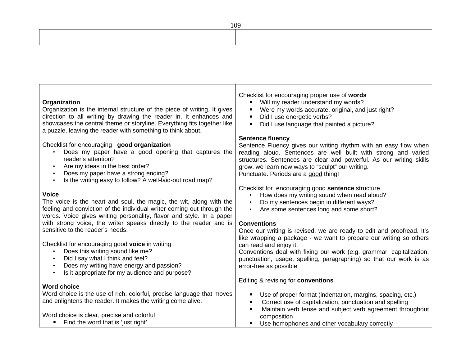| Organization<br>Organization is the internal structure of the piece of writing. It gives<br>direction to all writing by drawing the reader in. It enhances and<br>showcases the central theme or storyline. Everything fits together like<br>a puzzle, leaving the reader with something to think about. | Checklist for encouraging proper use of words<br>Will my reader understand my words?<br>Were my words accurate, original, and just right?<br>Did I use energetic verbs?<br>$\bullet$<br>Did I use language that painted a picture?<br>$\bullet$                                                                                  |
|----------------------------------------------------------------------------------------------------------------------------------------------------------------------------------------------------------------------------------------------------------------------------------------------------------|----------------------------------------------------------------------------------------------------------------------------------------------------------------------------------------------------------------------------------------------------------------------------------------------------------------------------------|
| Checklist for encouraging good organization<br>Does my paper have a good opening that captures the<br>reader's attention?<br>Are my ideas in the best order?<br>Does my paper have a strong ending?<br>Is the writing easy to follow? A well-laid-out road map?                                          | <b>Sentence fluency</b><br>Sentence Fluency gives our writing rhythm with an easy flow when<br>reading aloud. Sentences are well built with strong and varied<br>structures. Sentences are clear and powerful. As our writing skills<br>grow, we learn new ways to "sculpt" our writing.<br>Punctuate. Periods are a good thing! |
| <b>Voice</b><br>The voice is the heart and soul, the magic, the wit, along with the<br>feeling and conviction of the individual writer coming out through the<br>words. Voice gives writing personality, flavor and style. In a paper                                                                    | Checklist for encouraging good sentence structure.<br>How does my writing sound when read aloud?<br>$\bullet$<br>Do my sentences begin in different ways?<br>Are some sentences long and some short?                                                                                                                             |
| with strong voice, the writer speaks directly to the reader and is<br>sensitive to the reader's needs.                                                                                                                                                                                                   | <b>Conventions</b><br>Once our writing is revised, we are ready to edit and proofread. It's<br>like wrapping a package - we want to prepare our writing so others                                                                                                                                                                |
| Checklist for encouraging good voice in writing<br>Does this writing sound like me?<br>Did I say what I think and feel?<br>Does my writing have energy and passion?<br>Is it appropriate for my audience and purpose?                                                                                    | can read and enjoy it.<br>Conventions deal with fixing our work (e.g. grammar, capitalization,<br>punctuation, usage, spelling, paragraphing) so that our work is as<br>error-free as possible                                                                                                                                   |
| <b>Word choice</b>                                                                                                                                                                                                                                                                                       | Editing & revising for conventions                                                                                                                                                                                                                                                                                               |
| Word choice is the use of rich, colorful, precise language that moves                                                                                                                                                                                                                                    | Use of proper format (indentation, margins, spacing, etc.)<br>$\bullet$                                                                                                                                                                                                                                                          |
| and enlightens the reader. It makes the writing come alive.                                                                                                                                                                                                                                              | Correct use of capitalization, punctuation and spelling<br>Maintain verb tense and subject verb agreement throughout                                                                                                                                                                                                             |
| Word choice is clear, precise and colorful                                                                                                                                                                                                                                                               | composition                                                                                                                                                                                                                                                                                                                      |
| Find the word that is 'just right'                                                                                                                                                                                                                                                                       | Use homophones and other vocabulary correctly<br>$\bullet$                                                                                                                                                                                                                                                                       |

109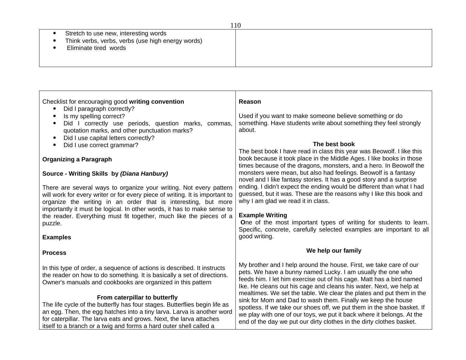| 11 V                                              |  |  |
|---------------------------------------------------|--|--|
| Stretch to use new, interesting words             |  |  |
| Think verbs, verbs, verbs (use high energy words) |  |  |
| Eliminate tired words                             |  |  |
|                                                   |  |  |
|                                                   |  |  |

| Checklist for encouraging good writing convention<br>Did I paragraph correctly?<br>Is my spelling correct?<br>$\bullet$<br>Did I correctly use periods, question marks, commas,<br>$\bullet$<br>quotation marks, and other punctuation marks?<br>Did I use capital letters correctly?<br>$\bullet$                                 | <b>Reason</b><br>Used if you want to make someone believe something or do<br>something. Have students write about something they feel strongly<br>about.                                                                                                                                                                                                                                                                                                                                                                                                                                                                                           |  |  |
|------------------------------------------------------------------------------------------------------------------------------------------------------------------------------------------------------------------------------------------------------------------------------------------------------------------------------------|----------------------------------------------------------------------------------------------------------------------------------------------------------------------------------------------------------------------------------------------------------------------------------------------------------------------------------------------------------------------------------------------------------------------------------------------------------------------------------------------------------------------------------------------------------------------------------------------------------------------------------------------------|--|--|
| Did I use correct grammar?<br>$\bullet$                                                                                                                                                                                                                                                                                            | The best book                                                                                                                                                                                                                                                                                                                                                                                                                                                                                                                                                                                                                                      |  |  |
| <b>Organizing a Paragraph</b>                                                                                                                                                                                                                                                                                                      | The best book I have read in class this year was Beowolf. I like this<br>book because it took place in the Middle Ages. I like books in those<br>times because of the dragons, monsters, and a hero. In Beowolf the                                                                                                                                                                                                                                                                                                                                                                                                                                |  |  |
| Source - Writing Skills by (Diana Hanbury)                                                                                                                                                                                                                                                                                         | monsters were mean, but also had feelings. Beowolf is a fantasy<br>novel and I like fantasy stories. It has a good story and a surprise<br>ending. I didn't expect the ending would be different than what I had<br>guessed, but it was. These are the reasons why I like this book and<br>why I am glad we read it in class.                                                                                                                                                                                                                                                                                                                      |  |  |
| There are several ways to organize your writing. Not every pattern<br>will work for every writer or for every piece of writing. It is important to<br>organize the writing in an order that is interesting, but more<br>importantly it must be logical. In other words, it has to make sense to                                    |                                                                                                                                                                                                                                                                                                                                                                                                                                                                                                                                                                                                                                                    |  |  |
| the reader. Everything must fit together, much like the pieces of a<br>puzzle.                                                                                                                                                                                                                                                     | <b>Example Writing</b><br>One of the most important types of writing for students to learn.<br>Specific, concrete, carefully selected examples are important to all<br>good writing.                                                                                                                                                                                                                                                                                                                                                                                                                                                               |  |  |
| <b>Examples</b>                                                                                                                                                                                                                                                                                                                    |                                                                                                                                                                                                                                                                                                                                                                                                                                                                                                                                                                                                                                                    |  |  |
| <b>Process</b>                                                                                                                                                                                                                                                                                                                     | We help our family                                                                                                                                                                                                                                                                                                                                                                                                                                                                                                                                                                                                                                 |  |  |
| In this type of order, a sequence of actions is described. It instructs<br>the reader on how to do something. It is basically a set of directions.<br>Owner's manuals and cookbooks are organized in this pattern                                                                                                                  | My brother and I help around the house. First, we take care of our<br>pets. We have a bunny named Lucky. I am usually the one who<br>feeds him. I let him exercise out of his cage. Matt has a bird named<br>Ike. He cleans out his cage and cleans his water. Next, we help at<br>mealtimes. We set the table. We clear the plates and put them in the<br>sink for Mom and Dad to wash them. Finally we keep the house<br>spotless. If we take our shoes off, we put them in the shoe basket. If<br>we play with one of our toys, we put it back where it belongs. At the<br>end of the day we put our dirty clothes in the dirty clothes basket. |  |  |
| From caterpillar to butterfly<br>The life cycle of the butterfly has four stages. Butterflies begin life as<br>an egg. Then, the egg hatches into a tiny larva. Larva is another word<br>for caterpillar. The larva eats and grows. Next, the larva attaches<br>itself to a branch or a twig and forms a hard outer shell called a |                                                                                                                                                                                                                                                                                                                                                                                                                                                                                                                                                                                                                                                    |  |  |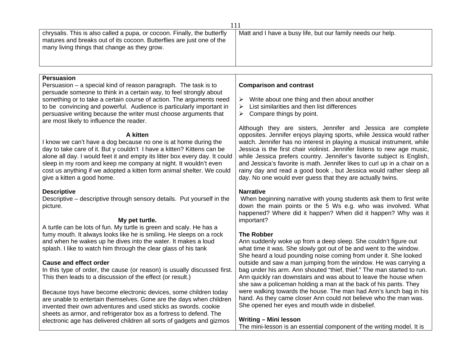| 111                                                                                                                                                                                                                                                                                                                                                                                                                                                                                                                                                                                                                                                                                                                                                                                                                                         |                                                                                                                                                                                                                                                                                                                                                                                                                                                                                                                                                                                                                                                                                                                                                                                        |  |  |
|---------------------------------------------------------------------------------------------------------------------------------------------------------------------------------------------------------------------------------------------------------------------------------------------------------------------------------------------------------------------------------------------------------------------------------------------------------------------------------------------------------------------------------------------------------------------------------------------------------------------------------------------------------------------------------------------------------------------------------------------------------------------------------------------------------------------------------------------|----------------------------------------------------------------------------------------------------------------------------------------------------------------------------------------------------------------------------------------------------------------------------------------------------------------------------------------------------------------------------------------------------------------------------------------------------------------------------------------------------------------------------------------------------------------------------------------------------------------------------------------------------------------------------------------------------------------------------------------------------------------------------------------|--|--|
| chrysalis. This is also called a pupa, or cocoon. Finally, the butterfly<br>matures and breaks out of its cocoon. Butterflies are just one of the<br>many living things that change as they grow.                                                                                                                                                                                                                                                                                                                                                                                                                                                                                                                                                                                                                                           | Matt and I have a busy life, but our family needs our help.                                                                                                                                                                                                                                                                                                                                                                                                                                                                                                                                                                                                                                                                                                                            |  |  |
|                                                                                                                                                                                                                                                                                                                                                                                                                                                                                                                                                                                                                                                                                                                                                                                                                                             |                                                                                                                                                                                                                                                                                                                                                                                                                                                                                                                                                                                                                                                                                                                                                                                        |  |  |
| <b>Persuasion</b><br>Persuasion - a special kind of reason paragraph. The task is to<br>persuade someone to think in a certain way, to feel strongly about<br>something or to take a certain course of action. The arguments need<br>to be convincing and powerful. Audience is particularly important in<br>persuasive writing because the writer must choose arguments that<br>are most likely to influence the reader.<br>A kitten<br>I know we can't have a dog because no one is at home during the<br>day to take care of it. But y couldn't I have a kitten? Kittens can be<br>alone all day. I would feet it and empty its litter box every day. It could<br>sleep in my room and keep me company at night. It wouldn't even<br>cost us anything if we adopted a kitten form animal shelter. We could<br>give a kitten a good home. | <b>Comparison and contrast</b><br>Write about one thing and then about another<br>$\blacktriangleright$<br>List similarities and then list differences<br>≻<br>Compare things by point.<br>➤<br>Although they are sisters, Jennifer and Jessica are complete<br>opposites. Jennifer enjoys playing sports, while Jessica would rather<br>watch. Jennifer has no interest in playing a musical instrument, while<br>Jessica is the first chair violinist. Jennifer listens to new age music,<br>while Jessica prefers country. Jennifer's favorite subject is English,<br>and Jessica's favorite is math. Jennifer likes to curl up in a chair on a<br>rainy day and read a good book, but Jessica would rather sleep all<br>day. No one would ever guess that they are actually twins. |  |  |
| <b>Descriptive</b><br>Descriptive - descriptive through sensory details. Put yourself in the<br>picture.<br>My pet turtle.                                                                                                                                                                                                                                                                                                                                                                                                                                                                                                                                                                                                                                                                                                                  | <b>Narrative</b><br>When beginning narrative with young students ask them to first write<br>down the main points or the 5 Ws e.g. who was involved. What<br>happened? Where did it happen? When did it happen? Why was it<br>important?                                                                                                                                                                                                                                                                                                                                                                                                                                                                                                                                                |  |  |
| A turtle can be lots of fun. My turtle is green and scaly. He has a<br>fumy mouth. It always looks like he is smiling. He sleeps on a rock<br>and when he wakes up he dives into the water. It makes a loud<br>splash. I like to watch him through the clear glass of his tank<br><b>Cause and effect order</b><br>In this type of order, the cause (or reason) is usually discussed first.<br>This then leads to a discussion of the effect (or result.)<br>Because toys have become electronic devices, some children today                                                                                                                                                                                                                                                                                                               | <b>The Robber</b><br>Ann suddenly woke up from a deep sleep. She couldn't figure out<br>what time it was. She slowly got out of be and went to the window.<br>She heard a loud pounding noise coming from under it. She looked<br>outside and saw a man jumping from the window. He was carrying a<br>bag under his arm. Ann shouted "thief, thief." The man started to run.<br>Ann quickly ran downstairs and was about to leave the house when<br>she saw a policeman holding a man at the back of his pants. They<br>were walking towards the house. The man had Ann's lunch bag in his                                                                                                                                                                                             |  |  |
| are unable to entertain themselves. Gone are the days when children<br>invented their own adventures and used sticks as swords, cookie<br>sheets as armor, and refrigerator box as a fortress to defend. The<br>electronic age has delivered children all sorts of gadgets and gizmos                                                                                                                                                                                                                                                                                                                                                                                                                                                                                                                                                       | hand. As they came closer Ann could not believe who the man was.<br>She opened her eyes and mouth wide in disbelief.<br>Writing - Mini lesson<br>The mini-lesson is an essential component of the writing model. It is                                                                                                                                                                                                                                                                                                                                                                                                                                                                                                                                                                 |  |  |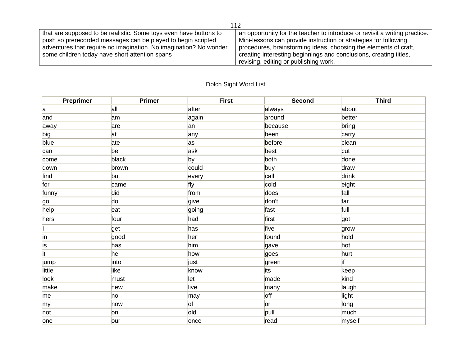| that are supposed to be realistic. Some toys even have buttons to | an opportunity for the teacher to introduce or revisit a writing practice. |  |  |
|-------------------------------------------------------------------|----------------------------------------------------------------------------|--|--|
| push so prerecorded messages can be played to begin scripted      | Mini-lessons can provide instruction or strategies for following           |  |  |
| adventures that require no imagination. No imagination? No wonder | procedures, brainstorming ideas, choosing the elements of craft,           |  |  |
| some children today have short attention spans                    | creating interesting beginnings and conclusions, creating titles,          |  |  |
|                                                                   | revising, editing or publishing work.                                      |  |  |

## Dolch Sight Word List

| Preprimer              | <b>Primer</b> | <b>First</b> | <b>Second</b> | <b>Third</b>  |
|------------------------|---------------|--------------|---------------|---------------|
| a                      | all           | after        | always        | about         |
| and                    | am            | again        | around        | better        |
| away                   | are           | an           | because       | bring         |
| big                    | at            | any          | been          | carry         |
| blue                   | ate           | as           | before        | clean         |
| can                    | be            | ask          | best          | cut           |
| come                   | black         | by           | both          | done          |
| down                   | brown         | could        | buy           | draw          |
| find                   | but           | every        | call          | drink         |
| for                    | came          | fly          | cold          | eight         |
| funny                  | did           | from         | does          | fall          |
| <b>go</b>              | do            | give         | don't         | far           |
| help                   | eat           | going        | fast          | full          |
| hers                   | four          | had          | first         | got           |
|                        | get           | has          | five          | grow          |
| in                     | good          | her          | found         | hold          |
| İs                     | has           | him          | gave          | hot           |
| $\overline{\text{it}}$ | he            | how          | goes          | hurt          |
| jump                   | into          | just         | green         | <sup>if</sup> |
| little                 | like          | know         | its           | keep          |
| look                   | must          | let          | made          | kind          |
| make                   | new           | live         | many          | laugh         |
| me                     | no            | ∣may         | off           | light         |
| my                     | now           | <b>of</b>    | or            | long          |
| not                    | <b>on</b>     | old          | pull          | much          |
| one                    | lour          | once         | read          | myself        |